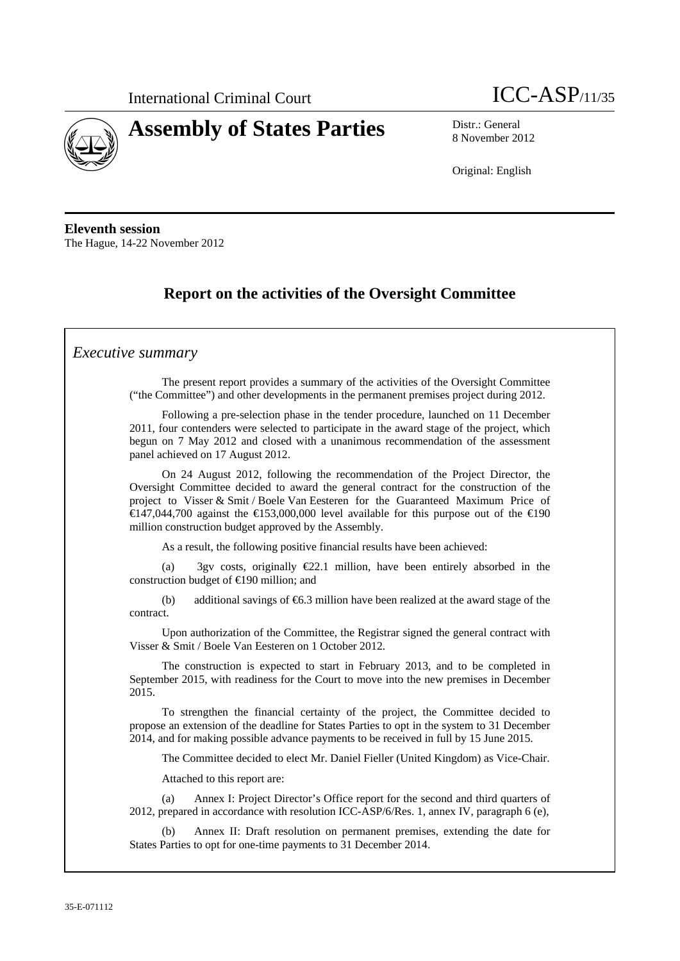



8 November 2012

Original: English

**Eleventh session**  The Hague, 14-22 November 2012

# **Report on the activities of the Oversight Committee**

### *Executive summary*

The present report provides a summary of the activities of the Oversight Committee ("the Committee") and other developments in the permanent premises project during 2012.

Following a pre-selection phase in the tender procedure, launched on 11 December 2011, four contenders were selected to participate in the award stage of the project, which begun on 7 May 2012 and closed with a unanimous recommendation of the assessment panel achieved on 17 August 2012.

On 24 August 2012, following the recommendation of the Project Director, the Oversight Committee decided to award the general contract for the construction of the project to Visser & Smit / Boele Van Eesteren for the Guaranteed Maximum Price of  $\in$  47,044,700 against the  $\in$  53,000,000 level available for this purpose out of the  $\in$  90 million construction budget approved by the Assembly.

As a result, the following positive financial results have been achieved:

(a) 3gv costs, originally  $E2.1$  million, have been entirely absorbed in the construction budget of €190 million; and

(b) additional savings of  $\epsilon$ 6.3 million have been realized at the award stage of the contract.

Upon authorization of the Committee, the Registrar signed the general contract with Visser & Smit / Boele Van Eesteren on 1 October 2012.

The construction is expected to start in February 2013, and to be completed in September 2015, with readiness for the Court to move into the new premises in December 2015.

To strengthen the financial certainty of the project, the Committee decided to propose an extension of the deadline for States Parties to opt in the system to 31 December 2014, and for making possible advance payments to be received in full by 15 June 2015.

The Committee decided to elect Mr. Daniel Fieller (United Kingdom) as Vice-Chair.

Attached to this report are:

(a) Annex I: Project Director's Office report for the second and third quarters of 2012, prepared in accordance with resolution ICC-ASP/6/Res. 1, annex IV, paragraph 6 (e),

Annex II: Draft resolution on permanent premises, extending the date for States Parties to opt for one-time payments to 31 December 2014.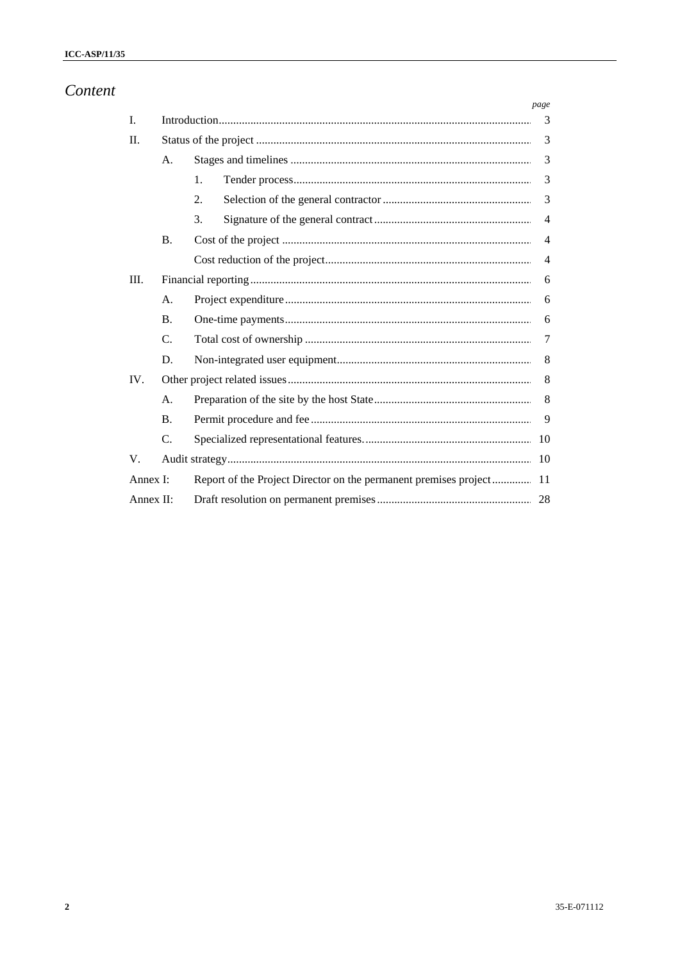# Content

|              |                |                                                                  | page           |
|--------------|----------------|------------------------------------------------------------------|----------------|
| I.           |                |                                                                  | 3              |
| П.           |                |                                                                  | 3              |
|              | A <sub>1</sub> |                                                                  | 3              |
|              |                | 1.                                                               | 3              |
|              |                | 2.                                                               | 3              |
|              |                | 3.                                                               | $\overline{4}$ |
|              | <b>B.</b>      |                                                                  | $\overline{4}$ |
|              |                |                                                                  | $\overline{4}$ |
| III.         |                |                                                                  | 6              |
|              | A.             |                                                                  | 6              |
|              | <b>B.</b>      |                                                                  | 6              |
|              | $C_{\cdot}$    |                                                                  | 7              |
|              | D.             |                                                                  | 8              |
| IV.          |                |                                                                  | 8              |
|              | A.             |                                                                  | 8              |
|              | <b>B.</b>      |                                                                  | 9              |
|              | C.             |                                                                  | 10             |
| V.           |                |                                                                  | 10             |
| Annex I:     |                | Report of the Project Director on the permanent premises project | 11             |
| Annex $II$ : |                |                                                                  |                |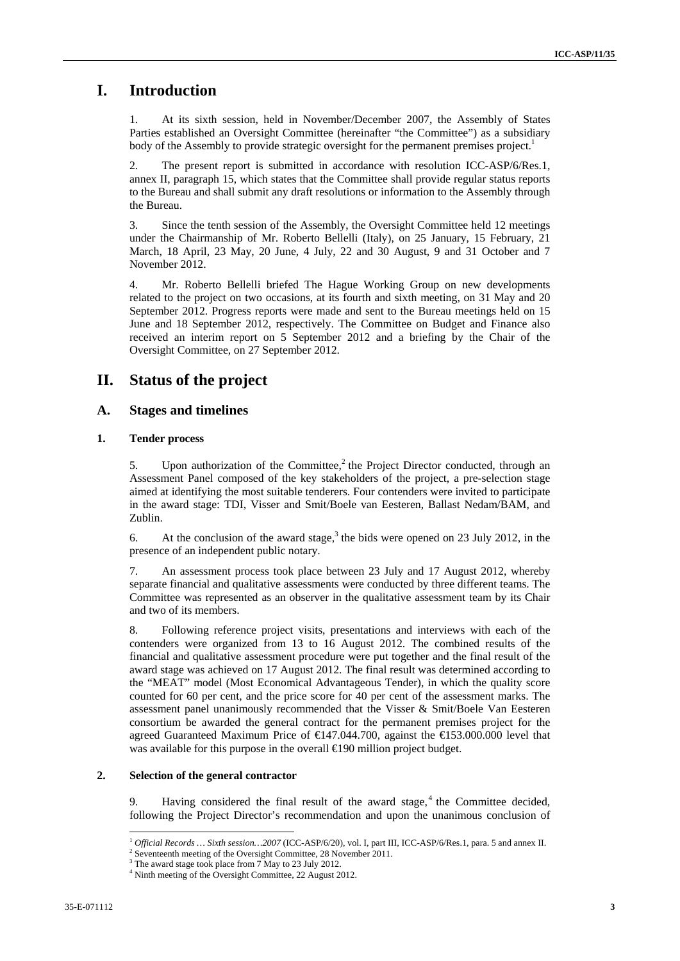## **I. Introduction**

1. At its sixth session, held in November/December 2007, the Assembly of States Parties established an Oversight Committee (hereinafter "the Committee") as a subsidiary body of the Assembly to provide strategic oversight for the permanent premises project.<sup>1</sup>

2. The present report is submitted in accordance with resolution ICC-ASP/6/Res.1, annex II, paragraph 15, which states that the Committee shall provide regular status reports to the Bureau and shall submit any draft resolutions or information to the Assembly through the Bureau.

3. Since the tenth session of the Assembly, the Oversight Committee held 12 meetings under the Chairmanship of Mr. Roberto Bellelli (Italy), on 25 January, 15 February, 21 March, 18 April, 23 May, 20 June, 4 July, 22 and 30 August, 9 and 31 October and 7 November 2012.

4. Mr. Roberto Bellelli briefed The Hague Working Group on new developments related to the project on two occasions, at its fourth and sixth meeting, on 31 May and 20 September 2012. Progress reports were made and sent to the Bureau meetings held on 15 June and 18 September 2012, respectively. The Committee on Budget and Finance also received an interim report on 5 September 2012 and a briefing by the Chair of the Oversight Committee, on 27 September 2012.

## **II. Status of the project**

### **A. Stages and timelines**

### **1. Tender process**

5. Upon authorization of the Committee,<sup>2</sup> the Project Director conducted, through an Assessment Panel composed of the key stakeholders of the project, a pre-selection stage aimed at identifying the most suitable tenderers. Four contenders were invited to participate in the award stage: TDI, Visser and Smit/Boele van Eesteren, Ballast Nedam/BAM, and Zublin.

6. At the conclusion of the award stage,<sup>3</sup> the bids were opened on 23 July 2012, in the presence of an independent public notary.

7. An assessment process took place between 23 July and 17 August 2012, whereby separate financial and qualitative assessments were conducted by three different teams. The Committee was represented as an observer in the qualitative assessment team by its Chair and two of its members.

8. Following reference project visits, presentations and interviews with each of the contenders were organized from 13 to 16 August 2012. The combined results of the financial and qualitative assessment procedure were put together and the final result of the award stage was achieved on 17 August 2012. The final result was determined according to the "MEAT" model (Most Economical Advantageous Tender), in which the quality score counted for 60 per cent, and the price score for 40 per cent of the assessment marks. The assessment panel unanimously recommended that the Visser & Smit/Boele Van Eesteren consortium be awarded the general contract for the permanent premises project for the agreed Guaranteed Maximum Price of €147.044.700, against the €153.000.000 level that was available for this purpose in the overall  $\bigoplus$ 90 million project budget.

#### **2. Selection of the general contractor**

9. Having considered the final result of the award stage, $4$  the Committee decided, following the Project Director's recommendation and upon the unanimous conclusion of

 $\overline{a}$ <sup>1</sup> Official Records ... Sixth session...2007 (ICC-ASP/6/20), vol. I, part III, ICC-ASP/6/Res.1, para. 5 and annex II.

 $2$  Seventeenth meeting of the Oversight Committee, 28 November 2011.

<sup>&</sup>lt;sup>3</sup> The award stage took place from 7 May to 23 July 2012.

<sup>4</sup> Ninth meeting of the Oversight Committee, 22 August 2012.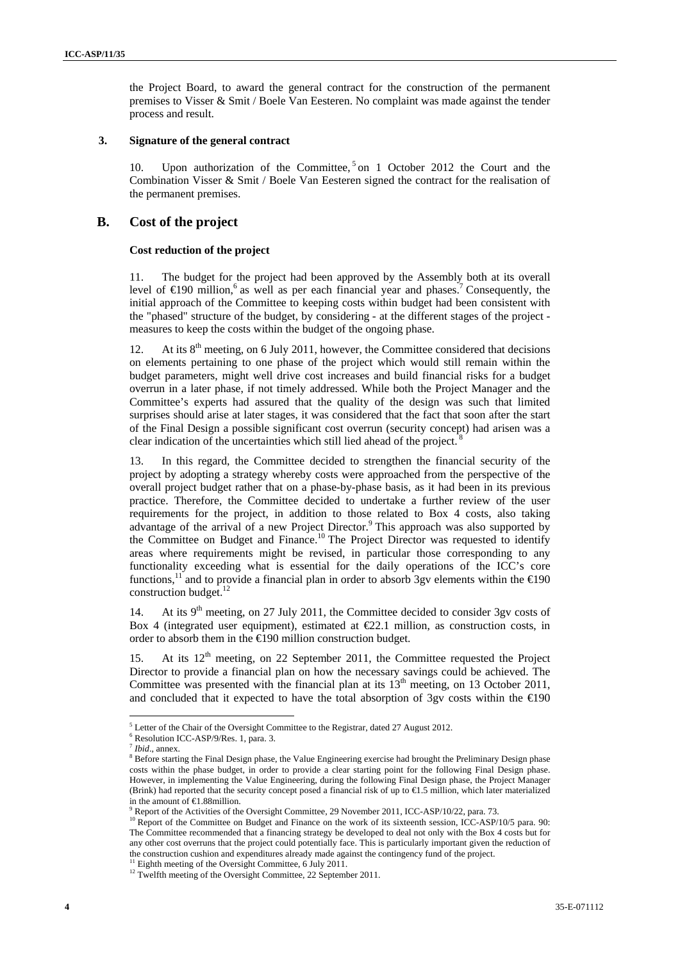the Project Board, to award the general contract for the construction of the permanent premises to Visser & Smit / Boele Van Eesteren. No complaint was made against the tender process and result.

#### **3. Signature of the general contract**

10. Upon authorization of the Committee, <sup>5</sup> on 1 October 2012 the Court and the Combination Visser & Smit / Boele Van Eesteren signed the contract for the realisation of the permanent premises.

### **B. Cost of the project**

### **Cost reduction of the project**

11. The budget for the project had been approved by the Assembly both at its overall level of  $\in$  90 million,<sup>6</sup> as well as per each financial year and phases.<sup>7</sup> Consequently, the initial approach of the Committee to keeping costs within budget had been consistent with the "phased" structure of the budget, by considering - at the different stages of the project measures to keep the costs within the budget of the ongoing phase.

12. At its  $8<sup>th</sup>$  meeting, on 6 July 2011, however, the Committee considered that decisions on elements pertaining to one phase of the project which would still remain within the budget parameters, might well drive cost increases and build financial risks for a budget overrun in a later phase, if not timely addressed. While both the Project Manager and the Committee's experts had assured that the quality of the design was such that limited surprises should arise at later stages, it was considered that the fact that soon after the start of the Final Design a possible significant cost overrun (security concept) had arisen was a clear indication of the uncertainties which still lied ahead of the project. 8

13. In this regard, the Committee decided to strengthen the financial security of the project by adopting a strategy whereby costs were approached from the perspective of the overall project budget rather that on a phase-by-phase basis, as it had been in its previous practice. Therefore, the Committee decided to undertake a further review of the user requirements for the project, in addition to those related to Box 4 costs, also taking advantage of the arrival of a new Project Director.<sup>9</sup> This approach was also supported by the Committee on Budget and Finance.<sup>10</sup> The Project Director was requested to identify areas where requirements might be revised, in particular those corresponding to any functionality exceeding what is essential for the daily operations of the ICC's core functions,<sup>11</sup> and to provide a financial plan in order to absorb 3gv elements within the  $\epsilon$ 190 construction budget.<sup>12</sup>

14. At its  $9<sup>th</sup>$  meeting, on 27 July 2011, the Committee decided to consider 3gv costs of Box 4 (integrated user equipment), estimated at  $E2.1$  million, as construction costs, in order to absorb them in the €190 million construction budget.

15. At its  $12<sup>th</sup>$  meeting, on 22 September 2011, the Committee requested the Project Director to provide a financial plan on how the necessary savings could be achieved. The Committee was presented with the financial plan at its  $13<sup>th</sup>$  meeting, on 13 October 2011, and concluded that it expected to have the total absorption of 3gv costs within the  $\epsilon$ 190

<sup>&</sup>lt;sup>5</sup> Letter of the Chair of the Oversight Committee to the Registrar, dated 27 August 2012.

Resolution ICC-ASP/9/Res. 1, para. 3.

*Ibid.*, annex.

Before starting the Final Design phase, the Value Engineering exercise had brought the Preliminary Design phase costs within the phase budget, in order to provide a clear starting point for the following Final Design phase. However, in implementing the Value Engineering, during the following Final Design phase, the Project Manager (Brink) had reported that the security concept posed a financial risk of up to €1.5 million, which later materialized in the amount of €1.88million.

Report of the Activities of the Oversight Committee, 29 November 2011, ICC-ASP/10/22, para. 73.

<sup>&</sup>lt;sup>10</sup> Report of the Committee on Budget and Finance on the work of its sixteenth session, ICC-ASP/10/5 para. 90: The Committee recommended that a financing strategy be developed to deal not only with the Box 4 costs but for any other cost overruns that the project could potentially face. This is particularly important given the reduction of the construction cushion and expenditures already made against the contingency fund of the project. 11 Eighth meeting of the Oversight Committee, 6 July 2011.

<sup>&</sup>lt;sup>12</sup> Twelfth meeting of the Oversight Committee, 22 September 2011.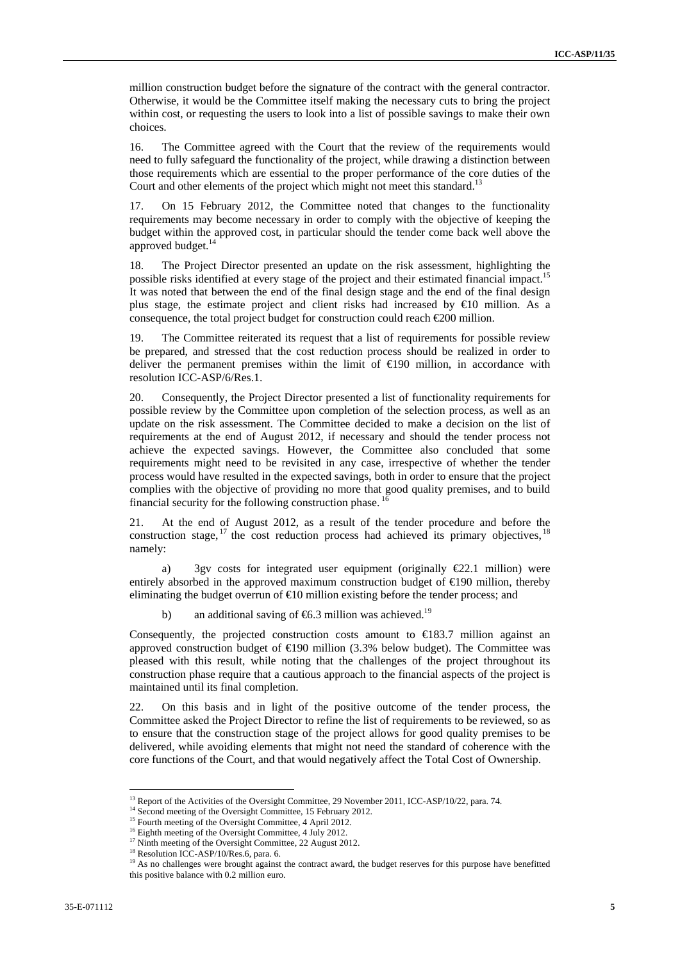million construction budget before the signature of the contract with the general contractor. Otherwise, it would be the Committee itself making the necessary cuts to bring the project within cost, or requesting the users to look into a list of possible savings to make their own choices.

16. The Committee agreed with the Court that the review of the requirements would need to fully safeguard the functionality of the project, while drawing a distinction between those requirements which are essential to the proper performance of the core duties of the Court and other elements of the project which might not meet this standard.<sup>1</sup>

17. On 15 February 2012, the Committee noted that changes to the functionality requirements may become necessary in order to comply with the objective of keeping the budget within the approved cost, in particular should the tender come back well above the approved budget.<sup>14</sup>

18. The Project Director presented an update on the risk assessment, highlighting the possible risks identified at every stage of the project and their estimated financial impact.<sup>15</sup> It was noted that between the end of the final design stage and the end of the final design plus stage, the estimate project and client risks had increased by €10 million. As a consequence, the total project budget for construction could reach  $\epsilon$ 200 million.

19. The Committee reiterated its request that a list of requirements for possible review be prepared, and stressed that the cost reduction process should be realized in order to deliver the permanent premises within the limit of  $\epsilon$ 190 million, in accordance with resolution ICC-ASP/6/Res.1.

20. Consequently, the Project Director presented a list of functionality requirements for possible review by the Committee upon completion of the selection process, as well as an update on the risk assessment. The Committee decided to make a decision on the list of requirements at the end of August 2012, if necessary and should the tender process not achieve the expected savings. However, the Committee also concluded that some requirements might need to be revisited in any case, irrespective of whether the tender process would have resulted in the expected savings, both in order to ensure that the project complies with the objective of providing no more that good quality premises, and to build financial security for the following construction phase. <sup>16</sup>

21. At the end of August 2012, as a result of the tender procedure and before the construction stage,  $17$  the cost reduction process had achieved its primary objectives.  $18$ namely:

a) 3gv costs for integrated user equipment (originally  $E22.1$  million) were entirely absorbed in the approved maximum construction budget of  $\bigoplus$ 90 million, thereby eliminating the budget overrun of  $\epsilon$ 10 million existing before the tender process; and

b) an additional saving of  $66.3$  million was achieved.<sup>19</sup>

Consequently, the projected construction costs amount to  $\in$ 183.7 million against an approved construction budget of  $\bigoplus$ 90 million (3.3% below budget). The Committee was pleased with this result, while noting that the challenges of the project throughout its construction phase require that a cautious approach to the financial aspects of the project is maintained until its final completion.

22. On this basis and in light of the positive outcome of the tender process, the Committee asked the Project Director to refine the list of requirements to be reviewed, so as to ensure that the construction stage of the project allows for good quality premises to be delivered, while avoiding elements that might not need the standard of coherence with the core functions of the Court, and that would negatively affect the Total Cost of Ownership.

<sup>&</sup>lt;sup>13</sup> Report of the Activities of the Oversight Committee, 29 November 2011, ICC-ASP/10/22, para. 74. <sup>14</sup> Second meeting of the Oversight Committee, 15 February 2012.

<sup>&</sup>lt;sup>14</sup> Second meeting of the Oversight Committee, 15 February 2012.<br><sup>15</sup> Fourth meeting of the Oversight Committee, 4 April 2012.

<sup>&</sup>lt;sup>16</sup> Eighth meeting of the Oversight Committee, 4 July 2012.

 $17$  Ninth meeting of the Oversight Committee, 22 August 2012.

<sup>&</sup>lt;sup>18</sup> Resolution ICC-ASP/10/Res.6, para. 6.

<sup>&</sup>lt;sup>19</sup> As no challenges were brought against the contract award, the budget reserves for this purpose have benefitted this positive balance with 0.2 million euro.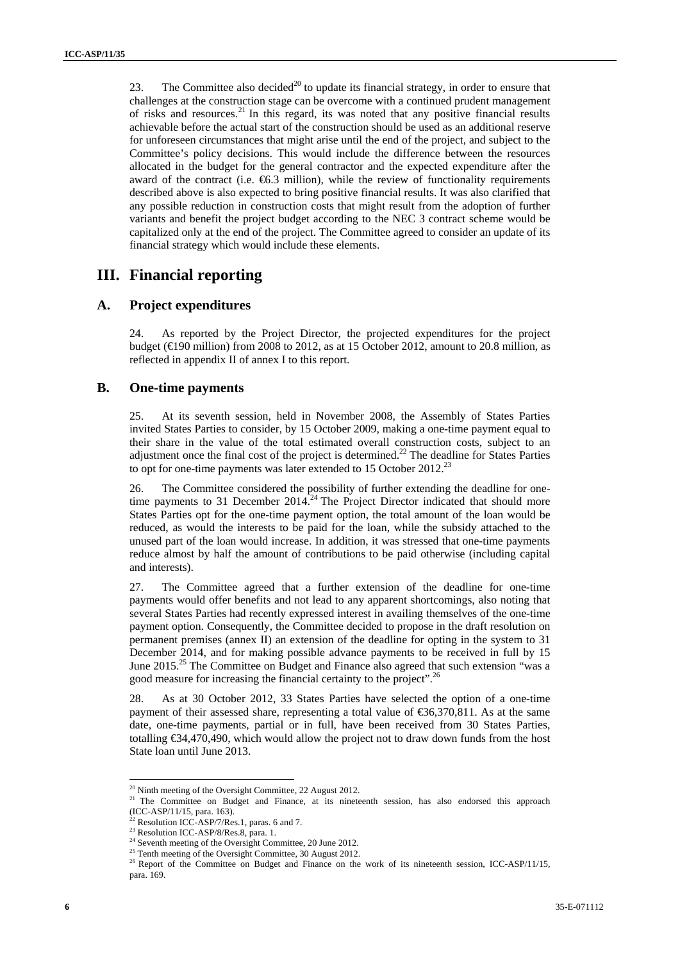23. The Committee also decided<sup>20</sup> to update its financial strategy, in order to ensure that challenges at the construction stage can be overcome with a continued prudent management of risks and resources.<sup>21</sup> In this regard, its was noted that any positive financial results achievable before the actual start of the construction should be used as an additional reserve for unforeseen circumstances that might arise until the end of the project, and subject to the Committee's policy decisions. This would include the difference between the resources allocated in the budget for the general contractor and the expected expenditure after the award of the contract (i.e.  $66.3$  million), while the review of functionality requirements described above is also expected to bring positive financial results. It was also clarified that any possible reduction in construction costs that might result from the adoption of further variants and benefit the project budget according to the NEC 3 contract scheme would be capitalized only at the end of the project. The Committee agreed to consider an update of its financial strategy which would include these elements.

### **III. Financial reporting**

### **A. Project expenditures**

24. As reported by the Project Director, the projected expenditures for the project budget ( $\bigoplus$ 90 million) from 2008 to 2012, as at 15 October 2012, amount to 20.8 million, as reflected in appendix II of annex I to this report.

### **B. One-time payments**

25. At its seventh session, held in November 2008, the Assembly of States Parties invited States Parties to consider, by 15 October 2009, making a one-time payment equal to their share in the value of the total estimated overall construction costs, subject to an adjustment once the final cost of the project is determined.<sup>22</sup> The deadline for States Parties to opt for one-time payments was later extended to 15 October 2012.<sup>23</sup>

26. The Committee considered the possibility of further extending the deadline for onetime payments to 31 December  $2014<sup>24</sup>$  The Project Director indicated that should more States Parties opt for the one-time payment option, the total amount of the loan would be reduced, as would the interests to be paid for the loan, while the subsidy attached to the unused part of the loan would increase. In addition, it was stressed that one-time payments reduce almost by half the amount of contributions to be paid otherwise (including capital and interests).

27. The Committee agreed that a further extension of the deadline for one-time payments would offer benefits and not lead to any apparent shortcomings, also noting that several States Parties had recently expressed interest in availing themselves of the one-time payment option. Consequently, the Committee decided to propose in the draft resolution on permanent premises (annex II) an extension of the deadline for opting in the system to 31 December 2014, and for making possible advance payments to be received in full by 15 June 2015.<sup>25</sup> The Committee on Budget and Finance also agreed that such extension "was a good measure for increasing the financial certainty to the project".26

28. As at 30 October 2012, 33 States Parties have selected the option of a one-time payment of their assessed share, representing a total value of €36,370,811. As at the same date, one-time payments, partial or in full, have been received from 30 States Parties, totalling €34,470,490, which would allow the project not to draw down funds from the host State loan until June 2013.

<sup>&</sup>lt;sup>20</sup> Ninth meeting of the Oversight Committee, 22 August 2012.

The Committee on Budget and Finance, at its nineteenth session, has also endorsed this approach (ICC-ASP/11/15, para. 163).

 $^{22}$  Resolution ICC-ASP/7/Res.1, paras. 6 and 7.

<sup>&</sup>lt;sup>23</sup> Resolution ICC-ASP/8/Res.8, para. 1.

<sup>&</sup>lt;sup>24</sup> Seventh meeting of the Oversight Committee, 20 June 2012.<br><sup>25</sup> Tenth meeting of the Oversight Committee, 30 August 2012.

<sup>&</sup>lt;sup>26</sup> Report of the Committee on Budget and Finance on the work of its nineteenth session, ICC-ASP/11/15, para. 169.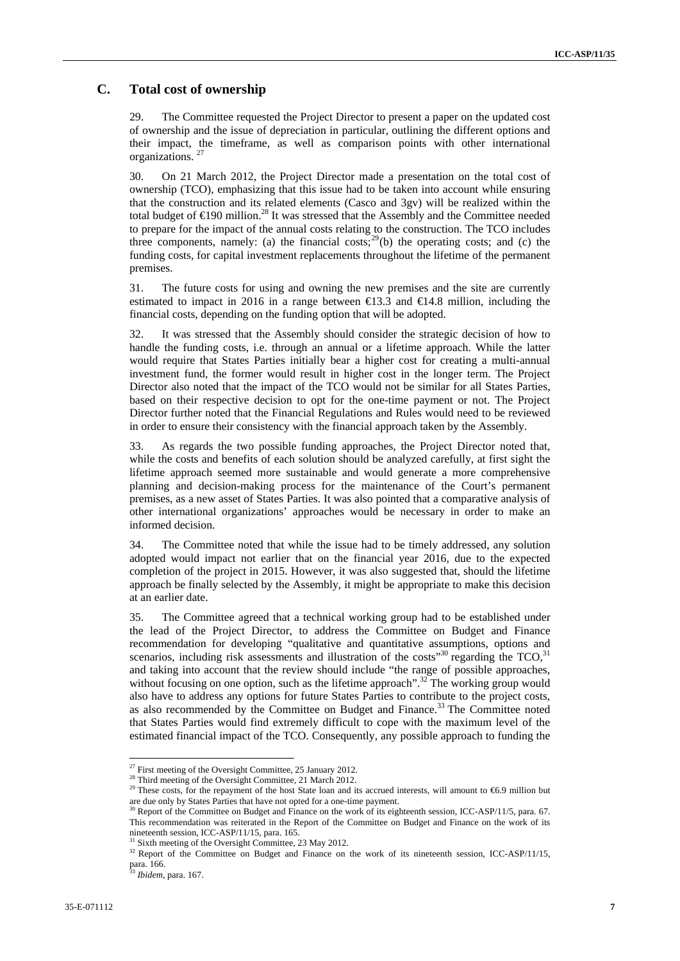### **C. Total cost of ownership**

29. The Committee requested the Project Director to present a paper on the updated cost of ownership and the issue of depreciation in particular, outlining the different options and their impact, the timeframe, as well as comparison points with other international organizations. 27

30. On 21 March 2012, the Project Director made a presentation on the total cost of ownership (TCO), emphasizing that this issue had to be taken into account while ensuring that the construction and its related elements (Casco and 3gv) will be realized within the total budget of  $\in$ 190 million.<sup>28</sup> It was stressed that the Assembly and the Committee needed to prepare for the impact of the annual costs relating to the construction. The TCO includes three components, namely: (a) the financial costs;<sup>29</sup>(b) the operating costs; and (c) the funding costs, for capital investment replacements throughout the lifetime of the permanent premises.

31. The future costs for using and owning the new premises and the site are currently estimated to impact in 2016 in a range between  $\in$  3.3 and  $\in$  4.8 million, including the financial costs, depending on the funding option that will be adopted.

32. It was stressed that the Assembly should consider the strategic decision of how to handle the funding costs, i.e. through an annual or a lifetime approach. While the latter would require that States Parties initially bear a higher cost for creating a multi-annual investment fund, the former would result in higher cost in the longer term. The Project Director also noted that the impact of the TCO would not be similar for all States Parties, based on their respective decision to opt for the one-time payment or not. The Project Director further noted that the Financial Regulations and Rules would need to be reviewed in order to ensure their consistency with the financial approach taken by the Assembly.

33. As regards the two possible funding approaches, the Project Director noted that, while the costs and benefits of each solution should be analyzed carefully, at first sight the lifetime approach seemed more sustainable and would generate a more comprehensive planning and decision-making process for the maintenance of the Court's permanent premises, as a new asset of States Parties. It was also pointed that a comparative analysis of other international organizations' approaches would be necessary in order to make an informed decision.

34. The Committee noted that while the issue had to be timely addressed, any solution adopted would impact not earlier that on the financial year 2016, due to the expected completion of the project in 2015. However, it was also suggested that, should the lifetime approach be finally selected by the Assembly, it might be appropriate to make this decision at an earlier date.

35. The Committee agreed that a technical working group had to be established under the lead of the Project Director, to address the Committee on Budget and Finance recommendation for developing "qualitative and quantitative assumptions, options and scenarios, including risk assessments and illustration of the costs<sup>30</sup> regarding the  $TCO<sup>31</sup>$ and taking into account that the review should include "the range of possible approaches, without focusing on one option, such as the lifetime approach".<sup>32</sup> The working group would also have to address any options for future States Parties to contribute to the project costs, as also recommended by the Committee on Budget and Finance.<sup>33</sup> The Committee noted that States Parties would find extremely difficult to cope with the maximum level of the estimated financial impact of the TCO. Consequently, any possible approach to funding the

 $27$  First meeting of the Oversight Committee, 25 January 2012.

<sup>&</sup>lt;sup>28</sup> Third meeting of the Oversight Committee, 21 March 2012.

<sup>&</sup>lt;sup>29</sup> These costs, for the repayment of the host State loan and its accrued interests, will amount to €6.9 million but are due only by States Parties that have not opted for a one-time payment.<br><sup>30</sup> Report of the Committee on Budget and Finance on the work of its eighteenth session, ICC-ASP/11/5, para. 67.

This recommendation was reiterated in the Report of the Committee on Budget and Finance on the work of its nineteenth session, ICC-ASP/11/15, para. 165.

<sup>&</sup>lt;sup>31</sup> Sixth meeting of the Oversight Committee, 23 May 2012.

<sup>&</sup>lt;sup>32</sup> Report of the Committee on Budget and Finance on the work of its nineteenth session, ICC-ASP/11/15, para. 166.

<sup>33</sup> *Ibidem*, para. 167.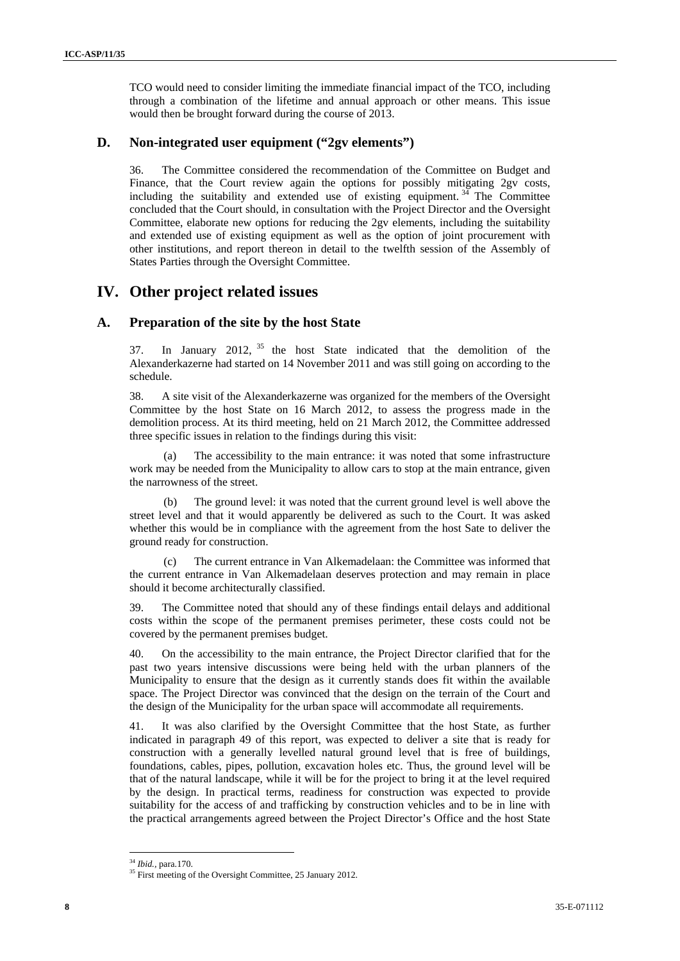TCO would need to consider limiting the immediate financial impact of the TCO, including through a combination of the lifetime and annual approach or other means. This issue would then be brought forward during the course of 2013.

### **D. Non-integrated user equipment ("2gv elements")**

36. The Committee considered the recommendation of the Committee on Budget and Finance, that the Court review again the options for possibly mitigating 2gv costs, including the suitability and extended use of existing equipment.  $3<sup>4</sup>$  The Committee concluded that the Court should, in consultation with the Project Director and the Oversight Committee, elaborate new options for reducing the 2gv elements, including the suitability and extended use of existing equipment as well as the option of joint procurement with other institutions, and report thereon in detail to the twelfth session of the Assembly of States Parties through the Oversight Committee.

## **IV. Other project related issues**

### **A. Preparation of the site by the host State**

37. In January 2012, <sup>35</sup> the host State indicated that the demolition of the Alexanderkazerne had started on 14 November 2011 and was still going on according to the schedule.

38. A site visit of the Alexanderkazerne was organized for the members of the Oversight Committee by the host State on 16 March 2012, to assess the progress made in the demolition process. At its third meeting, held on 21 March 2012, the Committee addressed three specific issues in relation to the findings during this visit:

(a) The accessibility to the main entrance: it was noted that some infrastructure work may be needed from the Municipality to allow cars to stop at the main entrance, given the narrowness of the street.

(b) The ground level: it was noted that the current ground level is well above the street level and that it would apparently be delivered as such to the Court. It was asked whether this would be in compliance with the agreement from the host Sate to deliver the ground ready for construction.

(c) The current entrance in Van Alkemadelaan: the Committee was informed that the current entrance in Van Alkemadelaan deserves protection and may remain in place should it become architecturally classified.

39. The Committee noted that should any of these findings entail delays and additional costs within the scope of the permanent premises perimeter, these costs could not be covered by the permanent premises budget.

40. On the accessibility to the main entrance, the Project Director clarified that for the past two years intensive discussions were being held with the urban planners of the Municipality to ensure that the design as it currently stands does fit within the available space. The Project Director was convinced that the design on the terrain of the Court and the design of the Municipality for the urban space will accommodate all requirements.

41. It was also clarified by the Oversight Committee that the host State, as further indicated in paragraph 49 of this report, was expected to deliver a site that is ready for construction with a generally levelled natural ground level that is free of buildings, foundations, cables, pipes, pollution, excavation holes etc. Thus, the ground level will be that of the natural landscape, while it will be for the project to bring it at the level required by the design. In practical terms, readiness for construction was expected to provide suitability for the access of and trafficking by construction vehicles and to be in line with the practical arrangements agreed between the Project Director's Office and the host State

<sup>&</sup>lt;sup>34</sup> *Ibid.*, para.170.<br><sup>35</sup> First meeting of the Oversight Committee, 25 January 2012.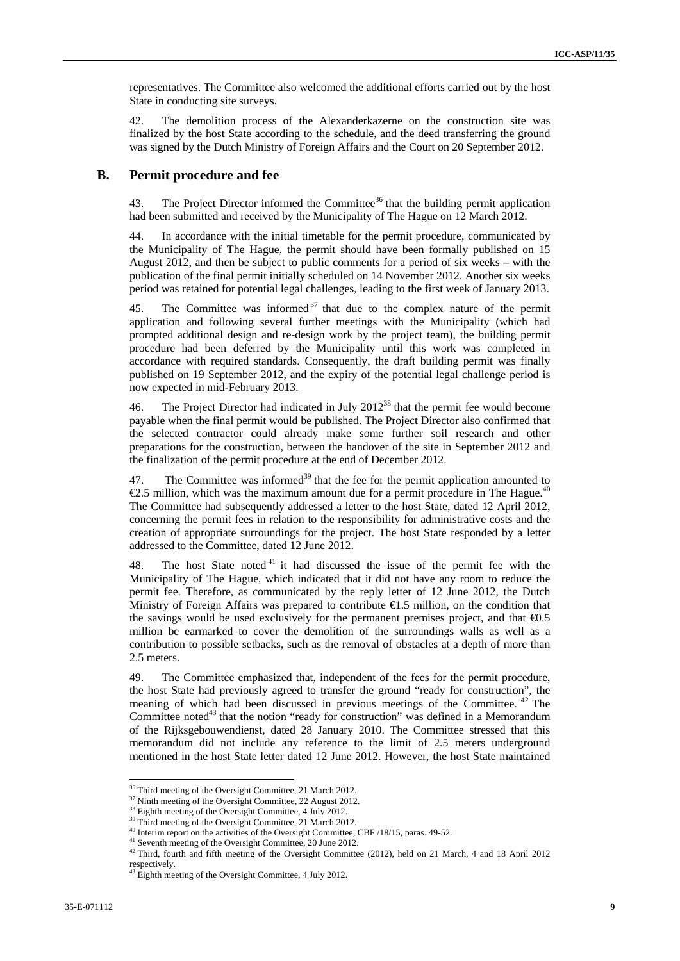representatives. The Committee also welcomed the additional efforts carried out by the host State in conducting site surveys.

42. The demolition process of the Alexanderkazerne on the construction site was finalized by the host State according to the schedule, and the deed transferring the ground was signed by the Dutch Ministry of Foreign Affairs and the Court on 20 September 2012.

### **B. Permit procedure and fee**

43. The Project Director informed the Committee<sup>36</sup> that the building permit application had been submitted and received by the Municipality of The Hague on 12 March 2012.

44. In accordance with the initial timetable for the permit procedure, communicated by the Municipality of The Hague, the permit should have been formally published on 15 August 2012, and then be subject to public comments for a period of six weeks – with the publication of the final permit initially scheduled on 14 November 2012. Another six weeks period was retained for potential legal challenges, leading to the first week of January 2013.

45. The Committee was informed  $37$  that due to the complex nature of the permit application and following several further meetings with the Municipality (which had prompted additional design and re-design work by the project team), the building permit procedure had been deferred by the Municipality until this work was completed in accordance with required standards. Consequently, the draft building permit was finally published on 19 September 2012, and the expiry of the potential legal challenge period is now expected in mid-February 2013.

46. The Project Director had indicated in July  $2012^{38}$  that the permit fee would become payable when the final permit would be published. The Project Director also confirmed that the selected contractor could already make some further soil research and other preparations for the construction, between the handover of the site in September 2012 and the finalization of the permit procedure at the end of December 2012.

47. The Committee was informed<sup>39</sup> that the fee for the permit application amounted to  $\epsilon$ 2.5 million, which was the maximum amount due for a permit procedure in The Hague.<sup>40</sup> The Committee had subsequently addressed a letter to the host State, dated 12 April 2012, concerning the permit fees in relation to the responsibility for administrative costs and the creation of appropriate surroundings for the project. The host State responded by a letter addressed to the Committee, dated 12 June 2012.

48. The host State noted<sup>41</sup> it had discussed the issue of the permit fee with the Municipality of The Hague, which indicated that it did not have any room to reduce the permit fee. Therefore, as communicated by the reply letter of 12 June 2012, the Dutch Ministry of Foreign Affairs was prepared to contribute €1.5 million, on the condition that the savings would be used exclusively for the permanent premises project, and that  $\text{\textcircled{40.5}}$ million be earmarked to cover the demolition of the surroundings walls as well as a contribution to possible setbacks, such as the removal of obstacles at a depth of more than 2.5 meters.

49. The Committee emphasized that, independent of the fees for the permit procedure, the host State had previously agreed to transfer the ground "ready for construction", the meaning of which had been discussed in previous meetings of the Committee. 42 The Committee noted<sup>43</sup> that the notion "ready for construction" was defined in a Memorandum of the Rijksgebouwendienst, dated 28 January 2010. The Committee stressed that this memorandum did not include any reference to the limit of 2.5 meters underground mentioned in the host State letter dated 12 June 2012. However, the host State maintained

<sup>36</sup> Third meeting of the Oversight Committee, 21 March 2012.

 $37$  Ninth meeting of the Oversight Committee, 22 August 2012.

<sup>&</sup>lt;sup>38</sup> Eighth meeting of the Oversight Committee, 4 July 2012.

<sup>&</sup>lt;sup>39</sup> Third meeting of the Oversight Committee, 21 March 2012.<br><sup>40</sup> Interim report on the activities of the Oversight Committee, CBF /18/15, paras. 49-52.

<sup>&</sup>lt;sup>41</sup> Seventh meeting of the Oversight Committee, 20 June 2012.<br><sup>42</sup> Third, fourth and fifth meeting of the Oversight Committee (2012), held on 21 March, 4 and 18 April 2012 respectively.

<sup>&</sup>lt;sup>43</sup> Eighth meeting of the Oversight Committee, 4 July 2012.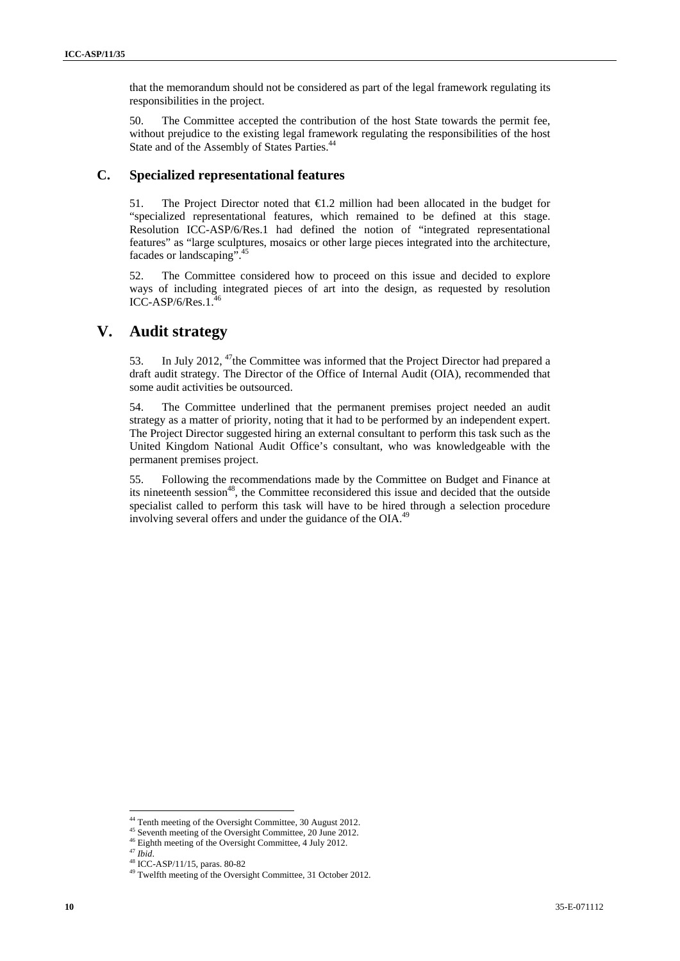that the memorandum should not be considered as part of the legal framework regulating its responsibilities in the project.

50. The Committee accepted the contribution of the host State towards the permit fee, without prejudice to the existing legal framework regulating the responsibilities of the host State and of the Assembly of States Parties.<sup>44</sup>

### **C. Specialized representational features**

51. The Project Director noted that €1.2 million had been allocated in the budget for "specialized representational features, which remained to be defined at this stage. Resolution ICC-ASP/6/Res.1 had defined the notion of "integrated representational features" as "large sculptures, mosaics or other large pieces integrated into the architecture, facades or landscaping".45

52. The Committee considered how to proceed on this issue and decided to explore ways of including integrated pieces of art into the design, as requested by resolution  $ICC-ASP/6/Res.1<sup>5</sup>$ 

## **V. Audit strategy**

53. In July 2012,  $47$ the Committee was informed that the Project Director had prepared a draft audit strategy. The Director of the Office of Internal Audit (OIA), recommended that some audit activities be outsourced.

54. The Committee underlined that the permanent premises project needed an audit strategy as a matter of priority, noting that it had to be performed by an independent expert. The Project Director suggested hiring an external consultant to perform this task such as the United Kingdom National Audit Office's consultant, who was knowledgeable with the permanent premises project.

55. Following the recommendations made by the Committee on Budget and Finance at its nineteenth session<sup>48</sup>, the Committee reconsidered this issue and decided that the outside specialist called to perform this task will have to be hired through a selection procedure involving several offers and under the guidance of the OIA.<sup>49</sup>

 $\overline{a}$ <sup>44</sup> Tenth meeting of the Oversight Committee, 30 August 2012.<br><sup>45</sup> Seventh meeting of the Oversight Committee, 20 June 2012.

<sup>46</sup> Eighth meeting of the Oversight Committee, 4 July 2012.<br> $47 \text{ Jbid.}$ 

<sup>47</sup> *Ibid*. 48 ICC-ASP/11/15, paras. 80-82

<sup>&</sup>lt;sup>49</sup> Twelfth meeting of the Oversight Committee, 31 October 2012.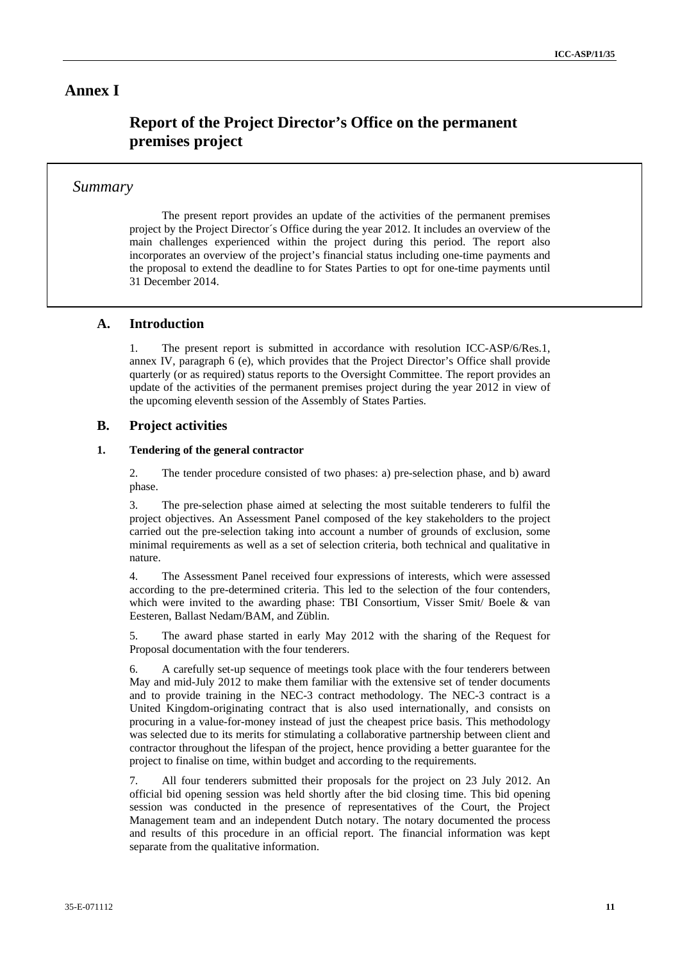### **Annex I**

## **Report of the Project Director's Office on the permanent premises project**

### *Summary*

The present report provides an update of the activities of the permanent premises project by the Project Director´s Office during the year 2012. It includes an overview of the main challenges experienced within the project during this period. The report also incorporates an overview of the project's financial status including one-time payments and the proposal to extend the deadline to for States Parties to opt for one-time payments until 31 December 2014.

### **A. Introduction**

1. The present report is submitted in accordance with resolution ICC-ASP/6/Res.1, annex IV, paragraph 6 (e), which provides that the Project Director's Office shall provide quarterly (or as required) status reports to the Oversight Committee. The report provides an update of the activities of the permanent premises project during the year 2012 in view of the upcoming eleventh session of the Assembly of States Parties.

### **B. Project activities**

### **1. Tendering of the general contractor**

2. The tender procedure consisted of two phases: a) pre-selection phase, and b) award phase.

3. The pre-selection phase aimed at selecting the most suitable tenderers to fulfil the project objectives. An Assessment Panel composed of the key stakeholders to the project carried out the pre-selection taking into account a number of grounds of exclusion, some minimal requirements as well as a set of selection criteria, both technical and qualitative in nature.

4. The Assessment Panel received four expressions of interests, which were assessed according to the pre-determined criteria. This led to the selection of the four contenders, which were invited to the awarding phase: TBI Consortium, Visser Smit/ Boele & van Eesteren, Ballast Nedam/BAM, and Züblin.

5. The award phase started in early May 2012 with the sharing of the Request for Proposal documentation with the four tenderers.

6. A carefully set-up sequence of meetings took place with the four tenderers between May and mid-July 2012 to make them familiar with the extensive set of tender documents and to provide training in the NEC-3 contract methodology. The NEC-3 contract is a United Kingdom-originating contract that is also used internationally, and consists on procuring in a value-for-money instead of just the cheapest price basis. This methodology was selected due to its merits for stimulating a collaborative partnership between client and contractor throughout the lifespan of the project, hence providing a better guarantee for the project to finalise on time, within budget and according to the requirements.

All four tenderers submitted their proposals for the project on 23 July 2012. An official bid opening session was held shortly after the bid closing time. This bid opening session was conducted in the presence of representatives of the Court, the Project Management team and an independent Dutch notary. The notary documented the process and results of this procedure in an official report. The financial information was kept separate from the qualitative information.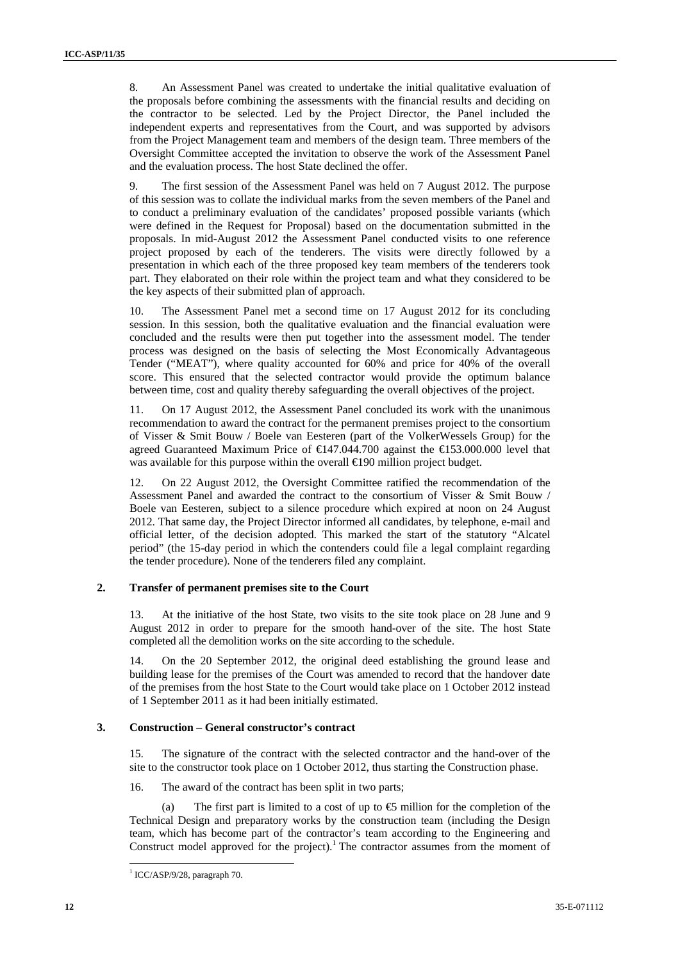8. An Assessment Panel was created to undertake the initial qualitative evaluation of the proposals before combining the assessments with the financial results and deciding on the contractor to be selected. Led by the Project Director, the Panel included the independent experts and representatives from the Court, and was supported by advisors from the Project Management team and members of the design team. Three members of the Oversight Committee accepted the invitation to observe the work of the Assessment Panel and the evaluation process. The host State declined the offer.

9. The first session of the Assessment Panel was held on 7 August 2012. The purpose of this session was to collate the individual marks from the seven members of the Panel and to conduct a preliminary evaluation of the candidates' proposed possible variants (which were defined in the Request for Proposal) based on the documentation submitted in the proposals. In mid-August 2012 the Assessment Panel conducted visits to one reference project proposed by each of the tenderers. The visits were directly followed by a presentation in which each of the three proposed key team members of the tenderers took part. They elaborated on their role within the project team and what they considered to be the key aspects of their submitted plan of approach.

10. The Assessment Panel met a second time on 17 August 2012 for its concluding session. In this session, both the qualitative evaluation and the financial evaluation were concluded and the results were then put together into the assessment model. The tender process was designed on the basis of selecting the Most Economically Advantageous Tender ("MEAT"), where quality accounted for 60% and price for 40% of the overall score. This ensured that the selected contractor would provide the optimum balance between time, cost and quality thereby safeguarding the overall objectives of the project.

11. On 17 August 2012, the Assessment Panel concluded its work with the unanimous recommendation to award the contract for the permanent premises project to the consortium of Visser & Smit Bouw / Boele van Eesteren (part of the VolkerWessels Group) for the agreed Guaranteed Maximum Price of €147.044.700 against the €153.000.000 level that was available for this purpose within the overall €190 million project budget.

12. On 22 August 2012, the Oversight Committee ratified the recommendation of the Assessment Panel and awarded the contract to the consortium of Visser & Smit Bouw / Boele van Eesteren, subject to a silence procedure which expired at noon on 24 August 2012. That same day, the Project Director informed all candidates, by telephone, e-mail and official letter, of the decision adopted. This marked the start of the statutory "Alcatel period" (the 15-day period in which the contenders could file a legal complaint regarding the tender procedure). None of the tenderers filed any complaint.

### **2. Transfer of permanent premises site to the Court**

13. At the initiative of the host State, two visits to the site took place on 28 June and 9 August 2012 in order to prepare for the smooth hand-over of the site. The host State completed all the demolition works on the site according to the schedule.

14. On the 20 September 2012, the original deed establishing the ground lease and building lease for the premises of the Court was amended to record that the handover date of the premises from the host State to the Court would take place on 1 October 2012 instead of 1 September 2011 as it had been initially estimated.

#### **3. Construction – General constructor's contract**

15. The signature of the contract with the selected contractor and the hand-over of the site to the constructor took place on 1 October 2012, thus starting the Construction phase.

16. The award of the contract has been split in two parts;

(a) The first part is limited to a cost of up to  $\bigoplus$  million for the completion of the Technical Design and preparatory works by the construction team (including the Design team, which has become part of the contractor's team according to the Engineering and Construct model approved for the project).<sup>1</sup> The contractor assumes from the moment of

<sup>&</sup>lt;sup>1</sup> ICC/ASP/9/28, paragraph 70.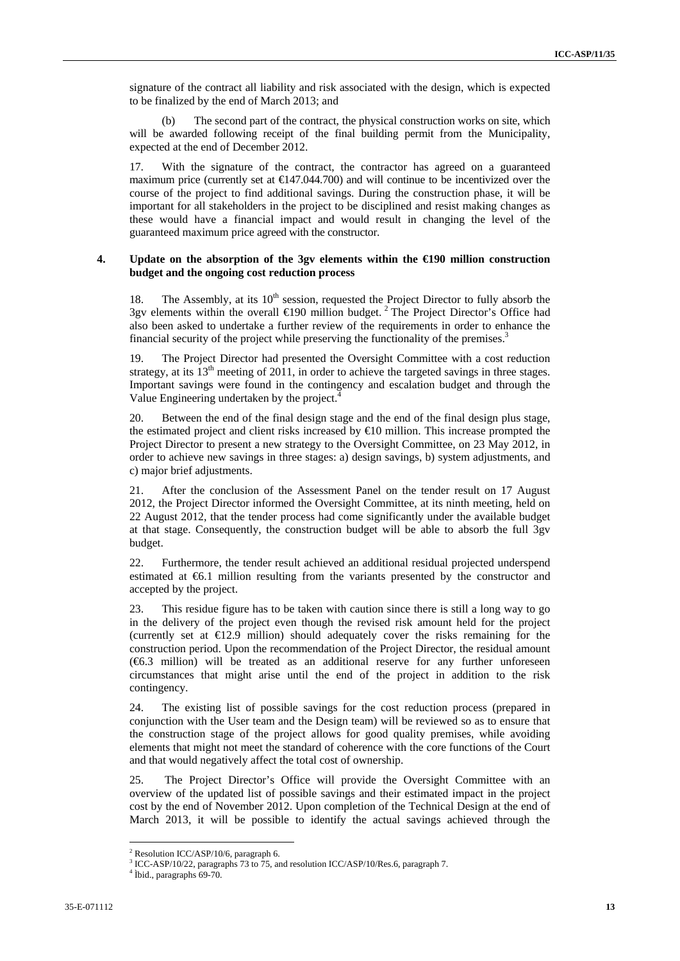signature of the contract all liability and risk associated with the design, which is expected to be finalized by the end of March 2013; and

(b) The second part of the contract, the physical construction works on site, which will be awarded following receipt of the final building permit from the Municipality, expected at the end of December 2012.

17. With the signature of the contract, the contractor has agreed on a guaranteed maximum price (currently set at €147.044.700) and will continue to be incentivized over the course of the project to find additional savings. During the construction phase, it will be important for all stakeholders in the project to be disciplined and resist making changes as these would have a financial impact and would result in changing the level of the guaranteed maximum price agreed with the constructor.

### **4. Update on the absorption of the 3gv elements within the €190 million construction budget and the ongoing cost reduction process**

18. The Assembly, at its 10<sup>th</sup> session, requested the Project Director to fully absorb the 3gv elements within the overall  $\in$  90 million budget.<sup>2</sup> The Project Director's Office had also been asked to undertake a further review of the requirements in order to enhance the financial security of the project while preserving the functionality of the premises.<sup>3</sup>

19. The Project Director had presented the Oversight Committee with a cost reduction strategy, at its  $13<sup>th</sup>$  meeting of 2011, in order to achieve the targeted savings in three stages. Important savings were found in the contingency and escalation budget and through the Value Engineering undertaken by the project.<sup>4</sup>

20. Between the end of the final design stage and the end of the final design plus stage, the estimated project and client risks increased by  $\bigoplus$  million. This increase prompted the Project Director to present a new strategy to the Oversight Committee, on 23 May 2012, in order to achieve new savings in three stages: a) design savings, b) system adjustments, and c) major brief adjustments.

21. After the conclusion of the Assessment Panel on the tender result on 17 August 2012, the Project Director informed the Oversight Committee, at its ninth meeting, held on 22 August 2012, that the tender process had come significantly under the available budget at that stage. Consequently, the construction budget will be able to absorb the full 3gv budget.

22. Furthermore, the tender result achieved an additional residual projected underspend estimated at €6.1 million resulting from the variants presented by the constructor and accepted by the project.

23. This residue figure has to be taken with caution since there is still a long way to go in the delivery of the project even though the revised risk amount held for the project (currently set at  $\bigoplus$ 2.9 million) should adequately cover the risks remaining for the construction period. Upon the recommendation of the Project Director, the residual amount (€6.3 million) will be treated as an additional reserve for any further unforeseen circumstances that might arise until the end of the project in addition to the risk contingency.

24. The existing list of possible savings for the cost reduction process (prepared in conjunction with the User team and the Design team) will be reviewed so as to ensure that the construction stage of the project allows for good quality premises, while avoiding elements that might not meet the standard of coherence with the core functions of the Court and that would negatively affect the total cost of ownership.

25. The Project Director's Office will provide the Oversight Committee with an overview of the updated list of possible savings and their estimated impact in the project cost by the end of November 2012. Upon completion of the Technical Design at the end of March 2013, it will be possible to identify the actual savings achieved through the

<sup>&</sup>lt;sup>2</sup> Resolution ICC/ASP/10/6, paragraph 6.

 $3 \text{ ICC-ASP/10/22}$ , paragraphs 73 to 75, and resolution ICC/ASP/10/Res.6, paragraph 7.

<sup>&</sup>lt;sup>4</sup> Ìbid., paragraphs 69-70.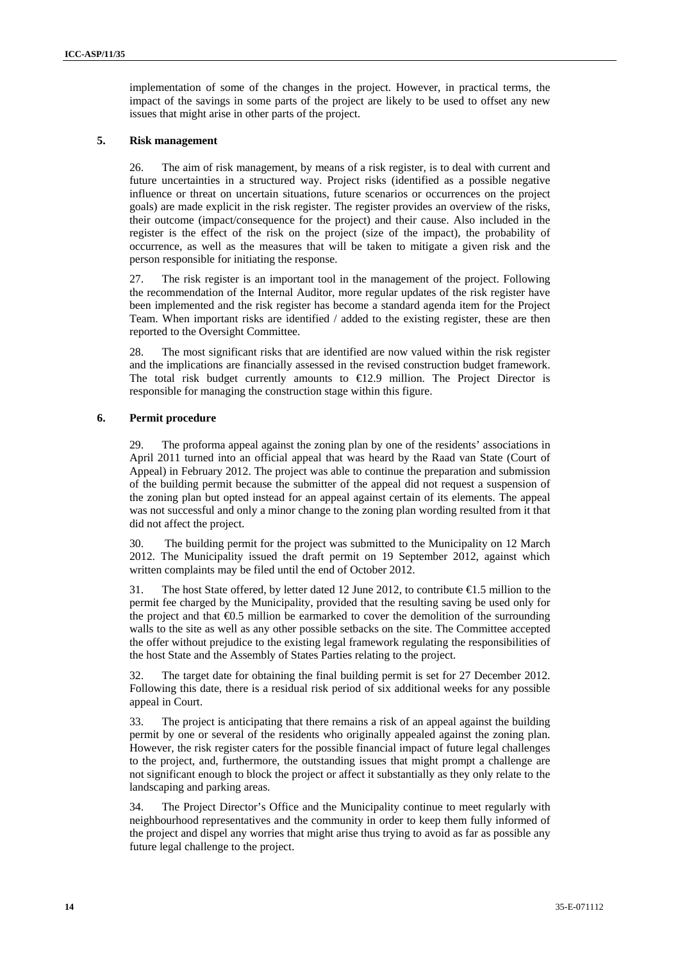implementation of some of the changes in the project. However, in practical terms, the impact of the savings in some parts of the project are likely to be used to offset any new issues that might arise in other parts of the project.

### **5. Risk management**

26. The aim of risk management, by means of a risk register, is to deal with current and future uncertainties in a structured way. Project risks (identified as a possible negative influence or threat on uncertain situations, future scenarios or occurrences on the project goals) are made explicit in the risk register. The register provides an overview of the risks, their outcome (impact/consequence for the project) and their cause. Also included in the register is the effect of the risk on the project (size of the impact), the probability of occurrence, as well as the measures that will be taken to mitigate a given risk and the person responsible for initiating the response.

27. The risk register is an important tool in the management of the project. Following the recommendation of the Internal Auditor, more regular updates of the risk register have been implemented and the risk register has become a standard agenda item for the Project Team. When important risks are identified / added to the existing register, these are then reported to the Oversight Committee.

28. The most significant risks that are identified are now valued within the risk register and the implications are financially assessed in the revised construction budget framework. The total risk budget currently amounts to  $\epsilon$ 12.9 million. The Project Director is responsible for managing the construction stage within this figure.

### **6. Permit procedure**

29. The proforma appeal against the zoning plan by one of the residents' associations in April 2011 turned into an official appeal that was heard by the Raad van State (Court of Appeal) in February 2012. The project was able to continue the preparation and submission of the building permit because the submitter of the appeal did not request a suspension of the zoning plan but opted instead for an appeal against certain of its elements. The appeal was not successful and only a minor change to the zoning plan wording resulted from it that did not affect the project.

30. The building permit for the project was submitted to the Municipality on 12 March 2012. The Municipality issued the draft permit on 19 September 2012, against which written complaints may be filed until the end of October 2012.

31. The host State offered, by letter dated 12 June 2012, to contribute €1.5 million to the permit fee charged by the Municipality, provided that the resulting saving be used only for the project and that €0.5 million be earmarked to cover the demolition of the surrounding walls to the site as well as any other possible setbacks on the site. The Committee accepted the offer without prejudice to the existing legal framework regulating the responsibilities of the host State and the Assembly of States Parties relating to the project.

32. The target date for obtaining the final building permit is set for 27 December 2012. Following this date, there is a residual risk period of six additional weeks for any possible appeal in Court.

33. The project is anticipating that there remains a risk of an appeal against the building permit by one or several of the residents who originally appealed against the zoning plan. However, the risk register caters for the possible financial impact of future legal challenges to the project, and, furthermore, the outstanding issues that might prompt a challenge are not significant enough to block the project or affect it substantially as they only relate to the landscaping and parking areas.

34. The Project Director's Office and the Municipality continue to meet regularly with neighbourhood representatives and the community in order to keep them fully informed of the project and dispel any worries that might arise thus trying to avoid as far as possible any future legal challenge to the project.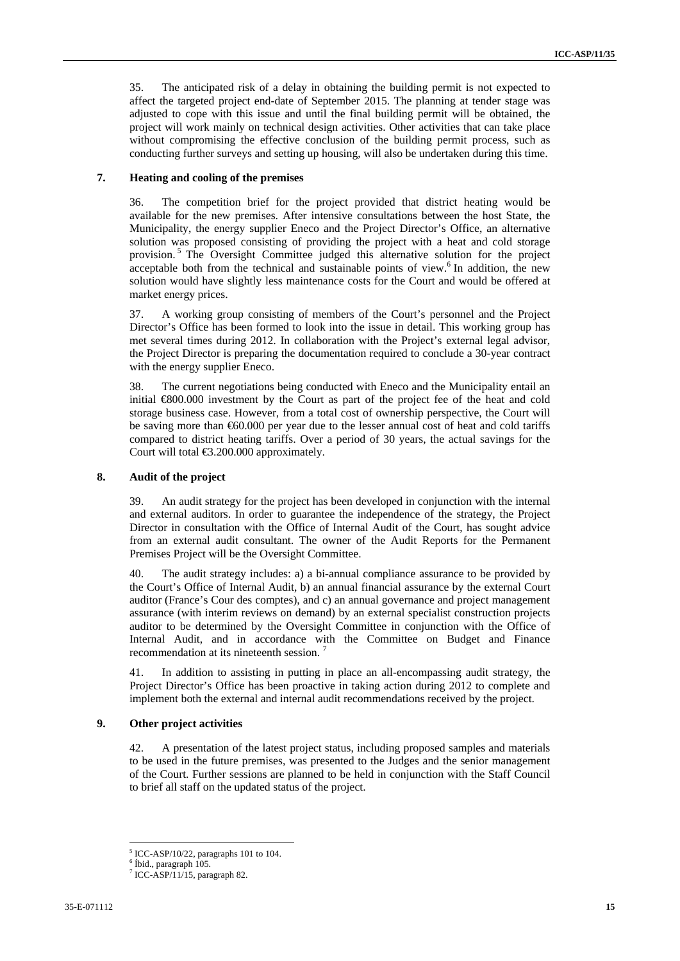35. The anticipated risk of a delay in obtaining the building permit is not expected to affect the targeted project end-date of September 2015. The planning at tender stage was adjusted to cope with this issue and until the final building permit will be obtained, the project will work mainly on technical design activities. Other activities that can take place without compromising the effective conclusion of the building permit process, such as conducting further surveys and setting up housing, will also be undertaken during this time.

#### **7. Heating and cooling of the premises**

36. The competition brief for the project provided that district heating would be available for the new premises. After intensive consultations between the host State, the Municipality, the energy supplier Eneco and the Project Director's Office, an alternative solution was proposed consisting of providing the project with a heat and cold storage provision. 5 The Oversight Committee judged this alternative solution for the project acceptable both from the technical and sustainable points of view.<sup>6</sup> In addition, the new solution would have slightly less maintenance costs for the Court and would be offered at market energy prices.

37. A working group consisting of members of the Court's personnel and the Project Director's Office has been formed to look into the issue in detail. This working group has met several times during 2012. In collaboration with the Project's external legal advisor, the Project Director is preparing the documentation required to conclude a 30-year contract with the energy supplier Eneco.

38. The current negotiations being conducted with Eneco and the Municipality entail an initial €800.000 investment by the Court as part of the project fee of the heat and cold storage business case. However, from a total cost of ownership perspective, the Court will be saving more than €60.000 per year due to the lesser annual cost of heat and cold tariffs compared to district heating tariffs. Over a period of 30 years, the actual savings for the Court will total €3.200.000 approximately.

#### **8. Audit of the project**

39. An audit strategy for the project has been developed in conjunction with the internal and external auditors. In order to guarantee the independence of the strategy, the Project Director in consultation with the Office of Internal Audit of the Court, has sought advice from an external audit consultant. The owner of the Audit Reports for the Permanent Premises Project will be the Oversight Committee.

40. The audit strategy includes: a) a bi-annual compliance assurance to be provided by the Court's Office of Internal Audit, b) an annual financial assurance by the external Court auditor (France's Cour des comptes), and c) an annual governance and project management assurance (with interim reviews on demand) by an external specialist construction projects auditor to be determined by the Oversight Committee in conjunction with the Office of Internal Audit, and in accordance with the Committee on Budget and Finance recommendation at its nineteenth session.

41. In addition to assisting in putting in place an all-encompassing audit strategy, the Project Director's Office has been proactive in taking action during 2012 to complete and implement both the external and internal audit recommendations received by the project.

#### **9. Other project activities**

42. A presentation of the latest project status, including proposed samples and materials to be used in the future premises, was presented to the Judges and the senior management of the Court. Further sessions are planned to be held in conjunction with the Staff Council to brief all staff on the updated status of the project.

<sup>&</sup>lt;sup>5</sup> ICC-ASP/10/22, paragraphs 101 to 104.

<sup>6</sup> Íbid., paragraph 105.

<sup>7</sup> ICC-ASP/11/15, paragraph 82.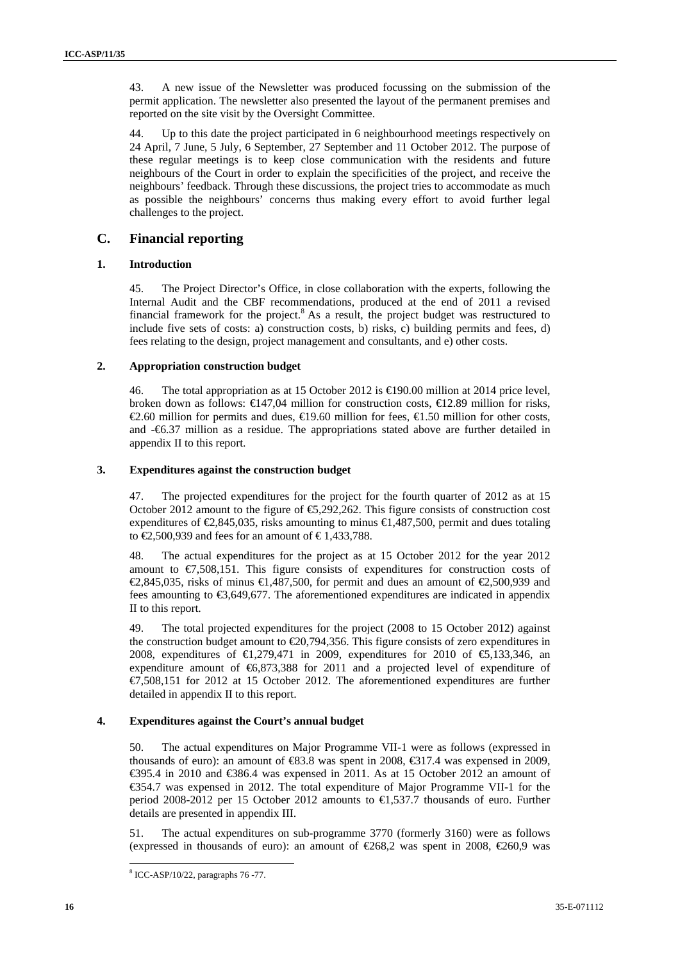43. A new issue of the Newsletter was produced focussing on the submission of the permit application. The newsletter also presented the layout of the permanent premises and reported on the site visit by the Oversight Committee.

44. Up to this date the project participated in 6 neighbourhood meetings respectively on 24 April, 7 June, 5 July, 6 September, 27 September and 11 October 2012. The purpose of these regular meetings is to keep close communication with the residents and future neighbours of the Court in order to explain the specificities of the project, and receive the neighbours' feedback. Through these discussions, the project tries to accommodate as much as possible the neighbours' concerns thus making every effort to avoid further legal challenges to the project.

### **C. Financial reporting**

### **1. Introduction**

45. The Project Director's Office, in close collaboration with the experts, following the Internal Audit and the CBF recommendations, produced at the end of 2011 a revised financial framework for the project. $8$  As a result, the project budget was restructured to include five sets of costs: a) construction costs, b) risks, c) building permits and fees, d) fees relating to the design, project management and consultants, and e) other costs.

### **2. Appropriation construction budget**

46. The total appropriation as at 15 October 2012 is  $\trianglelefteq 90.00$  million at 2014 price level, broken down as follows:  $\epsilon 147,04$  million for construction costs,  $\epsilon 12.89$  million for risks, €2.60 million for permits and dues,  $\bigoplus$ 9.60 million for fees,  $\bigoplus$ .50 million for other costs, and -€6.37 million as a residue. The appropriations stated above are further detailed in appendix II to this report.

### **3. Expenditures against the construction budget**

47. The projected expenditures for the project for the fourth quarter of 2012 as at 15 October 2012 amount to the figure of  $\epsilon$ , 292, 262. This figure consists of construction cost expenditures of  $\mathcal{Q}, 845, 035$ , risks amounting to minus  $\mathcal{Q}, 487, 500$ , permit and dues totaling to  $\text{\textsterling}2,500,939$  and fees for an amount of  $\text{\textsterling}1,433,788$ .

48. The actual expenditures for the project as at 15 October 2012 for the year 2012 amount to  $\epsilon$ 7,508,151. This figure consists of expenditures for construction costs of €2,845,035, risks of minus €1,487,500, for permit and dues an amount of €2,500,939 and fees amounting to €3,649,677. The aforementioned expenditures are indicated in appendix II to this report.

49. The total projected expenditures for the project (2008 to 15 October 2012) against the construction budget amount to €20,794,356. This figure consists of zero expenditures in 2008, expenditures of €1,279,471 in 2009, expenditures for 2010 of €5,133,346, an expenditure amount of €6,873,388 for 2011 and a projected level of expenditure of €7,508,151 for 2012 at 15 October 2012. The aforementioned expenditures are further detailed in appendix II to this report.

### **4. Expenditures against the Court's annual budget**

50. The actual expenditures on Major Programme VII-1 were as follows (expressed in thousands of euro): an amount of  $\text{\textsterling}3.8$  was spent in 2008,  $\text{\textsterling}317.4$  was expensed in 2009, €395.4 in 2010 and €386.4 was expensed in 2011. As at 15 October 2012 an amount of €354.7 was expensed in 2012. The total expenditure of Major Programme VII-1 for the period 2008-2012 per 15 October 2012 amounts to €1,537.7 thousands of euro. Further details are presented in appendix III.

51. The actual expenditures on sub-programme 3770 (formerly 3160) were as follows (expressed in thousands of euro): an amount of  $E$ 68.2 was spent in 2008,  $E$ 60.9 was

<sup>8</sup> ICC-ASP/10/22, paragraphs 76 -77.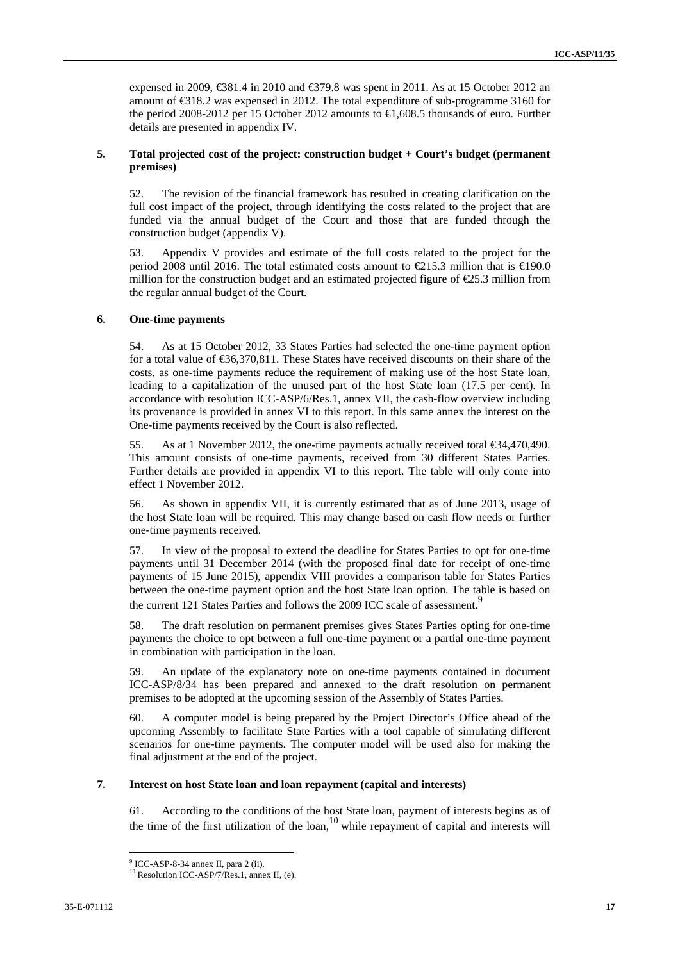expensed in 2009,  $\text{\textsterling}31.4$  in 2010 and  $\text{\textsterling}379.8$  was spent in 2011. As at 15 October 2012 an amount of €318.2 was expensed in 2012. The total expenditure of sub-programme 3160 for the period 2008-2012 per 15 October 2012 amounts to €1,608.5 thousands of euro. Further details are presented in appendix IV.

### **5. Total projected cost of the project: construction budget + Court's budget (permanent premises)**

52. The revision of the financial framework has resulted in creating clarification on the full cost impact of the project, through identifying the costs related to the project that are funded via the annual budget of the Court and those that are funded through the construction budget (appendix V).

53. Appendix V provides and estimate of the full costs related to the project for the period 2008 until 2016. The total estimated costs amount to  $\epsilon$ 215.3 million that is  $\epsilon$ 190.0 million for the construction budget and an estimated projected figure of  $E$ 5.3 million from the regular annual budget of the Court.

### **6. One-time payments**

54. As at 15 October 2012, 33 States Parties had selected the one-time payment option for a total value of €36,370,811. These States have received discounts on their share of the costs, as one-time payments reduce the requirement of making use of the host State loan, leading to a capitalization of the unused part of the host State loan (17.5 per cent). In accordance with resolution ICC-ASP/6/Res.1, annex VII, the cash-flow overview including its provenance is provided in annex VI to this report. In this same annex the interest on the One-time payments received by the Court is also reflected.

55. As at 1 November 2012, the one-time payments actually received total  $\epsilon$ 34,470,490. This amount consists of one-time payments, received from 30 different States Parties. Further details are provided in appendix VI to this report. The table will only come into effect 1 November 2012.

56. As shown in appendix VII, it is currently estimated that as of June 2013, usage of the host State loan will be required. This may change based on cash flow needs or further one-time payments received.

57. In view of the proposal to extend the deadline for States Parties to opt for one-time payments until 31 December 2014 (with the proposed final date for receipt of one-time payments of 15 June 2015), appendix VIII provides a comparison table for States Parties between the one-time payment option and the host State loan option. The table is based on the current 121 States Parties and follows the 2009 ICC scale of assessment.<sup>5</sup>

58. The draft resolution on permanent premises gives States Parties opting for one-time payments the choice to opt between a full one-time payment or a partial one-time payment in combination with participation in the loan.

59. An update of the explanatory note on one-time payments contained in document ICC-ASP/8/34 has been prepared and annexed to the draft resolution on permanent premises to be adopted at the upcoming session of the Assembly of States Parties.

60. A computer model is being prepared by the Project Director's Office ahead of the upcoming Assembly to facilitate State Parties with a tool capable of simulating different scenarios for one-time payments. The computer model will be used also for making the final adjustment at the end of the project.

#### **7. Interest on host State loan and loan repayment (capital and interests)**

61. According to the conditions of the host State loan, payment of interests begins as of the time of the first utilization of the loan, $10$  while repayment of capital and interests will

<sup>9</sup> ICC-ASP-8-34 annex II, para 2 (ii).

<sup>&</sup>lt;sup>10</sup> Resolution ICC-ASP/7/Res.1, annex II, (e).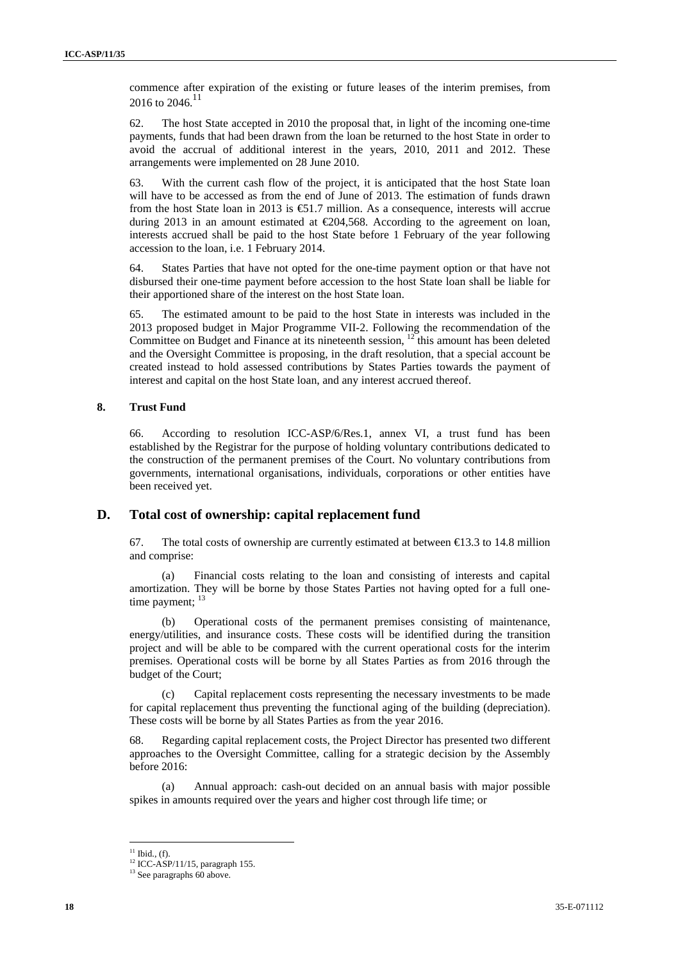commence after expiration of the existing or future leases of the interim premises, from 2016 to 2046.<sup>11</sup>

62. The host State accepted in 2010 the proposal that, in light of the incoming one-time payments, funds that had been drawn from the loan be returned to the host State in order to avoid the accrual of additional interest in the years, 2010, 2011 and 2012. These arrangements were implemented on 28 June 2010.

63. With the current cash flow of the project, it is anticipated that the host State loan will have to be accessed as from the end of June of 2013. The estimation of funds drawn from the host State loan in 2013 is €51.7 million. As a consequence, interests will accrue during 2013 in an amount estimated at €204,568. According to the agreement on loan, interests accrued shall be paid to the host State before 1 February of the year following accession to the loan, i.e. 1 February 2014.

64. States Parties that have not opted for the one-time payment option or that have not disbursed their one-time payment before accession to the host State loan shall be liable for their apportioned share of the interest on the host State loan.

65. The estimated amount to be paid to the host State in interests was included in the 2013 proposed budget in Major Programme VII-2. Following the recommendation of the Committee on Budget and Finance at its nineteenth session,  $^{12}$  this amount has been deleted and the Oversight Committee is proposing, in the draft resolution, that a special account be created instead to hold assessed contributions by States Parties towards the payment of interest and capital on the host State loan, and any interest accrued thereof.

### **8. Trust Fund**

66. According to resolution ICC-ASP/6/Res.1, annex VI, a trust fund has been established by the Registrar for the purpose of holding voluntary contributions dedicated to the construction of the permanent premises of the Court. No voluntary contributions from governments, international organisations, individuals, corporations or other entities have been received yet.

### **D. Total cost of ownership: capital replacement fund**

67. The total costs of ownership are currently estimated at between  $\epsilon$ 13.3 to 14.8 million and comprise:

(a) Financial costs relating to the loan and consisting of interests and capital amortization. They will be borne by those States Parties not having opted for a full onetime payment; <sup>13</sup>

(b) Operational costs of the permanent premises consisting of maintenance, energy/utilities, and insurance costs. These costs will be identified during the transition project and will be able to be compared with the current operational costs for the interim premises. Operational costs will be borne by all States Parties as from 2016 through the budget of the Court;

(c) Capital replacement costs representing the necessary investments to be made for capital replacement thus preventing the functional aging of the building (depreciation). These costs will be borne by all States Parties as from the year 2016.

68. Regarding capital replacement costs, the Project Director has presented two different approaches to the Oversight Committee, calling for a strategic decision by the Assembly before 2016:

(a) Annual approach: cash-out decided on an annual basis with major possible spikes in amounts required over the years and higher cost through life time; or

 $11$  Ibid., (f).

 $12$  ICC-ASP/11/15, paragraph 155.

<sup>&</sup>lt;sup>13</sup> See paragraphs 60 above.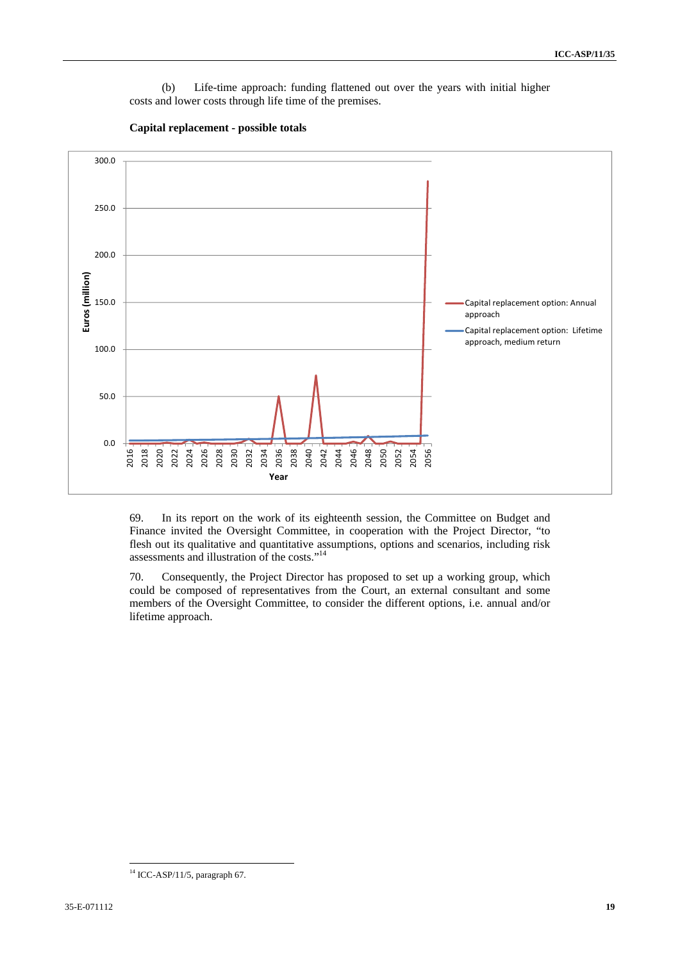(b) Life-time approach: funding flattened out over the years with initial higher costs and lower costs through life time of the premises.



**Capital replacement - possible totals** 

69. In its report on the work of its eighteenth session, the Committee on Budget and Finance invited the Oversight Committee, in cooperation with the Project Director, "to flesh out its qualitative and quantitative assumptions, options and scenarios, including risk assessments and illustration of the costs."14

70. Consequently, the Project Director has proposed to set up a working group, which could be composed of representatives from the Court, an external consultant and some members of the Oversight Committee, to consider the different options, i.e. annual and/or lifetime approach.

  $14$  ICC-ASP/11/5, paragraph 67.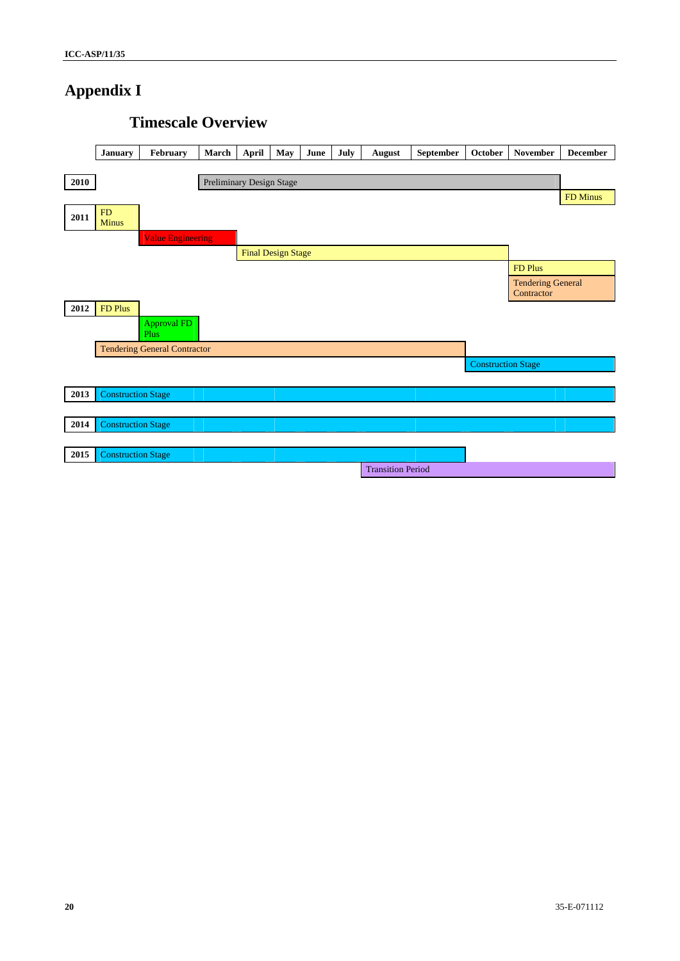# **Appendix I**

# January | February | March | April | May | June | July | August | September | October | November | December **2010** Preliminary Design Stage **FD Minus**  $2011$   $\frac{FD}{Minus}$ Value Engineering Final Design Stage **FD Plus FD Plus FD Plus** Tendering General **Contractor 2012** FD Plus Approval FD Plus Tendering General Contractor Construction Stage 2013 Construction Stage 2014 **Construction Stage** 2015 Construction Stage Transition Period

## **Timescale Overview**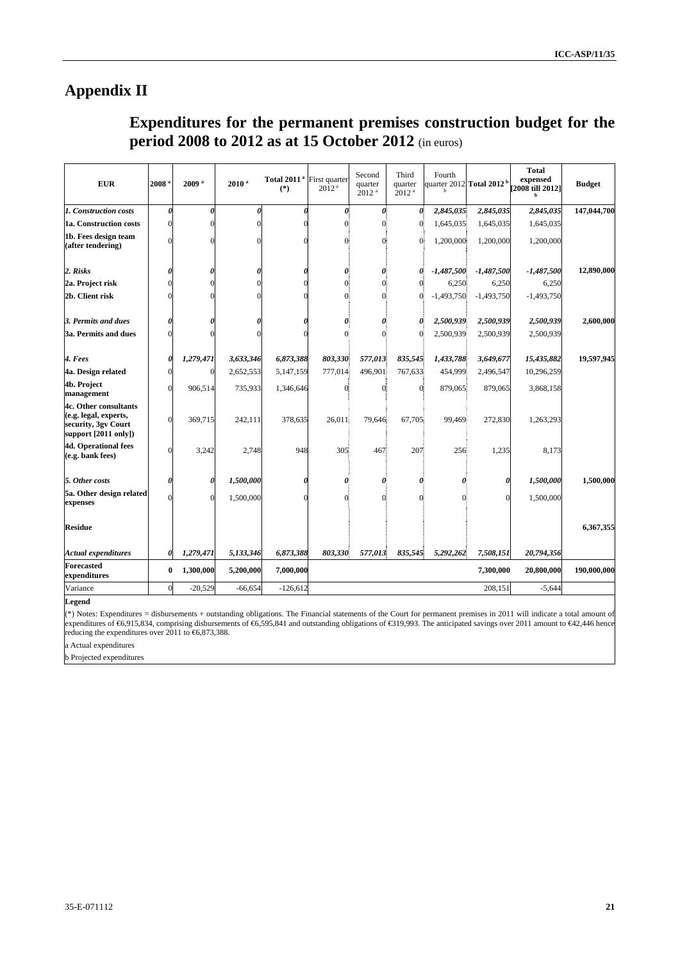# **Appendix II**

# **Expenditures for the permanent premises construction budget for the period 2008 to 2012 as at 15 October 2012** (in euros)

| <b>EUR</b>                                                                                             | 2008     | 2009 <sup>a</sup> | $2010^{a}$ | Total 2011 <sup>ª</sup> First quarter<br>$(*)$ | 2012 <sup>a</sup> | Second<br>quarter<br>2012 <sup>a</sup> | Third<br>quarter<br>2012 <sup>a</sup> | Fourth       | quarter 2012 Total 2012 <sup>b</sup> | <b>Total</b><br>expensed<br>[2008 till 2012] | <b>Budget</b> |
|--------------------------------------------------------------------------------------------------------|----------|-------------------|------------|------------------------------------------------|-------------------|----------------------------------------|---------------------------------------|--------------|--------------------------------------|----------------------------------------------|---------------|
| 1. Construction costs                                                                                  |          |                   |            |                                                | Ô.                | 0Ī.                                    | 0                                     | 2,845,035    | 2,845,035                            | 2,845,035                                    | 147,044,700   |
| 1a. Construction costs                                                                                 |          |                   |            |                                                | $\alpha$          | Œ                                      | $\overline{0}$                        | 1,645,035    | 1,645,035                            | 1,645,035                                    |               |
| 1b. Fees design team<br>(after tendering)                                                              |          |                   |            |                                                | O                 | O.                                     | $\overline{0}$                        | 1,200,000    | 1,200,000                            | 1,200,000                                    |               |
| 2. Risks                                                                                               |          |                   |            |                                                | ŋ                 | 0                                      | 0                                     | $-1,487,500$ | $-1,487,500$                         | $-1,487,500$                                 | 12,890,000    |
| 2a. Project risk                                                                                       |          |                   |            |                                                | $\alpha$          | Œ                                      | 0                                     | 6,250        | 6,250                                | 6,250                                        |               |
| 2b. Client risk                                                                                        |          |                   |            |                                                | Œ                 | Œ                                      | 0                                     | $-1,493,750$ | $-1,493,750$                         | $-1,493,750$                                 |               |
| 3. Permits and dues                                                                                    |          |                   |            |                                                |                   | 0                                      | 0                                     | 2,500,939    | 2,500,939                            | 2,500,939                                    | 2,600,000     |
| 3a. Permits and dues                                                                                   |          |                   |            |                                                | $\Omega$          | Œ                                      | $\sigma$                              | 2,500,939    | 2,500,939                            | 2,500,939                                    |               |
| 4. Fees                                                                                                |          | 1,279,471         | 3,633,346  | 6,873,388                                      | 803,330           | 577,013                                | 835,545                               | 1,433,788    | 3,649,677                            | 15,435,882                                   | 19,597,945    |
| 4a. Design related                                                                                     |          |                   | 2,652,553  | 5,147,159                                      | 777,014           | 496,901                                | 767,633                               | 454,999      | 2,496,547                            | 10,296,259                                   |               |
| 4b. Project<br>management                                                                              |          | 906,514           | 735,933    | 1,346,646                                      | Œ                 | Œ                                      | 0Ī                                    | 879,065      | 879,065                              | 3,868,158                                    |               |
| 4c. Other consultants<br>(e.g. legal, experts,<br>security, 3gv Court<br>support $[2011 \text{ only}]$ |          | 369,715           | 242,111    | 378,635                                        | 26,011            | 79,646                                 | 67,705                                | 99,469       | 272,830                              | 1,263,293                                    |               |
| <b>4d. Operational fees</b><br>(e.g. bank fees)                                                        |          | 3,242             | 2,748      | 948                                            | 305               | 467                                    | 207                                   | 256          | 1,235                                | 8,173                                        |               |
| 5. Other costs                                                                                         |          |                   | 1,500,000  |                                                | 0                 | 0                                      | 0                                     | 0            |                                      | 1,500,000                                    | 1,500,000     |
| 5a. Other design related<br>expenses                                                                   |          |                   | 1,500,000  |                                                | 0                 | 0                                      | 0                                     | $\theta$     |                                      | 1,500,000                                    |               |
| <b>Residue</b>                                                                                         |          |                   |            |                                                |                   |                                        |                                       |              |                                      |                                              | 6,367,355     |
| <b>Actual expenditures</b>                                                                             |          | 1,279,471         | 5,133,346  | 6,873,388                                      | 803,330           | 577,013                                | 835,545                               | 5,292,262    | 7,508,151                            | 20,794,356                                   |               |
| <b>Forecasted</b><br>expenditures                                                                      | $\bf{0}$ | 1,300,000         | 5,200,000  | 7,000,000                                      |                   |                                        |                                       |              | 7,300,000                            | 20,800,000                                   | 190,000,000   |
| Variance                                                                                               | $\Omega$ | $-20,529$         | $-66,654$  | $-126,612$                                     |                   |                                        |                                       |              | 208,151                              | $-5,644$                                     |               |

**Legend** 

(\*) Notes: Expenditures = disbursements + outstanding obligations. The Financial statements of the Court for permanent premises in 2011 will indicate a total amount of expenditures of €6,915,834, comprising disbursements of €6,595,841 and outstanding obligations of €19,993. The anticipated savings over 2011 amount to €42,446 hence reducing the expenditures over 2011 to €6,873,388.

a Actual expenditures

b Projected expenditures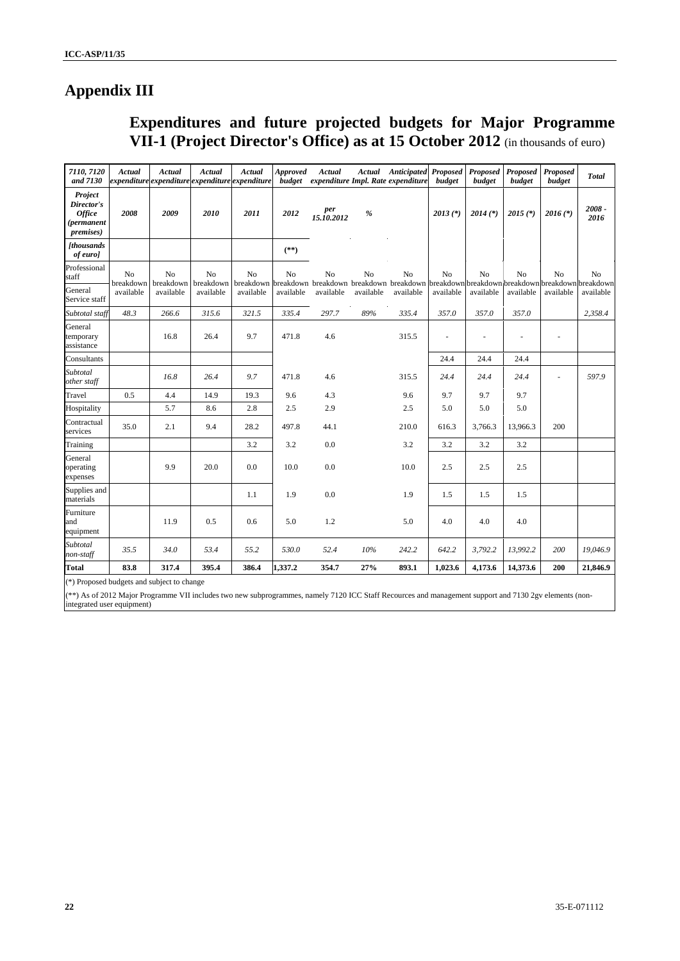# **Appendix III**

# **Expenditures and future projected budgets for Major Programme VII-1 (Project Director's Office) as at 15 October 2012** (in thousands of euro)

| 7110, 7120<br>and 7130                                                    | Actual          | Actual<br>expenditure expenditure expenditure expenditure | Actual                      | Actual          | <b>Approved</b> | Actual            |           | <b>Actual</b> Anticipated Proposed<br>budget expenditure Impl. Rate expenditure                             | budget         | Proposed<br>budget | Proposed<br>budget | Proposed<br>budget | <b>Total</b>     |
|---------------------------------------------------------------------------|-----------------|-----------------------------------------------------------|-----------------------------|-----------------|-----------------|-------------------|-----------|-------------------------------------------------------------------------------------------------------------|----------------|--------------------|--------------------|--------------------|------------------|
| Project<br>Director's<br><b>Office</b><br>(permanent<br><i>premises</i> ) | 2008            | 2009                                                      | 2010                        | 2011            | 2012            | per<br>15.10.2012 | %         |                                                                                                             | $2013$ (*)     | $2014$ (*)         | $2015$ (*)         | $2016$ (*)         | $2008 -$<br>2016 |
| <b>[thousands</b><br>of euro]                                             |                 |                                                           |                             |                 | $(**)$          |                   |           |                                                                                                             |                |                    |                    |                    |                  |
| Professional<br>staff                                                     | No<br>breakdown | No<br>breakdown                                           | N <sub>o</sub><br>breakdown | No<br>breakdown | No              | No                | No        | N <sub>o</sub><br>breakdown breakdown breakdown breakdown breakdown breakdown breakdown breakdown breakdown | N <sub>o</sub> | N <sub>0</sub>     | N <sub>o</sub>     | N <sub>o</sub>     | N <sub>o</sub>   |
| General<br>Service staff                                                  | available       | available                                                 | available                   | available       | available       | available         | available | available                                                                                                   | available      | available          | available          | available          | available        |
| Subtotal staff                                                            | 48.3            | 266.6                                                     | 315.6                       | 321.5           | 335.4           | 297.7             | $89\%$    | 335.4                                                                                                       | 357.0          | 357.0              | 357.0              |                    | 2,358.4          |
| General<br>temporary<br>assistance                                        |                 | 16.8                                                      | 26.4                        | 9.7             | 471.8           | 4.6               |           | 315.5                                                                                                       |                |                    |                    | $\overline{a}$     |                  |
| Consultants                                                               |                 |                                                           |                             |                 |                 |                   |           |                                                                                                             | 24.4           | 24.4               | 24.4               |                    |                  |
| Subtotal<br>other staff                                                   |                 | 16.8                                                      | 26.4                        | 9.7             | 471.8           | 4.6               |           | 315.5                                                                                                       | 24.4           | 24.4               | 24.4               | ÷,                 | 597.9            |
| Travel                                                                    | 0.5             | 4.4                                                       | 14.9                        | 19.3            | 9.6             | 4.3               |           | 9.6                                                                                                         | 9.7            | 9.7                | 9.7                |                    |                  |
| Hospitality                                                               |                 | 5.7                                                       | 8.6                         | 2.8             | 2.5             | 2.9               |           | 2.5                                                                                                         | 5.0            | 5.0                | 5.0                |                    |                  |
| Contractual<br>services                                                   | 35.0            | 2.1                                                       | 9.4                         | 28.2            | 497.8           | 44.1              |           | 210.0                                                                                                       | 616.3          | 3,766.3            | 13,966.3           | 200                |                  |
| Training                                                                  |                 |                                                           |                             | 3.2             | 3.2             | $0.0\,$           |           | 3.2                                                                                                         | 3.2            | 3.2                | 3.2                |                    |                  |
| General<br>operating<br>expenses                                          |                 | 9.9                                                       | 20.0                        | 0.0             | 10.0            | 0.0               |           | 10.0                                                                                                        | 2.5            | 2.5                | 2.5                |                    |                  |
| Supplies and<br>materials                                                 |                 |                                                           |                             | 1.1             | 1.9             | 0.0               |           | 1.9                                                                                                         | 1.5            | 1.5                | 1.5                |                    |                  |
| Furniture<br>and<br>equipment                                             |                 | 11.9                                                      | 0.5                         | 0.6             | 5.0             | 1.2               |           | 5.0                                                                                                         | 4.0            | 4.0                | 4.0                |                    |                  |
| Subtotal<br>non-staff                                                     | 35.5            | 34.0                                                      | 53.4                        | 55.2            | 530.0           | 52.4              | 10%       | 242.2                                                                                                       | 642.2          | 3,792.2            | 13,992.2           | 200                | 19,046.9         |
| <b>Total</b>                                                              | 83.8            | 317.4                                                     | 395.4                       | 386.4           | 1,337.2         | 354.7             | 27%       | 893.1                                                                                                       | 1,023.6        | 4,173.6            | 14,373.6           | 200                | 21,846.9         |

(\*) Proposed budgets and subject to change

(\*\*) As of 2012 Major Programme VII includes two new subprogrammes, namely 7120 ICC Staff Recources and management support and 7130 2gv elements (nonintegrated user equipment)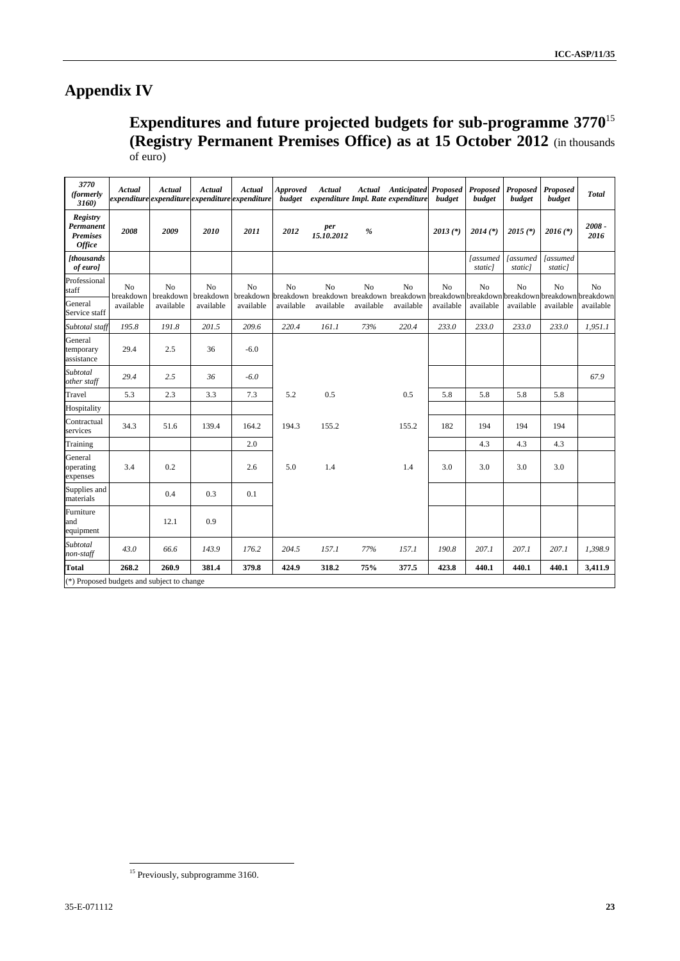# **Appendix IV**

**Expenditures and future projected budgets for sub-programme 3770**<sup>15</sup> **(Registry Permanent Premises Office) as at 15 October 2012** (in thousands of euro)

| 3770<br>(formerly<br>3160)                                | Actual                      | Actual<br>expenditure expenditure expenditure expenditure | Actual          | Actual                      | <b>Approved</b><br>budget | Actual            |                | <b>Actual</b> Anticipated Proposed<br>expenditure Impl. Rate expenditure                        | budget         | Proposed<br>budget        | Proposed<br>budget        | Proposed<br>budget                 | <b>Total</b>     |
|-----------------------------------------------------------|-----------------------------|-----------------------------------------------------------|-----------------|-----------------------------|---------------------------|-------------------|----------------|-------------------------------------------------------------------------------------------------|----------------|---------------------------|---------------------------|------------------------------------|------------------|
| Registry<br>Permanent<br><b>Premises</b><br><b>Office</b> | 2008                        | 2009                                                      | 2010            | 2011                        | 2012                      | per<br>15.10.2012 | $\frac{9}{6}$  |                                                                                                 | $2013$ (*)     | $2014$ (*)                | $2015$ (*)                | $2016$ (*)                         | $2008 -$<br>2016 |
| <b>[thousands</b><br>of euro]                             |                             |                                                           |                 |                             |                           |                   |                |                                                                                                 |                | <i>assumed</i><br>static] | <i>assumed</i><br>static] | <i><b>[assumed]</b></i><br>static] |                  |
| Professional<br>staff                                     | N <sub>o</sub><br>breakdown | N <sub>o</sub><br>breakdown                               | No<br>breakdown | N <sub>o</sub><br>breakdown | N <sub>o</sub>            | N <sub>0</sub>    | N <sub>o</sub> | No<br>breakdown breakdown breakdown breakdown breakdown breakdown breakdown breakdown breakdown | N <sub>o</sub> | N <sub>0</sub>            | N <sub>0</sub>            | No                                 | N <sub>o</sub>   |
| General<br>Service staff                                  | available                   | available                                                 | available       | available                   | available                 | available         | available      | available                                                                                       | available      | available                 | available                 | available                          | available        |
| Subtotal staff                                            | 195.8                       | 191.8                                                     | 201.5           | 209.6                       | 220.4                     | 161.1             | 73%            | 220.4                                                                                           | 233.0          | 233.0                     | 233.0                     | 233.0                              | 1,951.1          |
| General<br>temporary<br>assistance                        | 29.4                        | 2.5                                                       | 36              | $-6.0$                      |                           |                   |                |                                                                                                 |                |                           |                           |                                    |                  |
| Subtotal<br>other staff                                   | 29.4                        | 2.5                                                       | 36              | $-6.0$                      |                           |                   |                |                                                                                                 |                |                           |                           |                                    | 67.9             |
| Travel                                                    | 5.3                         | 2.3                                                       | 3.3             | 7.3                         | 5.2                       | 0.5               |                | 0.5                                                                                             | 5.8            | 5.8                       | 5.8                       | 5.8                                |                  |
| Hospitality                                               |                             |                                                           |                 |                             |                           |                   |                |                                                                                                 |                |                           |                           |                                    |                  |
| Contractual<br>services                                   | 34.3                        | 51.6                                                      | 139.4           | 164.2                       | 194.3                     | 155.2             |                | 155.2                                                                                           | 182            | 194                       | 194                       | 194                                |                  |
| Training                                                  |                             |                                                           |                 | 2.0                         |                           |                   |                |                                                                                                 |                | 4.3                       | 4.3                       | 4.3                                |                  |
| General<br>operating<br>expenses                          | 3.4                         | 0.2                                                       |                 | 2.6                         | 5.0                       | 1.4               |                | 1.4                                                                                             | 3.0            | 3.0                       | 3.0                       | 3.0                                |                  |
| Supplies and<br>materials                                 |                             | 0.4                                                       | 0.3             | 0.1                         |                           |                   |                |                                                                                                 |                |                           |                           |                                    |                  |
| Furniture<br>and<br>equipment                             |                             | 12.1                                                      | 0.9             |                             |                           |                   |                |                                                                                                 |                |                           |                           |                                    |                  |
| Subtotal<br>non-staff                                     | 43.0                        | 66.6                                                      | 143.9           | 176.2                       | 204.5                     | 157.1             | 77%            | 157.1                                                                                           | 190.8          | 207.1                     | 207.1                     | 207.1                              | 1,398.9          |
| <b>Total</b>                                              | 268.2                       | 260.9                                                     | 381.4           | 379.8                       | 424.9                     | 318.2             | 75%            | 377.5                                                                                           | 423.8          | 440.1                     | 440.1                     | 440.1                              | 3,411.9          |
| (*) Proposed budgets and subject to change                |                             |                                                           |                 |                             |                           |                   |                |                                                                                                 |                |                           |                           |                                    |                  |

<sup>&</sup>lt;sup>15</sup> Previously, subprogramme 3160.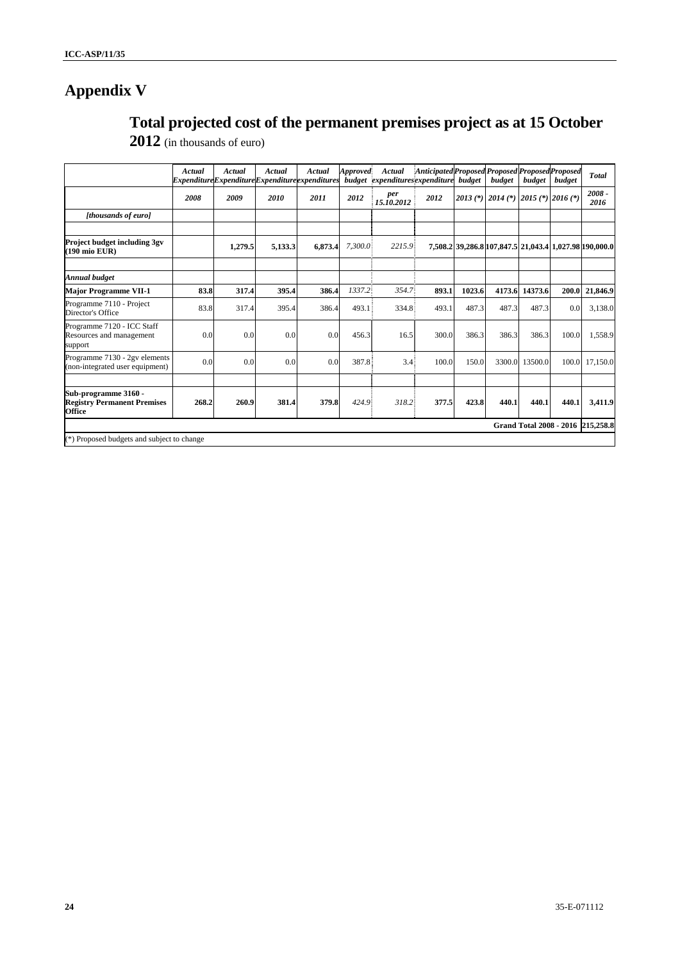# **Appendix V**

# **Total projected cost of the permanent premises project as at 15 October**

|  | $2012$ (in thousands of euro) |  |
|--|-------------------------------|--|
|--|-------------------------------|--|

|                                                                             | Actual | Actual  | Actual  | Actual<br>ExpenditureExpenditureExpenditureexpenditures | Approved | Actual<br>budget expenditures expenditure | Anticipated Proposed Proposed Proposed Proposed | budget | budget                                                 | budget  | budget | <b>Total</b>                      |
|-----------------------------------------------------------------------------|--------|---------|---------|---------------------------------------------------------|----------|-------------------------------------------|-------------------------------------------------|--------|--------------------------------------------------------|---------|--------|-----------------------------------|
|                                                                             | 2008   | 2009    | 2010    | 2011                                                    | 2012     | per<br>15.10.2012                         | 2012                                            |        | 2013 (*) 2014 (*) 2015 (*) 2016 (*)                    |         |        | $2008 -$<br>2016                  |
| [thousands of euro]                                                         |        |         |         |                                                         |          |                                           |                                                 |        |                                                        |         |        |                                   |
| <b>Project budget including 3gv</b><br>(190 mio EUR)                        |        | 1,279.5 | 5,133.3 | 6.873.4                                                 | 7,300.0  | 2215.9                                    |                                                 |        | 7,508.2 39,286.8 107,847.5 21,043.4 1,027.98 190,000.0 |         |        |                                   |
| Annual budget                                                               |        |         |         |                                                         |          |                                           |                                                 |        |                                                        |         |        |                                   |
| <b>Major Programme VII-1</b>                                                | 83.8   | 317.4   | 395.4   | 386.4                                                   | 1337.2   | 354.7                                     | 893.1                                           | 1023.6 | 4173.6                                                 | 14373.6 | 200.0  | 21,846.9                          |
| Programme 7110 - Project<br>Director's Office                               | 83.8   | 317.4   | 395.4   | 386.4                                                   | 493.1    | 334.8                                     | 493.1                                           | 487.3  | 487.3                                                  | 487.3   | 0.0    | 3,138.0                           |
| Programme 7120 - ICC Staff<br>Resources and management<br>support           | 0.0    | 0.0     | 0.0     | 0.0                                                     | 456.3    | 16.5                                      | 300.0                                           | 386.3  | 386.3                                                  | 386.3   | 100.0  | 1,558.9                           |
| Programme 7130 - 2gv elements<br>(non-integrated user equipment)            | 0.0    | 0.0     | 0.0     | 0.0                                                     | 387.8    | 3.4                                       | 100.0                                           | 150.0  | 3300.0                                                 | 13500.0 | 100.0  | 17.150.0                          |
| Sub-programme 3160 -<br><b>Registry Permanent Premises</b><br><b>Office</b> | 268.2  | 260.9   | 381.4   | 379.8                                                   | 424.9    | 318.2                                     | 377.5                                           | 423.8  | 440.1                                                  | 440.1   | 440.1  | 3,411.9                           |
|                                                                             |        |         |         |                                                         |          |                                           |                                                 |        |                                                        |         |        | Grand Total 2008 - 2016 215,258.8 |
| (*) Proposed budgets and subject to change                                  |        |         |         |                                                         |          |                                           |                                                 |        |                                                        |         |        |                                   |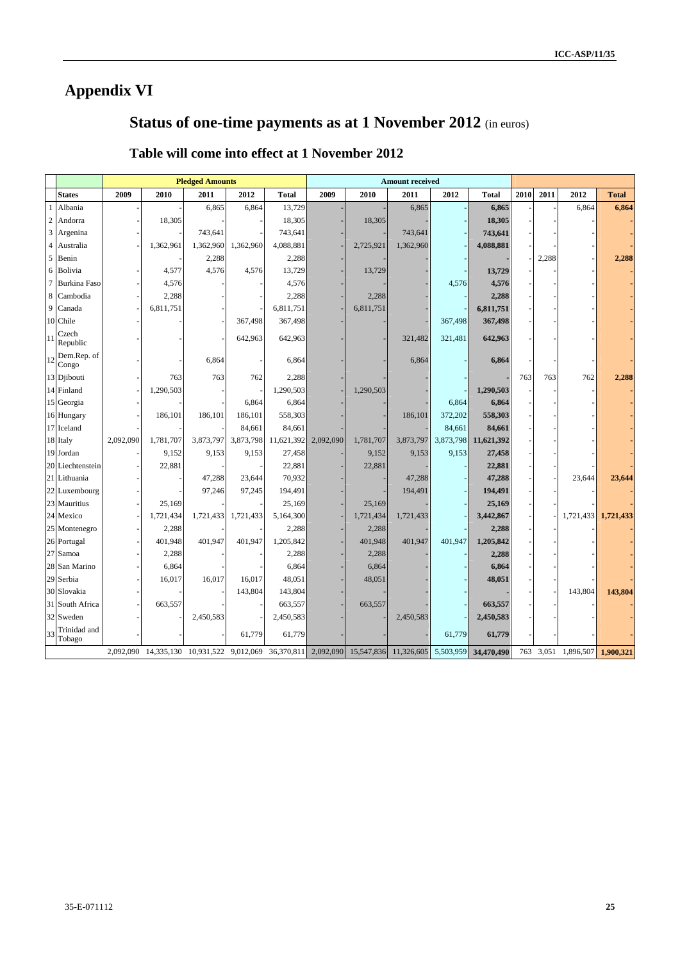# **Appendix VI**

# **Status of one-time payments as at 1 November 2012** (in euros)

|                |                        |           |           | <b>Pledged Amounts</b>          |           | <b>Amount received</b> |           |           |                                                      |           |              |      |       |           |              |
|----------------|------------------------|-----------|-----------|---------------------------------|-----------|------------------------|-----------|-----------|------------------------------------------------------|-----------|--------------|------|-------|-----------|--------------|
|                | States                 | 2009      | 2010      | 2011                            | 2012      | <b>Total</b>           | 2009      | 2010      | 2011                                                 | 2012      | <b>Total</b> | 2010 | 2011  | 2012      | <b>Total</b> |
|                | Albania                |           |           | 6,865                           | 6,864     | 13,729                 |           |           | 6,865                                                |           | 6,865        |      |       | 6,864     | 6,864        |
| $\sqrt{2}$     | Andorra                |           | 18,305    |                                 |           | 18,305                 |           | 18,305    |                                                      |           | 18,305       |      |       |           |              |
| $\mathfrak{Z}$ | Argenina               |           |           | 743,641                         |           | 743,641                |           |           | 743,641                                              |           | 743,641      |      |       |           |              |
| 4              | Australia              |           | 1,362,961 | 1,362,960                       | 1,362,960 | 4,088,881              |           | 2,725,921 | 1,362,960                                            |           | 4,088,881    |      |       |           |              |
| 5              | Benin                  |           |           | 2,288                           |           | 2,288                  |           |           |                                                      |           |              |      | 2,288 |           | 2,288        |
| 6              | Bolivia                |           | 4,577     | 4,576                           | 4,576     | 13,729                 |           | 13,729    |                                                      |           | 13,729       |      |       |           |              |
| $\overline{7}$ | <b>Burkina Faso</b>    |           | 4,576     |                                 |           | 4,576                  |           |           |                                                      | 4,576     | 4,576        |      |       |           |              |
| 8              | Cambodia               |           | 2,288     |                                 |           | 2,288                  |           | 2,288     |                                                      |           | 2,288        |      |       |           |              |
| 9              | Canada                 |           | 6,811,751 |                                 |           | 6,811,751              |           | 6,811,751 |                                                      |           | 6,811,751    |      |       |           |              |
|                | 10 Chile               |           |           |                                 | 367,498   | 367,498                |           |           |                                                      | 367,498   | 367,498      |      |       |           |              |
| 11             | Czech<br>Republic      |           |           |                                 | 642,963   | 642,963                |           |           | 321,482                                              | 321,481   | 642,963      |      |       |           |              |
| 12             | Dem.Rep. of<br>Congo   |           |           | 6,864                           |           | 6,864                  |           |           | 6,864                                                |           | 6,864        |      |       |           |              |
|                | 13 Djibouti            |           | 763       | 763                             | 762       | 2,288                  |           |           |                                                      |           |              | 763  | 763   | 762       | 2,288        |
|                | 14 Finland             |           | 1,290,503 |                                 |           | 1,290,503              |           | 1,290,503 |                                                      |           | 1,290,503    |      |       |           |              |
|                | 15 Georgia             |           |           |                                 | 6,864     | 6,864                  |           |           |                                                      | 6,864     | 6,864        |      |       |           |              |
|                | 16 Hungary             |           | 186,101   | 186,101                         | 186,101   | 558,303                |           |           | 186,101                                              | 372,202   | 558,303      |      |       |           |              |
|                | 17 Iceland             |           |           |                                 | 84,661    | 84,661                 |           |           |                                                      | 84,661    | 84,661       |      |       |           |              |
|                | 18 Italy               | 2,092,090 | 1,781,707 | 3,873,797                       | 3,873,798 | 11,621,392             | 2,092,090 | 1,781,707 | 3,873,797                                            | 3,873,798 | 11,621,392   |      |       |           |              |
|                | 19 Jordan              |           | 9,152     | 9,153                           | 9,153     | 27,458                 |           | 9,152     | 9,153                                                | 9,153     | 27,458       |      |       |           |              |
|                | 20 Liechtenstein       |           | 22,881    |                                 |           | 22,881                 |           | 22,881    |                                                      |           | 22,881       |      |       |           |              |
|                | 21 Lithuania           |           |           | 47,288                          | 23,644    | 70,932                 |           |           | 47,288                                               |           | 47,288       |      |       | 23,644    | 23,644       |
|                | 22 Luxembourg          |           |           | 97,246                          | 97,245    | 194,491                |           |           | 194,491                                              |           | 194,491      |      |       |           |              |
|                | 23 Mauritius           |           | 25,169    |                                 |           | 25,169                 |           | 25,169    |                                                      |           | 25,169       |      |       |           |              |
|                | 24 Mexico              |           | 1,721,434 | 1,721,433                       | 1,721,433 | 5,164,300              |           | 1,721,434 | 1,721,433                                            |           | 3,442,867    |      |       | 1,721,433 | 1,721,433    |
|                | 25 Montenegro          |           | 2,288     |                                 |           | 2,288                  |           | 2,288     |                                                      |           | 2,288        |      |       |           |              |
|                | 26 Portugal            |           | 401,948   | 401,947                         | 401,947   | 1,205,842              |           | 401,948   | 401,947                                              | 401,947   | 1,205,842    |      |       |           |              |
|                | 27 Samoa               |           | 2,288     |                                 |           | 2,288                  |           | 2,288     |                                                      |           | 2,288        |      |       |           |              |
|                | 28 San Marino          |           | 6,864     |                                 |           | 6,864                  |           | 6,864     |                                                      |           | 6,864        |      |       |           |              |
|                | 29 Serbia              |           | 16,017    | 16,017                          | 16,017    | 48,051                 |           | 48,051    |                                                      |           | 48,051       |      |       |           |              |
|                | 30 Slovakia            |           |           |                                 | 143,804   | 143,804                |           |           |                                                      |           |              |      |       | 143,804   | 143,804      |
|                | 31 South Africa        |           | 663,557   |                                 |           | 663,557                |           | 663,557   |                                                      |           | 663,557      |      |       |           |              |
|                | 32 Sweden              |           |           | 2,450,583                       |           | 2,450,583              |           |           | 2,450,583                                            |           | 2,450,583    |      |       |           |              |
| 33             | Trinidad and<br>Tobago |           |           |                                 | 61,779    | 61,779                 |           |           |                                                      | 61,779    | 61,779       |      |       |           |              |
|                |                        | 2,092,090 |           | 14,335,130 10,931,522 9,012,069 |           |                        |           |           | 36,370,811 2,092,090 15,547,836 11,326,605 5,503,959 |           | 34,470,490   | 763  | 3,051 | 1,896,507 | 1,900,321    |

## **Table will come into effect at 1 November 2012**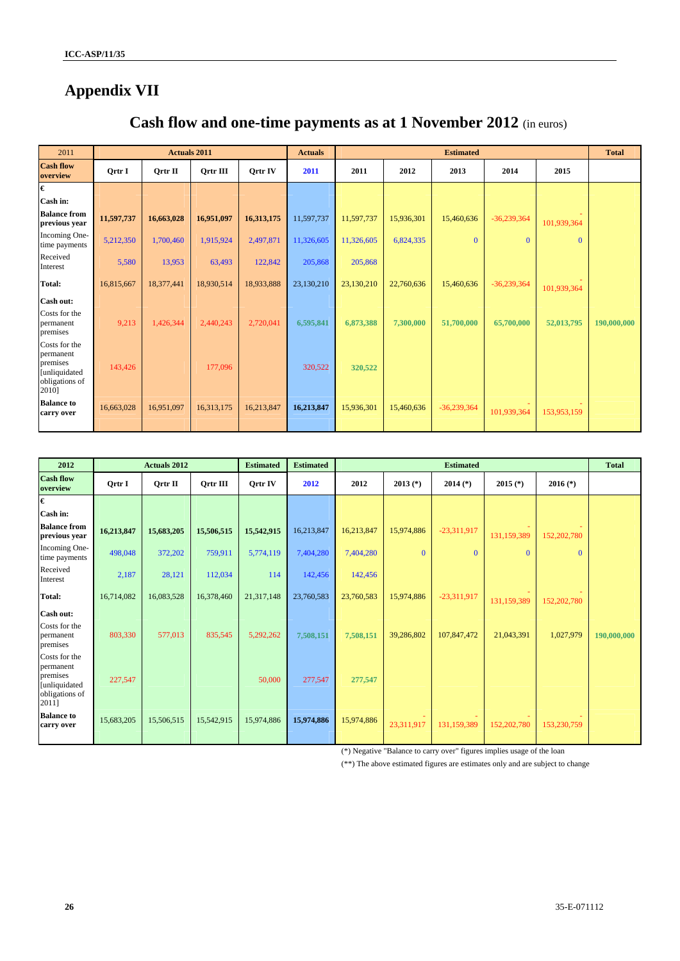# **Appendix VII**

# **Cash flow and one-time payments as at 1 November 2012** (in euros)

| 2011                                                                               |            | <b>Actuals 2011</b> |            |            | <b>Actuals</b> |            |            | <b>Estimated</b> |               |              | <b>Total</b> |
|------------------------------------------------------------------------------------|------------|---------------------|------------|------------|----------------|------------|------------|------------------|---------------|--------------|--------------|
| <b>Cash flow</b><br>overview                                                       | Qrtr I     | Ortr II             | Ortr III   | Ortr IV    | 2011           | 2011       | 2012       | 2013             | 2014          | 2015         |              |
| $\pmb{\epsilon}$                                                                   |            |                     |            |            |                |            |            |                  |               |              |              |
| Cash in:                                                                           |            |                     |            |            |                |            |            |                  |               |              |              |
| <b>Balance from</b><br>previous year                                               | 11,597,737 | 16,663,028          | 16,951,097 | 16,313,175 | 11,597,737     | 11,597,737 | 15,936,301 | 15,460,636       | $-36,239,364$ | 101,939,364  |              |
| Incoming One-<br>time payments                                                     | 5,212,350  | 1,700,460           | 1,915,924  | 2,497,871  | 11,326,605     | 11,326,605 | 6,824,335  | $\mathbf{0}$     | $\mathbf{0}$  | $\mathbf{0}$ |              |
| Received<br>Interest                                                               | 5,580      | 13,953              | 63,493     | 122,842    | 205,868        | 205,868    |            |                  |               |              |              |
| <b>Total:</b>                                                                      | 16,815,667 | 18,377,441          | 18,930,514 | 18,933,888 | 23,130,210     | 23,130,210 | 22,760,636 | 15,460,636       | $-36,239,364$ | 101,939,364  |              |
| Cash out:                                                                          |            |                     |            |            |                |            |            |                  |               |              |              |
| Costs for the<br>permanent<br>premises                                             | 9,213      | 1,426,344           | 2,440,243  | 2,720,041  | 6,595,841      | 6,873,388  | 7,300,000  | 51,700,000       | 65,700,000    | 52,013,795   | 190,000,000  |
| Costs for the<br>permanent<br>premises<br>[unliquidated<br>obligations of<br>2010] | 143,426    |                     | 177,096    |            | 320.522        | 320,522    |            |                  |               |              |              |
| <b>Balance to</b><br>carry over                                                    | 16,663,028 | 16,951,097          | 16,313,175 | 16,213,847 | 16,213,847     | 15,936,301 | 15,460,636 | $-36,239,364$    | 101,939,364   | 153,953,159  |              |

| 2012                                                              |               | <b>Actuals 2012</b> |                 | <b>Estimated</b> | <b>Estimated</b> |            |            | <b>Total</b>  |             |             |             |
|-------------------------------------------------------------------|---------------|---------------------|-----------------|------------------|------------------|------------|------------|---------------|-------------|-------------|-------------|
| <b>Cash flow</b><br>overview                                      | <b>Qrtr I</b> | $Q$ rtr II          | <b>Qrtr III</b> | <b>Qrtr IV</b>   | 2012             | 2012       | $2013$ (*) | $2014$ (*)    | $2015$ (*)  | $2016$ (*)  |             |
| €                                                                 |               |                     |                 |                  |                  |            |            |               |             |             |             |
| Cash in:                                                          |               |                     |                 |                  |                  |            |            |               |             |             |             |
| <b>Balance from</b><br>previous year                              | 16,213,847    | 15,683,205          | 15,506,515      | 15,542,915       | 16,213,847       | 16,213,847 | 15,974,886 | $-23,311,917$ | 131,159,389 | 152,202,780 |             |
| Incoming One-<br>time payments                                    | 498,048       | 372,202             | 759,911         | 5,774,119        | 7,404,280        | 7,404,280  | $\Omega$   | $\Omega$      | $\Omega$    | $\Omega$    |             |
| Received<br>Interest                                              | 2,187         | 28,121              | 112,034         | 114              | 142,456          | 142,456    |            |               |             |             |             |
| <b>Total:</b>                                                     | 16,714,082    | 16,083,528          | 16,378,460      | 21,317,148       | 23,760,583       | 23,760,583 | 15,974,886 | $-23,311,917$ | 131,159,389 | 152,202,780 |             |
| Cash out:                                                         |               |                     |                 |                  |                  |            |            |               |             |             |             |
| Costs for the<br>permanent<br>premises                            | 803.330       | 577,013             | 835.545         | 5.292.262        | 7,508,151        | 7,508,151  | 39,286,802 | 107,847,472   | 21,043,391  | 1,027,979   | 190,000,000 |
| Costs for the                                                     |               |                     |                 |                  |                  |            |            |               |             |             |             |
| permanent<br>premises<br>[unliquidated<br>obligations of<br>2011] | 227,547       |                     |                 | 50,000           | 277,547          | 277,547    |            |               |             |             |             |
| <b>Balance to</b><br>carry over                                   | 15,683,205    | 15,506,515          | 15,542,915      | 15,974,886       | 15,974,886       | 15,974,886 | 23,311,917 | 131,159,389   | 152,202,780 | 153,230,759 |             |

(\*) Negative "Balance to carry over" figures implies usage of the loan

(\*\*) The above estimated figures are estimates only and are subject to change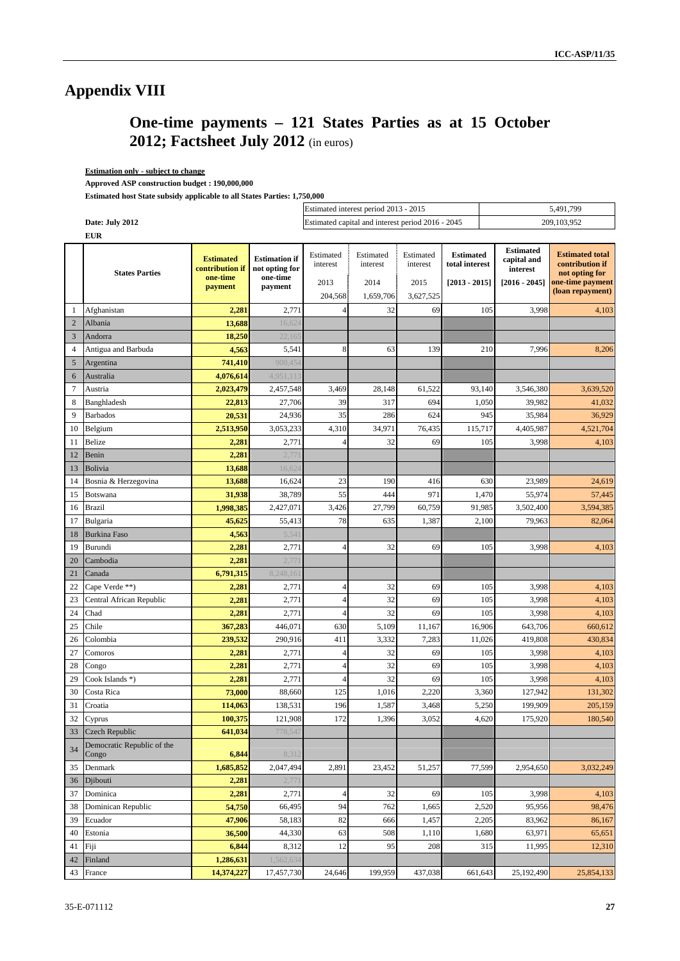# **Appendix VIII**

# **One-time payments – 121 States Parties as at 15 October 2012; Factsheet July 2012** (in euros)

### **Estimation only - subject to change**

 **Approved ASP construction budget : 190,000,000** 

 **Estimated host State subsidy applicable to all States Parties: 1,750,000** 

|                |                                     |                                                            |                                                               |                                          | Estimated interest period 2013 - 2015             |                                            |                                                       | 5,491,799                                                      |                                                                                                     |  |  |
|----------------|-------------------------------------|------------------------------------------------------------|---------------------------------------------------------------|------------------------------------------|---------------------------------------------------|--------------------------------------------|-------------------------------------------------------|----------------------------------------------------------------|-----------------------------------------------------------------------------------------------------|--|--|
|                | Date: July 2012                     |                                                            |                                                               |                                          | Estimated capital and interest period 2016 - 2045 |                                            |                                                       |                                                                | 209,103,952                                                                                         |  |  |
|                | <b>EUR</b>                          |                                                            |                                                               |                                          |                                                   |                                            |                                                       |                                                                |                                                                                                     |  |  |
|                | <b>States Parties</b>               | <b>Estimated</b><br>contribution if<br>one-time<br>payment | <b>Estimation if</b><br>not opting for<br>one-time<br>payment | Estimated<br>interest<br>2013<br>204,568 | Estimated<br>interest<br>2014<br>1,659,706        | Estimated<br>interest<br>2015<br>3,627,525 | <b>Estimated</b><br>total interest<br>$[2013 - 2015]$ | <b>Estimated</b><br>capital and<br>interest<br>$[2016 - 2045]$ | <b>Estimated total</b><br>contribution if<br>not opting for<br>one-time payment<br>(loan repayment) |  |  |
| 1              | Afghanistan                         | 2,281                                                      | 2,771                                                         | $\overline{4}$                           | 32                                                | 69                                         |                                                       | 105<br>3,998                                                   | 4,103                                                                                               |  |  |
| $\overline{2}$ | Albania                             | 13,688                                                     | 16,624                                                        |                                          |                                                   |                                            |                                                       |                                                                |                                                                                                     |  |  |
| 3              | Andorra                             | 18,250                                                     | 22,165                                                        |                                          |                                                   |                                            |                                                       |                                                                |                                                                                                     |  |  |
| $\overline{4}$ | Antigua and Barbuda                 | 4,563                                                      | 5,541                                                         | 8                                        | 63                                                | 139                                        |                                                       | 210<br>7,996                                                   | 8,206                                                                                               |  |  |
| 5              | Argentina                           | 741,410                                                    | 900,454                                                       |                                          |                                                   |                                            |                                                       |                                                                |                                                                                                     |  |  |
| 6              | Australia                           | 4,076,614                                                  | 4,951,113                                                     |                                          |                                                   |                                            |                                                       |                                                                |                                                                                                     |  |  |
| $\overline{7}$ | Austria                             | 2,023,479                                                  | 2,457,548                                                     | 3,469                                    | 28,148                                            | 61,522                                     | 93,140                                                | 3,546,380                                                      | 3,639,520                                                                                           |  |  |
| 8              | Banghladesh                         | 22,813                                                     | 27,706                                                        | 39                                       | 317                                               | 694                                        | 1,050                                                 | 39,982                                                         | 41,032                                                                                              |  |  |
| 9              | <b>Barbados</b>                     | 20,531                                                     | 24,936                                                        | 35                                       | 286                                               | 624                                        |                                                       | 945<br>35,984                                                  | 36,929                                                                                              |  |  |
| 10             | Belgium                             | 2,513,950                                                  | 3,053,233                                                     | 4,310                                    | 34,971                                            | 76,435                                     | 115,717                                               | 4,405,987                                                      | 4,521,704                                                                                           |  |  |
| 11             | Belize                              | 2,281                                                      | 2,771                                                         |                                          | 32                                                | 69                                         |                                                       | 105<br>3,998                                                   | 4,103                                                                                               |  |  |
| 12             | Benin                               | 2,281                                                      | 2,77                                                          |                                          |                                                   |                                            |                                                       |                                                                |                                                                                                     |  |  |
| 13             | <b>Bolivia</b>                      | 13,688                                                     | 16,624                                                        |                                          |                                                   |                                            |                                                       |                                                                |                                                                                                     |  |  |
| 14             | Bosnia & Herzegovina                | 13,688                                                     | 16,624                                                        | 23                                       | 190                                               | 416                                        |                                                       | 630<br>23,989                                                  | 24.619                                                                                              |  |  |
| 15             | Botswana                            | 31,938                                                     | 38,789                                                        | 55                                       | 444                                               | 971                                        | 1,470                                                 | 55,974                                                         | 57,445                                                                                              |  |  |
| 16             | <b>Brazil</b>                       | 1,998,385                                                  | 2,427,071                                                     | 3,426                                    | 27,799                                            | 60,759                                     | 91,985                                                | 3,502,400                                                      | 3,594,385                                                                                           |  |  |
| 17             | Bulgaria                            | 45,625                                                     | 55,413                                                        | 78                                       | 635                                               | 1,387                                      | 2,100                                                 | 79,963                                                         | 82,064                                                                                              |  |  |
| 18             | <b>Burkina Faso</b>                 | 4,563                                                      | 5,541                                                         |                                          |                                                   |                                            |                                                       |                                                                |                                                                                                     |  |  |
| 19             | Burundi                             | 2,281                                                      | 2,771                                                         | $\overline{4}$                           | 32                                                | 69                                         |                                                       | 105<br>3,998                                                   | 4,103                                                                                               |  |  |
| 20             | Cambodia                            | 2,281                                                      | 2,77                                                          |                                          |                                                   |                                            |                                                       |                                                                |                                                                                                     |  |  |
| 21             | Canada                              | 6,791,315                                                  | 8,248,16                                                      |                                          |                                                   |                                            |                                                       |                                                                |                                                                                                     |  |  |
| 22             | Cape Verde **)                      | 2,281                                                      | 2,771                                                         | 4                                        | 32                                                | 69                                         |                                                       | 105<br>3,998                                                   | 4,103                                                                                               |  |  |
| 23             | Central African Republic            | 2,281                                                      | 2,771                                                         | $\overline{4}$                           | 32                                                | 69                                         |                                                       | 105<br>3,998                                                   | 4,103                                                                                               |  |  |
| 24             | Chad                                | 2,281                                                      | 2,771                                                         | 4                                        | 32                                                | 69                                         |                                                       | 105<br>3,998                                                   | 4,103                                                                                               |  |  |
| 25             | Chile                               | 367,283                                                    | 446,071                                                       | 630                                      | 5,109                                             | 11,167                                     | 16,906                                                | 643,706                                                        | 660,612                                                                                             |  |  |
| 26             | Colombia                            | 239,532                                                    | 290,916                                                       | 411                                      | 3,332                                             | 7,283                                      | 11,026                                                | 419,808                                                        | 430,834                                                                                             |  |  |
| 27             | Comoros                             | 2,281                                                      | 2,771                                                         | $\overline{4}$                           | 32                                                | 69                                         |                                                       | 105<br>3,998                                                   | 4,103                                                                                               |  |  |
| 28             | Congo                               | 2,281                                                      | 2,771                                                         | $\overline{4}$                           | 32                                                | 69                                         |                                                       | 105<br>3,998                                                   | 4,103                                                                                               |  |  |
| 29             | Cook Islands *)                     | 2,281                                                      | 2,771                                                         | 4                                        | 32                                                | 69                                         |                                                       | 105<br>3,998                                                   | 4,103                                                                                               |  |  |
| 30             | Costa Rica                          | 73,000                                                     | 88,660                                                        | 125                                      | 1,016                                             | 2,220                                      | 3,360                                                 | 127,942                                                        | 131,302                                                                                             |  |  |
| 31             | Croatia                             | 114,063                                                    | 138,531                                                       | 196                                      | 1,587                                             | 3,468                                      | 5,250                                                 | 199,909                                                        | 205,159                                                                                             |  |  |
| 32             | Cyprus                              | 100,375                                                    | 121,908                                                       | 172                                      | 1,396                                             | 3,052                                      |                                                       | 4,620<br>175,920                                               | 180,540                                                                                             |  |  |
| 33             | <b>Czech Republic</b>               | 641,034                                                    | 778,547                                                       |                                          |                                                   |                                            |                                                       |                                                                |                                                                                                     |  |  |
| 34             | Democratic Republic of the<br>Congo | 6,844                                                      | 8,312                                                         |                                          |                                                   |                                            |                                                       |                                                                |                                                                                                     |  |  |
| 35             | Denmark                             | 1,685,852                                                  | 2,047,494                                                     | 2,891                                    | 23,452                                            | 51,257                                     | 77,599                                                | 2,954,650                                                      | 3,032,249                                                                                           |  |  |
| 36             | Djibouti                            | 2,281                                                      | 2,77                                                          |                                          |                                                   |                                            |                                                       |                                                                |                                                                                                     |  |  |
| 37             | Dominica                            | 2,281                                                      | 2,771                                                         | 4                                        | 32                                                | 69                                         |                                                       | 105<br>3,998                                                   | 4,103                                                                                               |  |  |
| 38             | Dominican Republic                  | 54,750                                                     | 66,495                                                        | 94                                       | 762                                               | 1,665                                      | 2,520                                                 | 95,956                                                         | 98,476                                                                                              |  |  |
| 39             | Ecuador                             | 47,906                                                     | 58,183                                                        | 82                                       | 666                                               | 1,457                                      | 2,205                                                 | 83,962                                                         | 86,167                                                                                              |  |  |
| 40             | Estonia                             | 36,500                                                     | 44,330                                                        | 63                                       | 508                                               | 1,110                                      | 1,680                                                 | 63,971                                                         | 65,651                                                                                              |  |  |
| 41             | Fiji                                | 6,844                                                      | 8,312                                                         | 12                                       | 95                                                | 208                                        |                                                       | 315<br>11,995                                                  | 12,310                                                                                              |  |  |
| 42             | Finland                             | 1,286,631                                                  | 1,562,634                                                     |                                          |                                                   |                                            |                                                       | 25,192,490                                                     |                                                                                                     |  |  |
| 43             | France                              | 14,374,227                                                 | 17,457,730                                                    | 24,646                                   | 199,959                                           | 437,038                                    | 661,643                                               |                                                                | 25,854,133                                                                                          |  |  |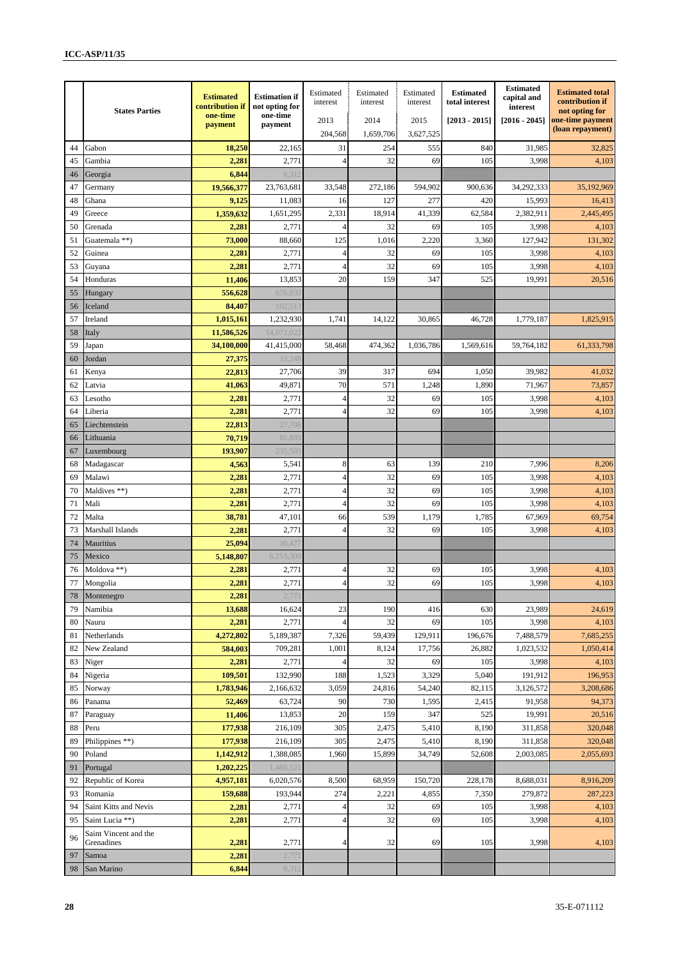|    | <b>States Parties</b>               | <b>Estimated</b><br>contribution if<br>one-time | <b>Estimation if</b><br>not opting for<br>one-time | Estimated<br>interest | Estimated<br>interest | Estimated<br>interest | <b>Estimated</b><br>total interest | <b>Estimated</b><br>capital and<br>interest | <b>Estimated total</b><br>contribution if<br>not opting for |
|----|-------------------------------------|-------------------------------------------------|----------------------------------------------------|-----------------------|-----------------------|-----------------------|------------------------------------|---------------------------------------------|-------------------------------------------------------------|
|    |                                     | payment                                         | payment                                            | 2013<br>204,568       | 2014<br>1,659,706     | 2015<br>3,627,525     | $[2013 - 2015]$                    | $[2016 - 2045]$                             | one-time payment<br>(loan repayment)                        |
| 44 | Gabon                               | 18,250                                          | 22,165                                             | 31                    | 254                   | 555                   | 840                                | 31,985                                      | 32,825                                                      |
| 45 | Gambia                              | 2,281                                           | 2,771                                              | $\overline{4}$        | 32                    | 69                    | 105                                | 3,998                                       | 4,103                                                       |
| 46 | Georgia                             | 6,844                                           | 8,31                                               |                       |                       |                       |                                    |                                             |                                                             |
| 47 | Germany                             | 19,566,377                                      | 23,763,681                                         | 33,548                | 272,186               | 594,902               | 900,636                            | 34,292,333                                  | 35,192,969                                                  |
| 48 | Ghana                               | 9,125                                           | 11,083                                             | 16                    | 127                   | 277                   | 420                                | 15,993                                      | 16,413                                                      |
| 49 | Greece                              | 1,359,632                                       | 1,651,295                                          | 2,331                 | 18,914                | 41,339                | 62,584                             | 2.382.911                                   | 2,445,495                                                   |
| 50 | Grenada                             | 2,281                                           | 2,771                                              | 4                     | 32                    | 69                    | 105                                | 3,998                                       | 4,103                                                       |
| 51 | Guatemala **)                       | 73,000                                          | 88,660                                             | 125                   | 1,016                 | 2,220                 | 3,360                              | 127,942                                     | 131,302                                                     |
| 52 | Guinea                              | 2,281                                           | 2,771                                              | $\overline{4}$        | 32                    | 69                    | 105                                | 3,998                                       | 4,103                                                       |
| 53 | Guyana                              | 2,281                                           | 2,771                                              | $\overline{4}$        | 32                    | 69                    | 105                                | 3,998                                       | 4,103                                                       |
| 54 | Honduras                            | 11,406                                          | 13,853                                             | 20                    | 159                   | 347                   | 525                                | 19,991                                      | 20,516                                                      |
| 55 | Hungary                             | 556,628                                         | 676,03                                             |                       |                       |                       |                                    |                                             |                                                             |
| 56 | Iceland                             | 84,407                                          | 102,51                                             |                       |                       |                       |                                    |                                             |                                                             |
| 57 | Ireland                             | 1,015,161                                       | 1,232,930                                          | 1,741                 | 14,122                | 30,865                | 46,728                             | 1,779,187                                   | 1,825,915                                                   |
| 58 | Italy                               | 11,586,526                                      | 14,072,02                                          |                       |                       |                       |                                    |                                             |                                                             |
| 59 | Japan                               | 34,100,000                                      | 41,415,000                                         | 58,468                | 474,362               | 1,036,786             | 1,569,616                          | 59,764,182                                  | 61,333,798                                                  |
| 60 | Jordan                              | 27,375                                          | 33,248                                             |                       |                       |                       |                                    |                                             |                                                             |
| 61 | Kenya                               | 22,813                                          | 27,706                                             | 39                    | 317                   | 694                   | 1,050                              | 39,982                                      | 41,032                                                      |
| 62 | Latvia                              | 41,063                                          | 49,871                                             | 70                    | 571                   | 1,248                 | 1,890                              | 71,967                                      | 73,857                                                      |
| 63 | Lesotho                             | 2,281                                           | 2,771                                              | 4                     | 32                    | 69                    | 105                                | 3,998                                       | 4,103                                                       |
| 64 | Liberia                             | 2,281                                           | 2,771                                              | 4                     | 32                    | 69                    | 105                                | 3,998                                       | 4,103                                                       |
| 65 | Liechtenstein                       | 22,813                                          | 27,706                                             |                       |                       |                       |                                    |                                             |                                                             |
| 66 | Lithuania                           | 70,719                                          | 85,88                                              |                       |                       |                       |                                    |                                             |                                                             |
| 67 | Luxembourg                          | 193,907                                         | 235,50                                             |                       |                       |                       |                                    |                                             |                                                             |
| 68 | Madagascar                          | 4,563                                           | 5,541                                              | 8                     | 63                    | 139                   | 210                                | 7,996                                       | 8,206                                                       |
| 69 | Malawi                              | 2,281                                           | 2,771                                              | $\overline{4}$        | 32                    | 69                    | 105                                | 3,998                                       | 4,103                                                       |
| 70 | Maldives **)                        | 2,281                                           | 2,771                                              | 4                     | 32                    | 69                    | 105                                | 3,998                                       | 4,103                                                       |
| 71 | Mali                                | 2,281                                           | 2,771                                              | 4                     | 32                    | 69                    | 105                                | 3,998                                       | 4,103                                                       |
| 72 | Malta                               | 38,781                                          | 47,101                                             | 66                    | 539                   | 1,179                 | 1,785                              | 67,969                                      | 69,754                                                      |
| 73 | <b>Marshall Islands</b>             | 2,281                                           | 2,771                                              | $\overline{4}$        | 32                    | 69                    | 105                                | 3,998                                       | 4,103                                                       |
| 74 | Mauritius                           | 25,094                                          | 30,47                                              |                       |                       |                       |                                    |                                             |                                                             |
| 75 | Mexico                              | 5,148,807                                       | 6,253,309                                          |                       |                       |                       |                                    |                                             |                                                             |
| 76 | Moldova **)                         | 2,281                                           | 2,771                                              | 4                     | 32                    | 69                    | 105                                | 3,998                                       | 4,103                                                       |
| 77 | Mongolia                            | 2,281                                           | 2,771                                              | 4                     | 32                    | 69                    | 105                                | 3,998                                       | 4,103                                                       |
| 78 | Montenegro                          | 2,281                                           | 2,77                                               |                       |                       |                       |                                    |                                             |                                                             |
| 79 | Namibia                             | 13,688                                          | 16,624                                             | 23                    | 190                   | 416                   | 630                                | 23,989                                      | 24,619                                                      |
| 80 | Nauru                               | 2,281                                           | 2,771                                              | 4                     | 32                    | 69                    | 105                                | 3,998                                       | 4,103                                                       |
| 81 | Netherlands                         | 4,272,802                                       | 5,189,387                                          | 7,326                 | 59,439                | 129,911               | 196,676                            | 7,488,579                                   | 7,685,255                                                   |
| 82 | New Zealand                         | 584,003                                         | 709,281                                            | 1,001                 | 8,124                 | 17,756                | 26,882                             | 1,023,532                                   | 1,050,414                                                   |
| 83 | Niger                               | 2,281                                           | 2,771                                              | 4                     | 32                    | 69                    | 105                                | 3,998                                       | 4,103                                                       |
| 84 | Nigeria                             | 109,501                                         | 132,990                                            | 188                   | 1,523                 | 3,329                 | 5,040                              | 191,912                                     | 196,953                                                     |
| 85 | Norway                              | 1,783,946                                       | 2,166,632                                          | 3,059                 | 24,816                | 54,240                | 82,115                             | 3,126,572                                   | 3,208,686                                                   |
| 86 | Panama                              | 52,469                                          | 63,724                                             | 90                    | 730                   | 1,595                 | 2,415                              | 91,958                                      | 94,373                                                      |
| 87 | Paraguay                            | 11,406                                          | 13,853                                             | 20                    | 159                   | 347                   | 525                                | 19,991                                      | 20,516                                                      |
| 88 | Peru                                | 177,938                                         | 216,109                                            | 305                   | 2,475                 | 5,410                 | 8,190                              | 311,858                                     | 320,048                                                     |
| 89 | Philippines **)                     | 177,938                                         | 216,109                                            | 305                   | 2,475                 | 5,410                 | 8,190                              | 311,858                                     | 320,048                                                     |
| 90 | Poland                              | 1,142,912                                       | 1,388,085                                          | 1,960                 | 15,899                | 34,749                | 52,608                             | 2,003,085                                   | 2,055,693                                                   |
| 91 | Portugal                            | 1,202,225                                       | 1,460,121                                          |                       |                       |                       |                                    |                                             |                                                             |
| 92 | Republic of Korea                   | 4,957,181                                       | 6,020,576                                          | 8,500                 | 68,959                | 150,720               | 228,178                            | 8,688,031                                   | 8,916,209                                                   |
| 93 | Romania                             | 159,688                                         | 193,944                                            | 274                   | 2,221                 | 4,855                 | 7,350                              | 279,872                                     | 287,223                                                     |
| 94 | Saint Kitts and Nevis               | 2,281                                           | 2,771                                              | $\overline{4}$        | 32                    | 69                    | 105                                | 3,998                                       | 4,103                                                       |
| 95 | Saint Lucia **)                     | 2,281                                           | 2,771                                              | $\overline{4}$        | 32                    | 69                    | 105                                | 3,998                                       | 4,103                                                       |
| 96 | Saint Vincent and the<br>Grenadines | 2,281                                           | 2,771                                              | 4                     | 32                    | 69                    | 105                                | 3,998                                       | 4,103                                                       |
| 97 | Samoa                               | 2,281                                           | 2,77                                               |                       |                       |                       |                                    |                                             |                                                             |
| 98 | San Marino                          | 6,844                                           | 8,31                                               |                       |                       |                       |                                    |                                             |                                                             |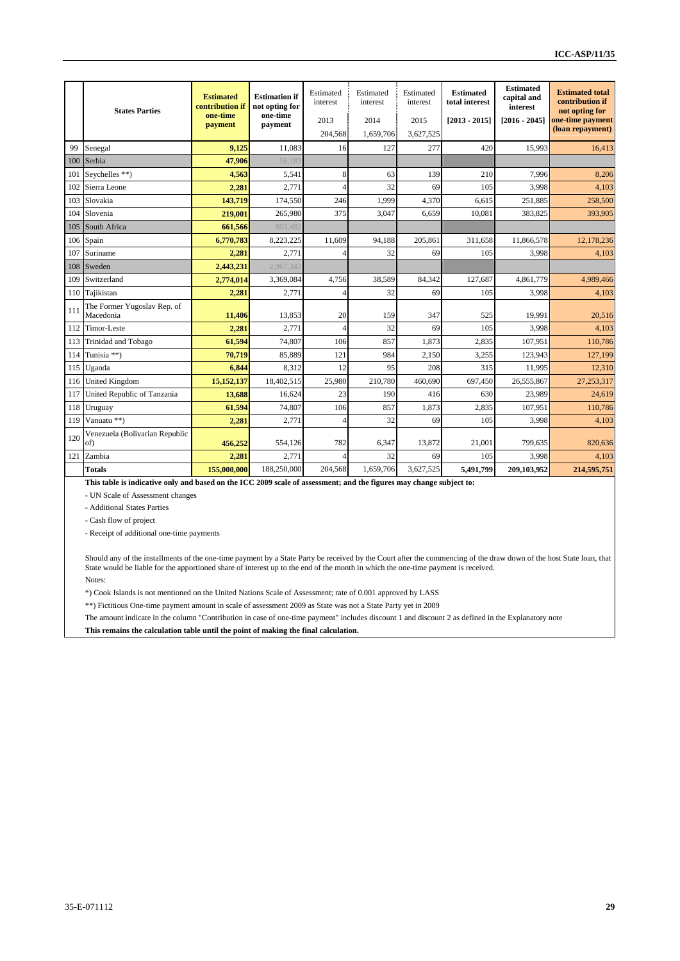|     | <b>States Parties</b>                    | <b>Estimated</b><br>contribution if<br>one-time<br>payment | <b>Estimation if</b><br>not opting for<br>one-time<br>payment | Estimated<br>interest<br>2013<br>204,568 | Estimated<br>interest<br>2014<br>1,659,706 | Estimated<br>interest<br>2015<br>3,627,525 | <b>Estimated</b><br>total interest<br>$[2013 - 2015]$ | <b>Estimated</b><br>capital and<br><i>interest</i><br>$[2016 - 2045]$ | <b>Estimated total</b><br>contribution if<br>not opting for<br>one-time payment<br>(loan repayment) |
|-----|------------------------------------------|------------------------------------------------------------|---------------------------------------------------------------|------------------------------------------|--------------------------------------------|--------------------------------------------|-------------------------------------------------------|-----------------------------------------------------------------------|-----------------------------------------------------------------------------------------------------|
| 99  | Senegal                                  | 9.125                                                      | 11.083                                                        | 16                                       | 127                                        | 277                                        | 420                                                   | 15,993                                                                | 16.413                                                                                              |
| 100 | Serbia                                   | 47,906                                                     | 58,183                                                        |                                          |                                            |                                            |                                                       |                                                                       |                                                                                                     |
| 101 | Seychelles **)                           | 4,563                                                      | 5,541                                                         | 8                                        | 63                                         | 139                                        | 210                                                   | 7.996                                                                 | 8,206                                                                                               |
| 102 | Sierra Leone                             | 2,281                                                      | 2,771                                                         |                                          | 32                                         | 69                                         | 105                                                   | 3.998                                                                 | 4.103                                                                                               |
| 103 | Slovakia                                 | 143,719                                                    | 174,550                                                       | 246                                      | 1.999                                      | 4,370                                      | 6,615                                                 | 251,885                                                               | 258,500                                                                                             |
| 104 | Slovenia                                 | 219,001                                                    | 265,980                                                       | 375                                      | 3.047                                      | 6.659                                      | 10.081                                                | 383,825                                                               | 393,905                                                                                             |
| 105 | South Africa                             | 661,566                                                    | 803,482                                                       |                                          |                                            |                                            |                                                       |                                                                       |                                                                                                     |
| 106 | Spain                                    | 6.770.783                                                  | 8,223,225                                                     | 11.609                                   | 94.188                                     | 205,861                                    | 311.658                                               | 11.866.578                                                            | 12,178,236                                                                                          |
| 107 | Suriname                                 | 2,281                                                      | 2,771                                                         |                                          | 32                                         | 69                                         | 105                                                   | 3.998                                                                 | 4.103                                                                                               |
| 108 | Sweden                                   | 2,443,231                                                  | 2,967,343                                                     |                                          |                                            |                                            |                                                       |                                                                       |                                                                                                     |
| 109 | Switzerland                              | 2,774,014                                                  | 3,369,084                                                     | 4,756                                    | 38,589                                     | 84,342                                     | 127,687                                               | 4,861,779                                                             | 4,989,466                                                                                           |
| 110 | Tajikistan                               | 2,281                                                      | 2,771                                                         |                                          | 32                                         | 69                                         | 105                                                   | 3,998                                                                 | 4,103                                                                                               |
| 111 | The Former Yugoslav Rep. of<br>Macedonia | 11,406                                                     | 13,853                                                        | 20                                       | 159                                        | 347                                        | 525                                                   | 19.991                                                                | 20.516                                                                                              |
| 112 | Timor-Leste                              | 2,281                                                      | 2,771                                                         |                                          | 32                                         | 69                                         | 105                                                   | 3,998                                                                 | 4.103                                                                                               |
| 113 | Trinidad and Tobago                      | 61,594                                                     | 74,807                                                        | 106                                      | 857                                        | 1.873                                      | 2.835                                                 | 107.951                                                               | 110,786                                                                                             |
| 114 | Tunisia **)                              | 70,719                                                     | 85,889                                                        | 121                                      | 984                                        | 2,150                                      | 3,255                                                 | 123,943                                                               | 127,199                                                                                             |
| 115 | Uganda                                   | 6,844                                                      | 8,312                                                         | 12                                       | 95                                         | 208                                        | 315                                                   | 11,995                                                                | 12,310                                                                                              |
| 116 | <b>United Kingdom</b>                    | 15,152,137                                                 | 18,402.515                                                    | 25,980                                   | 210.780                                    | 460.690                                    | 697.450                                               | 26,555,867                                                            | 27,253,317                                                                                          |
| 117 | United Republic of Tanzania              | 13,688                                                     | 16,624                                                        | 23                                       | 190                                        | 416                                        | 630                                                   | 23.989                                                                | 24.619                                                                                              |
| 118 | Uruguay                                  | 61,594                                                     | 74.807                                                        | 106                                      | 857                                        | 1.873                                      | 2.835                                                 | 107.951                                                               | 110,786                                                                                             |
| 119 | Vanuatu **)                              | 2,281                                                      | 2,771                                                         |                                          | 32                                         | 69                                         | 105                                                   | 3,998                                                                 | 4,103                                                                                               |
| 120 | Venezuela (Bolivarian Republic<br>of)    | 456,252                                                    | 554,126                                                       | 782                                      | 6,347                                      | 13,872                                     | 21,001                                                | 799,635                                                               | 820,636                                                                                             |
| 121 | Zambia                                   | 2,281                                                      | 2,771                                                         |                                          | 32                                         | 69                                         | 105                                                   | 3,998                                                                 | 4,103                                                                                               |
|     | <b>Totals</b>                            | 155,000,000                                                | 188,250,000                                                   | 204,568                                  | 1,659,706                                  | 3,627,525                                  | 5,491,799                                             | 209,103,952                                                           | 214,595,751                                                                                         |

**This table is indicative only and based on the ICC 2009 scale of assessment; and the figures may change subject to:**

- UN Scale of Assessment changes

- Additional States Parties

- Cash flow of project

- Receipt of additional one-time payments

Should any of the installments of the one-time payment by a State Party be received by the Court after the commencing of the draw down of the host State loan, that State would be liable for the apportioned share of interest up to the end of the month in which the one-time payment is received. Notes:

\*) Cook Islands is not mentioned on the United Nations Scale of Assessment; rate of 0.001 approved by LASS

\*\*) Fictitious One-time payment amount in scale of assessment 2009 as State was not a State Party yet in 2009

The amount indicate in the column "Contribution in case of one-time payment" includes discount 1 and discount 2 as defined in the Explanatory note

**This remains the calculation table until the point of making the final calculation.**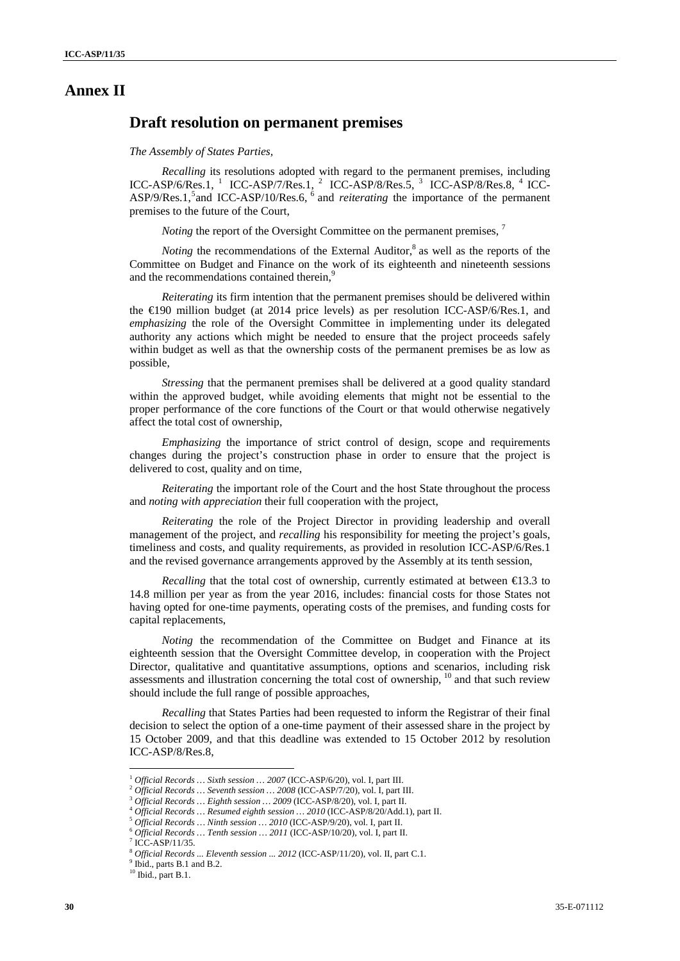### **Annex II**

### **Draft resolution on permanent premises**

#### *The Assembly of States Parties,*

*Recalling* its resolutions adopted with regard to the permanent premises, including ICC-ASP/6/Res.1,  $1$  ICC-ASP/7/Res.1,  $2$  ICC-ASP/8/Res.5,  $3$  ICC-ASP/8/Res.8,  $4$  ICC-ASP/9/Res.1,<sup>5</sup> and ICC-ASP/10/Res.6,<sup>6</sup> and *reiterating* the importance of the permanent premises to the future of the Court,

*Noting* the report of the Oversight Committee on the permanent premises, <sup>7</sup>

*Noting* the recommendations of the External Auditor, $\delta$  as well as the reports of the Committee on Budget and Finance on the work of its eighteenth and nineteenth sessions and the recommendations contained therein,<sup>9</sup>

*Reiterating* its firm intention that the permanent premises should be delivered within the  $\text{E}90$  million budget (at 2014 price levels) as per resolution ICC-ASP/6/Res.1, and *emphasizing* the role of the Oversight Committee in implementing under its delegated authority any actions which might be needed to ensure that the project proceeds safely within budget as well as that the ownership costs of the permanent premises be as low as possible,

*Stressing* that the permanent premises shall be delivered at a good quality standard within the approved budget, while avoiding elements that might not be essential to the proper performance of the core functions of the Court or that would otherwise negatively affect the total cost of ownership,

*Emphasizing* the importance of strict control of design, scope and requirements changes during the project's construction phase in order to ensure that the project is delivered to cost, quality and on time,

*Reiterating* the important role of the Court and the host State throughout the process and *noting with appreciation* their full cooperation with the project,

*Reiterating* the role of the Project Director in providing leadership and overall management of the project, and *recalling* his responsibility for meeting the project's goals, timeliness and costs, and quality requirements, as provided in resolution ICC-ASP/6/Res.1 and the revised governance arrangements approved by the Assembly at its tenth session,

*Recalling* that the total cost of ownership, currently estimated at between  $\epsilon$ 13.3 to 14.8 million per year as from the year 2016, includes: financial costs for those States not having opted for one-time payments, operating costs of the premises, and funding costs for capital replacements,

*Noting* the recommendation of the Committee on Budget and Finance at its eighteenth session that the Oversight Committee develop, in cooperation with the Project Director, qualitative and quantitative assumptions, options and scenarios, including risk assessments and illustration concerning the total cost of ownership, <sup>10</sup> and that such review should include the full range of possible approaches,

*Recalling* that States Parties had been requested to inform the Registrar of their final decision to select the option of a one-time payment of their assessed share in the project by 15 October 2009, and that this deadline was extended to 15 October 2012 by resolution ICC-ASP/8/Res.8,

ICC-ASP/11/35.

 $\overline{a}$ 

<sup>9</sup> Ibid., parts B.1 and B.2.

<sup>&</sup>lt;sup>1</sup> Official Records ... Sixth session ... 2007 (ICC-ASP/6/20), vol. I, part III.<br><sup>2</sup> Official Records ... Seventh session ... 2008 (ICC-ASP/7/20), vol. I, part III.<br><sup>3</sup> Official Records ... Eighth session ... 2009 (ICC-A

<sup>&</sup>lt;sup>8</sup> Official Records ... Eleventh session ... 2012 (ICC-ASP/11/20), vol. II, part C.1.

<sup>&</sup>lt;sup>10</sup> Ibid., part B.1.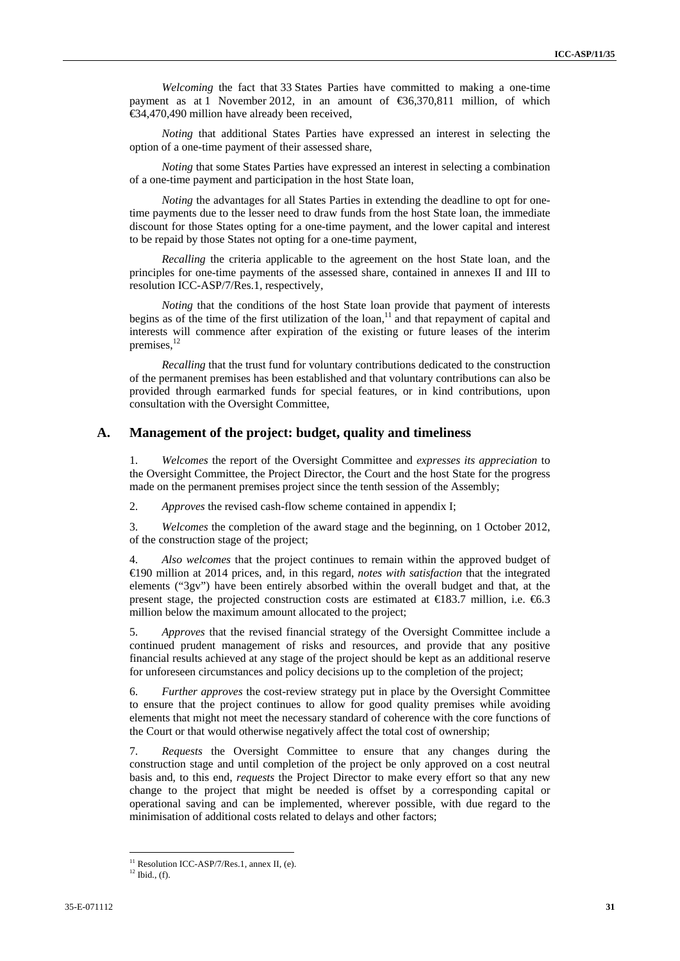*Welcoming* the fact that 33 States Parties have committed to making a one-time payment as at 1 November 2012, in an amount of €36,370,811 million, of which €34,470,490 million have already been received,

*Noting* that additional States Parties have expressed an interest in selecting the option of a one-time payment of their assessed share,

*Noting* that some States Parties have expressed an interest in selecting a combination of a one-time payment and participation in the host State loan,

*Noting* the advantages for all States Parties in extending the deadline to opt for onetime payments due to the lesser need to draw funds from the host State loan, the immediate discount for those States opting for a one-time payment, and the lower capital and interest to be repaid by those States not opting for a one-time payment,

*Recalling* the criteria applicable to the agreement on the host State loan, and the principles for one-time payments of the assessed share, contained in annexes II and III to resolution ICC-ASP/7/Res.1, respectively,

*Noting* that the conditions of the host State loan provide that payment of interests begins as of the time of the first utilization of the loan,<sup>11</sup> and that repayment of capital and interests will commence after expiration of the existing or future leases of the interim premises. $12$ 

*Recalling* that the trust fund for voluntary contributions dedicated to the construction of the permanent premises has been established and that voluntary contributions can also be provided through earmarked funds for special features, or in kind contributions, upon consultation with the Oversight Committee,

### **A. Management of the project: budget, quality and timeliness**

1. *Welcomes* the report of the Oversight Committee and *expresses its appreciation* to the Oversight Committee, the Project Director, the Court and the host State for the progress made on the permanent premises project since the tenth session of the Assembly;

2. *Approves* the revised cash-flow scheme contained in appendix I;

3. *Welcomes* the completion of the award stage and the beginning, on 1 October 2012, of the construction stage of the project;

4. *Also welcomes* that the project continues to remain within the approved budget of €190 million at 2014 prices, and, in this regard, *notes with satisfaction* that the integrated elements ("3gv") have been entirely absorbed within the overall budget and that, at the present stage, the projected construction costs are estimated at  $\in$  83.7 million, i.e.  $\in$  6.3 million below the maximum amount allocated to the project;

5. *Approves* that the revised financial strategy of the Oversight Committee include a continued prudent management of risks and resources, and provide that any positive financial results achieved at any stage of the project should be kept as an additional reserve for unforeseen circumstances and policy decisions up to the completion of the project;

6. *Further approves* the cost-review strategy put in place by the Oversight Committee to ensure that the project continues to allow for good quality premises while avoiding elements that might not meet the necessary standard of coherence with the core functions of the Court or that would otherwise negatively affect the total cost of ownership;

7. *Requests* the Oversight Committee to ensure that any changes during the construction stage and until completion of the project be only approved on a cost neutral basis and, to this end, *requests* the Project Director to make every effort so that any new change to the project that might be needed is offset by a corresponding capital or operational saving and can be implemented, wherever possible, with due regard to the minimisation of additional costs related to delays and other factors;

 $11$  Resolution ICC-ASP/7/Res.1, annex II, (e).

 $12$  Ibid., (f).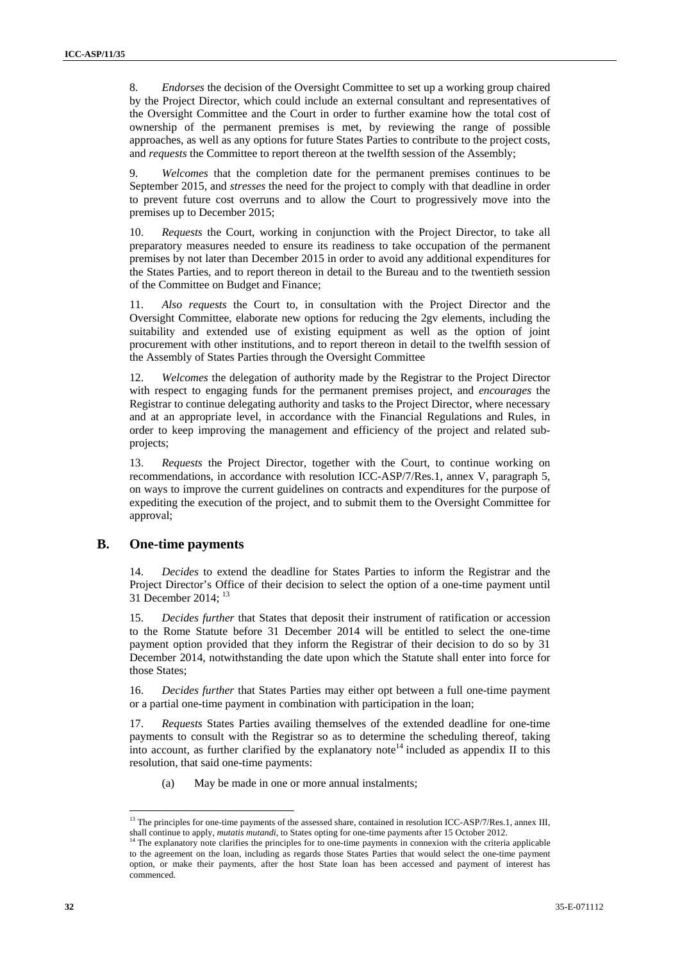8. *Endorses* the decision of the Oversight Committee to set up a working group chaired by the Project Director, which could include an external consultant and representatives of the Oversight Committee and the Court in order to further examine how the total cost of ownership of the permanent premises is met, by reviewing the range of possible approaches, as well as any options for future States Parties to contribute to the project costs, and *requests* the Committee to report thereon at the twelfth session of the Assembly;

9. *Welcomes* that the completion date for the permanent premises continues to be September 2015, and *stresses* the need for the project to comply with that deadline in order to prevent future cost overruns and to allow the Court to progressively move into the premises up to December 2015;

10. *Requests* the Court, working in conjunction with the Project Director, to take all preparatory measures needed to ensure its readiness to take occupation of the permanent premises by not later than December 2015 in order to avoid any additional expenditures for the States Parties, and to report thereon in detail to the Bureau and to the twentieth session of the Committee on Budget and Finance;

11. *Also requests* the Court to, in consultation with the Project Director and the Oversight Committee, elaborate new options for reducing the 2gv elements, including the suitability and extended use of existing equipment as well as the option of joint procurement with other institutions, and to report thereon in detail to the twelfth session of the Assembly of States Parties through the Oversight Committee

12. *Welcomes* the delegation of authority made by the Registrar to the Project Director with respect to engaging funds for the permanent premises project, and *encourages* the Registrar to continue delegating authority and tasks to the Project Director, where necessary and at an appropriate level, in accordance with the Financial Regulations and Rules, in order to keep improving the management and efficiency of the project and related subprojects;

13. *Requests* the Project Director, together with the Court, to continue working on recommendations, in accordance with resolution ICC-ASP/7/Res.1, annex V, paragraph 5, on ways to improve the current guidelines on contracts and expenditures for the purpose of expediting the execution of the project, and to submit them to the Oversight Committee for approval;

### **B. One-time payments**

14. *Decides* to extend the deadline for States Parties to inform the Registrar and the Project Director's Office of their decision to select the option of a one-time payment until 31 December 2014; 13

15. *Decides further* that States that deposit their instrument of ratification or accession to the Rome Statute before 31 December 2014 will be entitled to select the one-time payment option provided that they inform the Registrar of their decision to do so by 31 December 2014, notwithstanding the date upon which the Statute shall enter into force for those States;

16. *Decides further* that States Parties may either opt between a full one-time payment or a partial one-time payment in combination with participation in the loan;

17. *Requests* States Parties availing themselves of the extended deadline for one-time payments to consult with the Registrar so as to determine the scheduling thereof, taking into account, as further clarified by the explanatory note<sup>14</sup> included as appendix II to this resolution, that said one-time payments:

(a) May be made in one or more annual instalments;

 $\overline{a}$ <sup>13</sup> The principles for one-time payments of the assessed share, contained in resolution ICC-ASP/7/Res.1, annex III,

shall continue to apply, *mutatis mutandi*, to States opting for one-time payments after 15 October 2012.<br><sup>14</sup> The explanatory note clarifies the principles for to one-time payments in connexion with the criteria applicabl to the agreement on the loan, including as regards those States Parties that would select the one-time payment option, or make their payments, after the host State loan has been accessed and payment of interest has commenced.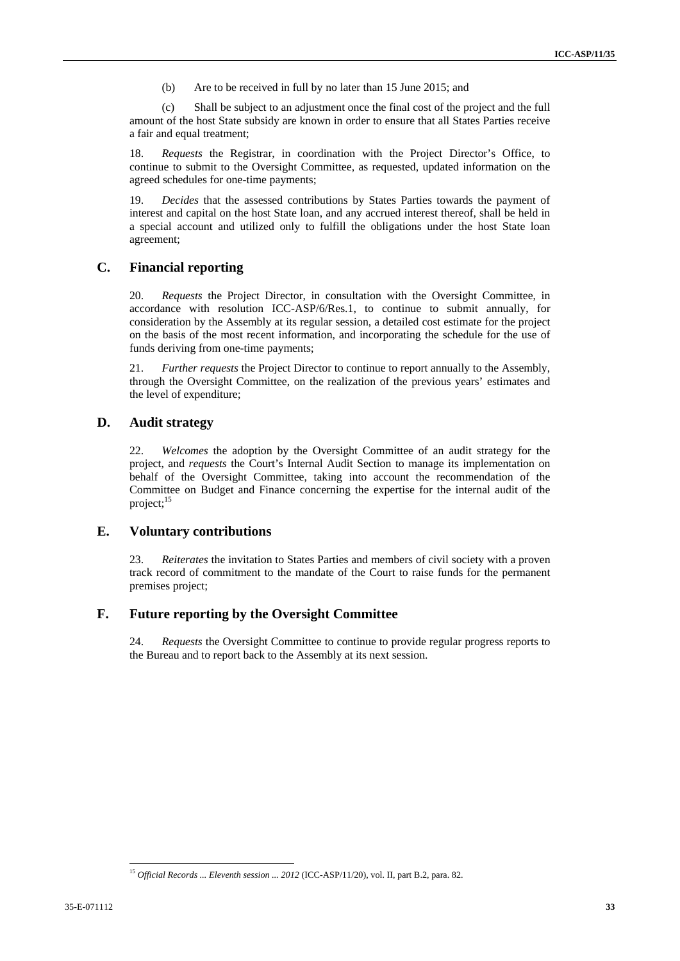(b) Are to be received in full by no later than 15 June 2015; and

(c) Shall be subject to an adjustment once the final cost of the project and the full amount of the host State subsidy are known in order to ensure that all States Parties receive a fair and equal treatment;

18. *Requests* the Registrar, in coordination with the Project Director's Office, to continue to submit to the Oversight Committee, as requested, updated information on the agreed schedules for one-time payments;

19. *Decides* that the assessed contributions by States Parties towards the payment of interest and capital on the host State loan, and any accrued interest thereof, shall be held in a special account and utilized only to fulfill the obligations under the host State loan agreement;

### **C. Financial reporting**

20. *Requests* the Project Director, in consultation with the Oversight Committee, in accordance with resolution ICC-ASP/6/Res.1, to continue to submit annually, for consideration by the Assembly at its regular session, a detailed cost estimate for the project on the basis of the most recent information, and incorporating the schedule for the use of funds deriving from one-time payments;

21. *Further requests* the Project Director to continue to report annually to the Assembly, through the Oversight Committee, on the realization of the previous years' estimates and the level of expenditure;

### **D. Audit strategy**

22. *Welcomes* the adoption by the Oversight Committee of an audit strategy for the project, and *requests* the Court's Internal Audit Section to manage its implementation on behalf of the Oversight Committee, taking into account the recommendation of the Committee on Budget and Finance concerning the expertise for the internal audit of the project; $^{15}$ 

### **E. Voluntary contributions**

23. *Reiterates* the invitation to States Parties and members of civil society with a proven track record of commitment to the mandate of the Court to raise funds for the permanent premises project;

### **F. Future reporting by the Oversight Committee**

24. *Requests* the Oversight Committee to continue to provide regular progress reports to the Bureau and to report back to the Assembly at its next session.

 <sup>15</sup> Official Records ... Eleventh session ... 2012 (ICC-ASP/11/20), vol. II, part B.2, para. 82.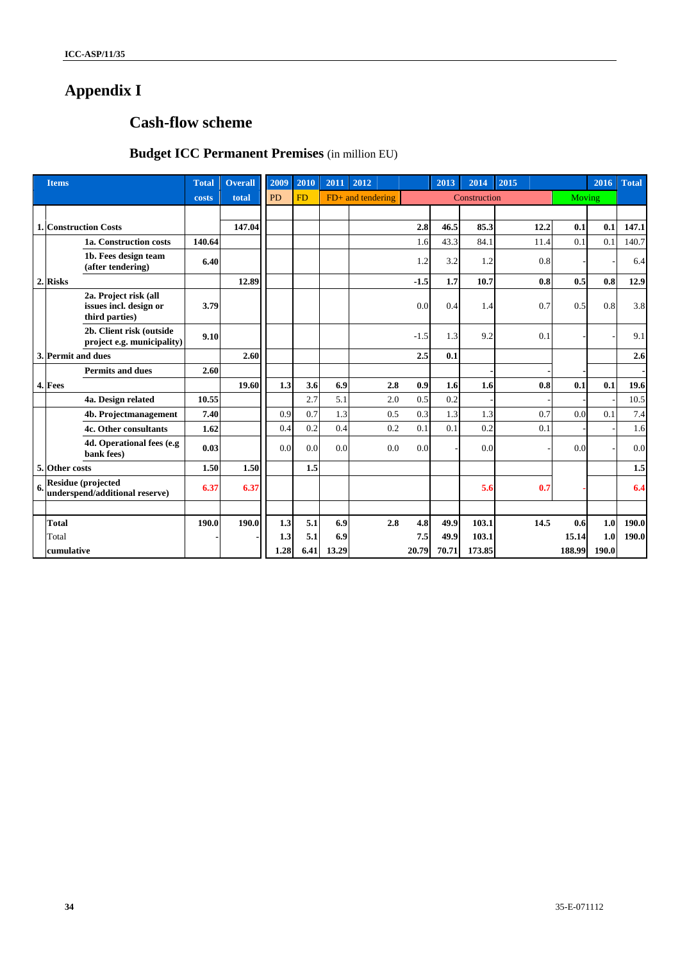# **Appendix I**

# **Cash-flow scheme**

# **Budget ICC Permanent Premises** (in million EU)

|            | <b>Items</b>                 |                                                                   | <b>Total</b> | <b>Overall</b> | 2009      | 2010      | 2011 | 2012                |        | 2013   | 2014         | 2015   |        | 2016  | <b>Total</b> |
|------------|------------------------------|-------------------------------------------------------------------|--------------|----------------|-----------|-----------|------|---------------------|--------|--------|--------------|--------|--------|-------|--------------|
|            |                              |                                                                   | costs        | total          | <b>PD</b> | <b>FD</b> |      | $FD+$ and tendering |        |        | Construction |        | Moving |       |              |
|            |                              |                                                                   |              |                |           |           |      |                     |        |        |              |        |        |       |              |
|            | <b>1. Construction Costs</b> |                                                                   |              | 147.04         |           |           |      |                     | 2.8    | 46.5   | 85.3         | 12.2   | 0.1    | 0.1   | 147.1        |
|            |                              | 1a. Construction costs                                            | 140.64       |                |           |           |      |                     | 1.6    | 43.3   | 84.1         | 11.4   | 0.1    | 0.1   | 140.7        |
|            |                              | 1b. Fees design team<br>(after tendering)                         | 6.40         |                |           |           |      |                     | 1.2    | 3.2    | 1.2          | 0.8    |        |       | 6.4          |
|            | 2. Risks                     |                                                                   |              | 12.89          |           |           |      |                     | $-1.5$ | 1.7    | 10.7         | 0.8    | 0.5    | 0.8   | 12.9         |
|            |                              | 2a. Project risk (all<br>issues incl. design or<br>third parties) | 3.79         |                |           |           |      |                     | 0.0    | 0.4    | 1.4          | 0.7    | 0.5    | 0.8   | 3.8          |
|            |                              | 2b. Client risk (outside<br>project e.g. municipality)            | 9.10         |                |           |           |      |                     | $-1.5$ | 1.3    | 9.2          | 0.1    |        |       | 9.1          |
|            | 3. Permit and dues           |                                                                   |              | 2.60           |           |           |      |                     | 2.5    | 0.1    |              |        |        |       | 2.6          |
|            |                              | <b>Permits and dues</b>                                           | 2.60         |                |           |           |      |                     |        |        |              |        |        |       |              |
|            | 4. Fees                      |                                                                   |              | 19.60          | 1.3       | 3.6       | 6.9  | 2.8                 | 0.9    | 1.6    | 1.6          | 0.8    | 0.1    | 0.1   | 19.6         |
|            |                              | 4a. Design related                                                | 10.55        |                |           | 2.7       | 5.1  | 2.0                 | 0.5    | 0.2    |              |        |        |       | 10.5         |
|            |                              | 4b. Projectmanagement                                             | 7.40         |                | 0.9       | 0.7       | 1.3  | 0.5                 | 0.3    | 1.3    | 1.3          | 0.7    | 0.0    | 0.1   | 7.4          |
|            |                              | 4c. Other consultants                                             | 1.62         |                | 0.4       | 0.2       | 0.4  | 0.2                 | 0.1    | 0.1    | 0.2          | 0.1    |        |       | 1.6          |
|            |                              | 4d. Operational fees (e.g<br>bank fees)                           | 0.03         |                | 0.0       | 0.0       | 0.0  | 0.0                 | 0.0    |        | 0.0          |        | 0.0    |       | 0.0          |
|            | 5. Other costs               |                                                                   | 1.50         | 1.50           |           | 1.5       |      |                     |        |        |              |        |        |       | $1.5$        |
| 6.         |                              | <b>Residue (projected</b><br>underspend/additional reserve)       | 6.37         | 6.37           |           |           |      |                     |        |        | 5.6          | 0.7    |        |       | 6.4          |
|            |                              |                                                                   |              |                |           |           |      |                     |        |        |              |        |        |       |              |
|            | <b>Total</b>                 |                                                                   | 190.0        | 190.0          | 1.3       | 5.1       | 6.9  | 2.8                 | 4.8    | 49.9   | 103.1        | 14.5   | 0.6    | 1.0   | 190.0        |
| Total      |                              |                                                                   |              | 1.3            | 5.1       | 6.9       |      | 7.5                 | 49.9   | 103.1  |              | 15.14  | 1.0    | 190.0 |              |
| cumulative |                              |                                                                   |              | 1.28           | 6.41      | 13.29     |      | 20.79               | 70.71  | 173.85 |              | 188.99 | 190.0  |       |              |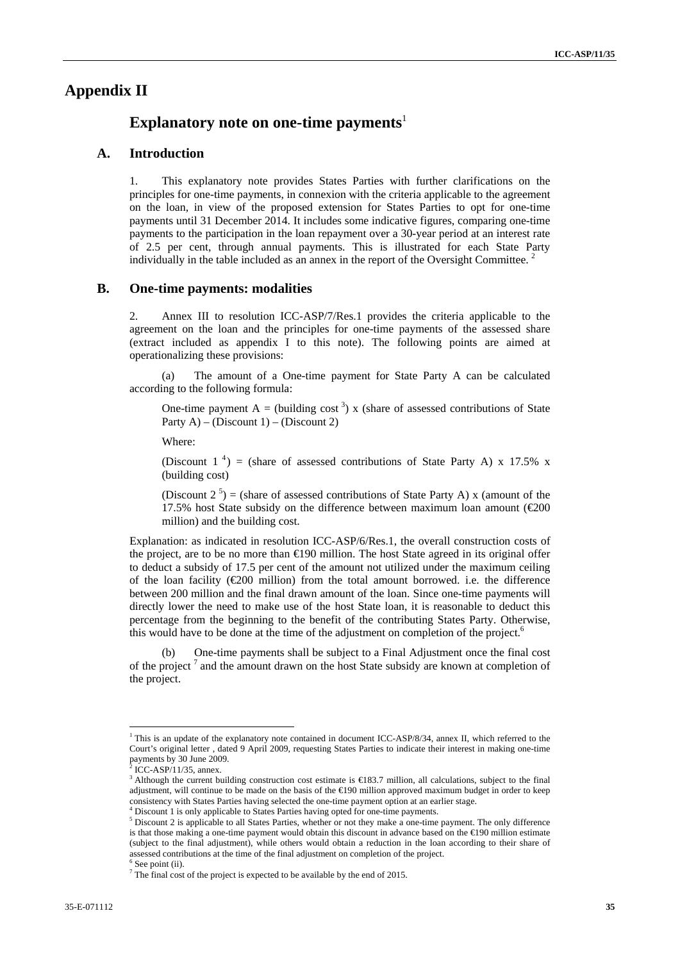### **Appendix II**

### **Explanatory note on one-time payments**<sup>1</sup>

#### **A. Introduction**

1. This explanatory note provides States Parties with further clarifications on the principles for one-time payments, in connexion with the criteria applicable to the agreement on the loan, in view of the proposed extension for States Parties to opt for one-time payments until 31 December 2014. It includes some indicative figures, comparing one-time payments to the participation in the loan repayment over a 30-year period at an interest rate of 2.5 per cent, through annual payments. This is illustrated for each State Party individually in the table included as an annex in the report of the Oversight Committee.<sup>2</sup>

### **B. One-time payments: modalities**

2. Annex III to resolution ICC-ASP/7/Res.1 provides the criteria applicable to the agreement on the loan and the principles for one-time payments of the assessed share (extract included as appendix I to this note). The following points are aimed at operationalizing these provisions:

(a) The amount of a One-time payment for State Party A can be calculated according to the following formula:

One-time payment  $A = (building cost<sup>3</sup>) x (share of assessed contributions of State)$ Party  $A$ ) – (Discount 1) – (Discount 2)

Where:

(Discount  $1^4$ ) = (share of assessed contributions of State Party A) x 17.5% x (building cost)

(Discount  $2^5$ ) = (share of assessed contributions of State Party A) x (amount of the 17.5% host State subsidy on the difference between maximum loan amount ( $\epsilon$ 200 million) and the building cost.

Explanation: as indicated in resolution ICC-ASP/6/Res.1, the overall construction costs of the project, are to be no more than €190 million. The host State agreed in its original offer to deduct a subsidy of 17.5 per cent of the amount not utilized under the maximum ceiling of the loan facility (€200 million) from the total amount borrowed. i.e. the difference between 200 million and the final drawn amount of the loan. Since one-time payments will directly lower the need to make use of the host State loan, it is reasonable to deduct this percentage from the beginning to the benefit of the contributing States Party. Otherwise, this would have to be done at the time of the adjustment on completion of the project.<sup>6</sup>

(b) One-time payments shall be subject to a Final Adjustment once the final cost of the project<sup>7</sup> and the amount drawn on the host State subsidy are known at completion of the project.

<sup>&</sup>lt;sup>1</sup> This is an update of the explanatory note contained in document ICC-ASP/8/34, annex II, which referred to the Court's original letter , dated 9 April 2009, requesting States Parties to indicate their interest in making one-time payments by 30 June 2009.<br> $^{2}$  ICC ASD/11/25 ennox

ICC-ASP/11/35, annex.

<sup>&</sup>lt;sup>3</sup> Although the current building construction cost estimate is €183.7 million, all calculations, subject to the final adjustment, will continue to be made on the basis of the €190 million approved maximum budget in order to keep consistency with States Parties having selected the one-time payment option at an earlier stage. Discount 1 is only applicable to States Parties having opted for one-time payments.

<sup>&</sup>lt;sup>5</sup> Discount 2 is applicable to all States Parties, whether or not they make a one-time payment. The only difference is that those making a one-time payment would obtain this discount in advance based on the €190 million estimate (subject to the final adjustment), while others would obtain a reduction in the loan according to their share of assessed contributions at the time of the final adjustment on completion of the project. 6  $6$  See point (ii).

 $7$  The final cost of the project is expected to be available by the end of 2015.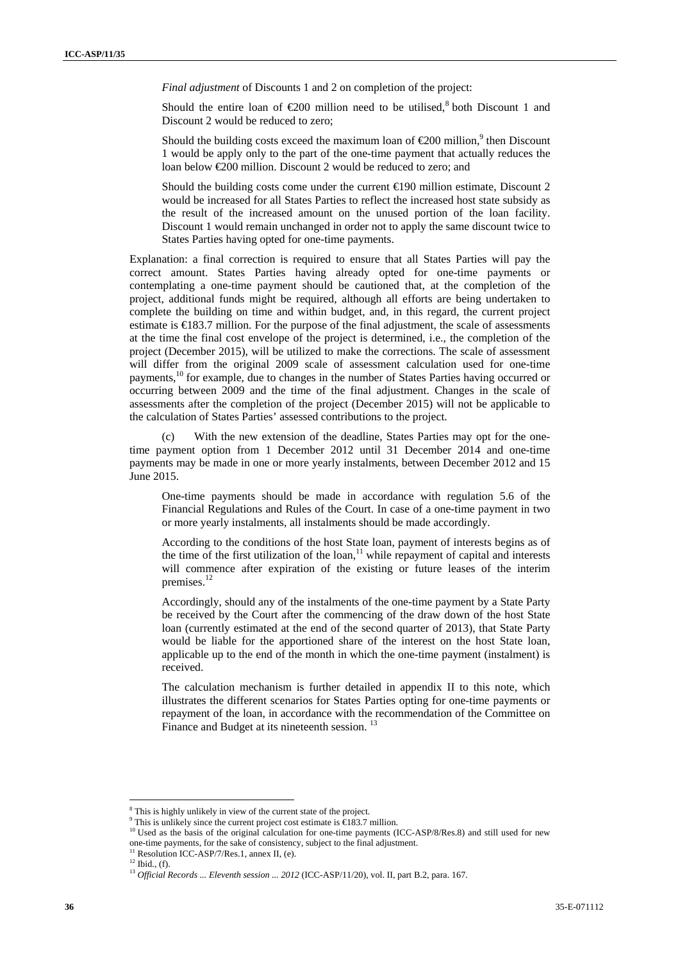*Final adjustment* of Discounts 1 and 2 on completion of the project:

Should the entire loan of  $\epsilon 200$  million need to be utilised,<sup>8</sup> both Discount 1 and Discount 2 would be reduced to zero;

Should the building costs exceed the maximum loan of  $\epsilon$ 200 million,<sup>9</sup> then Discount 1 would be apply only to the part of the one-time payment that actually reduces the loan below €200 million. Discount 2 would be reduced to zero; and

Should the building costs come under the current  $\in$ 190 million estimate, Discount 2 would be increased for all States Parties to reflect the increased host state subsidy as the result of the increased amount on the unused portion of the loan facility. Discount 1 would remain unchanged in order not to apply the same discount twice to States Parties having opted for one-time payments.

Explanation: a final correction is required to ensure that all States Parties will pay the correct amount. States Parties having already opted for one-time payments or contemplating a one-time payment should be cautioned that, at the completion of the project, additional funds might be required, although all efforts are being undertaken to complete the building on time and within budget, and, in this regard, the current project estimate is  $\in$  83.7 million. For the purpose of the final adjustment, the scale of assessments at the time the final cost envelope of the project is determined, i.e., the completion of the project (December 2015), will be utilized to make the corrections. The scale of assessment will differ from the original 2009 scale of assessment calculation used for one-time payments,10 for example, due to changes in the number of States Parties having occurred or occurring between 2009 and the time of the final adjustment. Changes in the scale of assessments after the completion of the project (December 2015) will not be applicable to the calculation of States Parties' assessed contributions to the project.

(c) With the new extension of the deadline, States Parties may opt for the onetime payment option from 1 December 2012 until 31 December 2014 and one-time payments may be made in one or more yearly instalments, between December 2012 and 15 June 2015.

One-time payments should be made in accordance with regulation 5.6 of the Financial Regulations and Rules of the Court. In case of a one-time payment in two or more yearly instalments, all instalments should be made accordingly.

According to the conditions of the host State loan, payment of interests begins as of the time of the first utilization of the loan,<sup>11</sup> while repayment of capital and interests will commence after expiration of the existing or future leases of the interim premises.<sup>12</sup>

Accordingly, should any of the instalments of the one-time payment by a State Party be received by the Court after the commencing of the draw down of the host State loan (currently estimated at the end of the second quarter of 2013), that State Party would be liable for the apportioned share of the interest on the host State loan, applicable up to the end of the month in which the one-time payment (instalment) is received.

The calculation mechanism is further detailed in appendix II to this note, which illustrates the different scenarios for States Parties opting for one-time payments or repayment of the loan, in accordance with the recommendation of the Committee on Finance and Budget at its nineteenth session.<sup>13</sup>

<sup>&</sup>lt;sup>8</sup> This is highly unlikely in view of the current state of the project.<br><sup>9</sup> This is unlikely since the current project esset estimate is  $E^{182.7}$  x.

<sup>&</sup>lt;sup>9</sup> This is unlikely since the current project cost estimate is  $\widehat{E}183.7$  million.<br><sup>10</sup> Used as the basis of the original calculation for one-time payments (ICC-ASP/8/Res.8) and still used for new

one-time payments, for the sake of consistency, subject to the final adjustment.  $^{11}$  Resolution ICC-ASP/7/Res.1, annex II, (e).

 $12$  Ibid., (f).

<sup>13</sup> *Official Records ... Eleventh session ... 2012* (ICC-ASP/11/20), vol. II, part B.2, para. 167.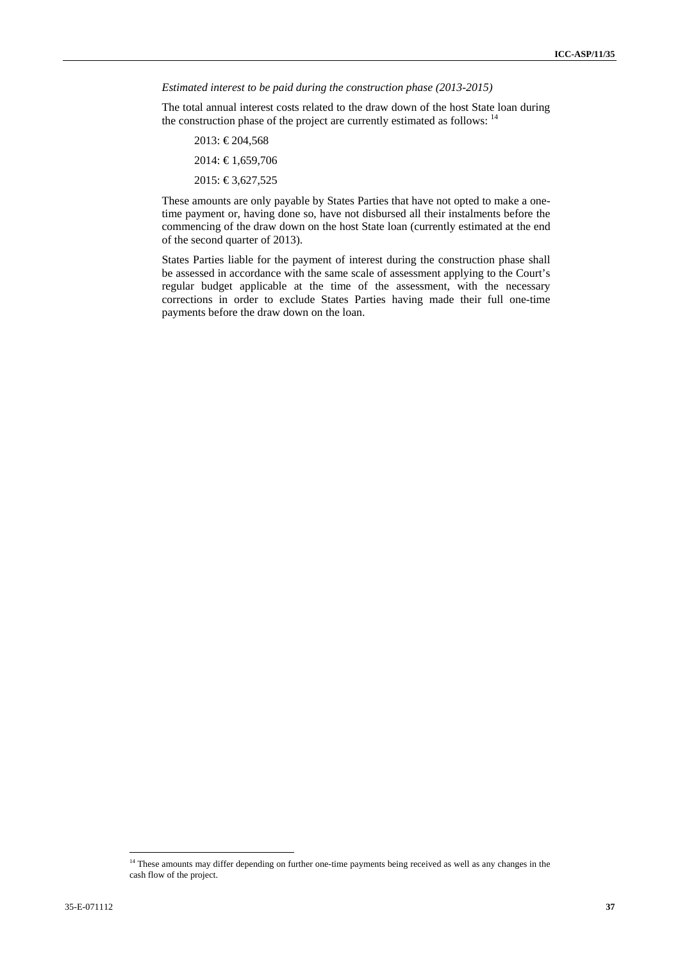*Estimated interest to be paid during the construction phase (2013-2015)* 

The total annual interest costs related to the draw down of the host State loan during the construction phase of the project are currently estimated as follows: <sup>14</sup>

- 2013: €204,568
- 2014: € 1,659,706
- 2015: €3,627,525

These amounts are only payable by States Parties that have not opted to make a onetime payment or, having done so, have not disbursed all their instalments before the commencing of the draw down on the host State loan (currently estimated at the end of the second quarter of 2013).

States Parties liable for the payment of interest during the construction phase shall be assessed in accordance with the same scale of assessment applying to the Court's regular budget applicable at the time of the assessment, with the necessary corrections in order to exclude States Parties having made their full one-time payments before the draw down on the loan.

<sup>&</sup>lt;sup>14</sup> These amounts may differ depending on further one-time payments being received as well as any changes in the cash flow of the project.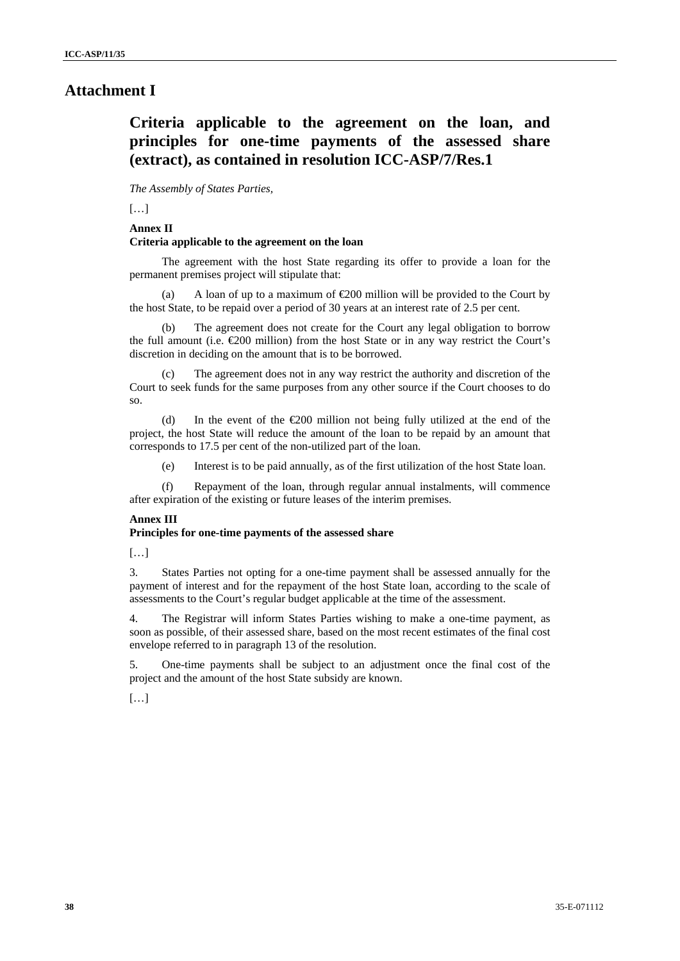### **Attachment I**

## **Criteria applicable to the agreement on the loan, and principles for one-time payments of the assessed share (extract), as contained in resolution ICC-ASP/7/Res.1**

*The Assembly of States Parties,* 

 $[...]$ 

#### **Annex II Criteria applicable to the agreement on the loan**

The agreement with the host State regarding its offer to provide a loan for the permanent premises project will stipulate that:

(a) A loan of up to a maximum of  $\epsilon$  200 million will be provided to the Court by the host State, to be repaid over a period of 30 years at an interest rate of 2.5 per cent.

(b) The agreement does not create for the Court any legal obligation to borrow the full amount (i.e.  $\epsilon$  200 million) from the host State or in any way restrict the Court's discretion in deciding on the amount that is to be borrowed.

The agreement does not in any way restrict the authority and discretion of the Court to seek funds for the same purposes from any other source if the Court chooses to do so.

(d) In the event of the  $\epsilon 200$  million not being fully utilized at the end of the project, the host State will reduce the amount of the loan to be repaid by an amount that corresponds to 17.5 per cent of the non-utilized part of the loan.

(e) Interest is to be paid annually, as of the first utilization of the host State loan.

(f) Repayment of the loan, through regular annual instalments, will commence after expiration of the existing or future leases of the interim premises.

#### **Annex III**

### **Principles for one-time payments of the assessed share**

 $[\dots]$ 

3. States Parties not opting for a one-time payment shall be assessed annually for the payment of interest and for the repayment of the host State loan, according to the scale of assessments to the Court's regular budget applicable at the time of the assessment.

4. The Registrar will inform States Parties wishing to make a one-time payment, as soon as possible, of their assessed share, based on the most recent estimates of the final cost envelope referred to in paragraph 13 of the resolution.

5. One-time payments shall be subject to an adjustment once the final cost of the project and the amount of the host State subsidy are known.

[…]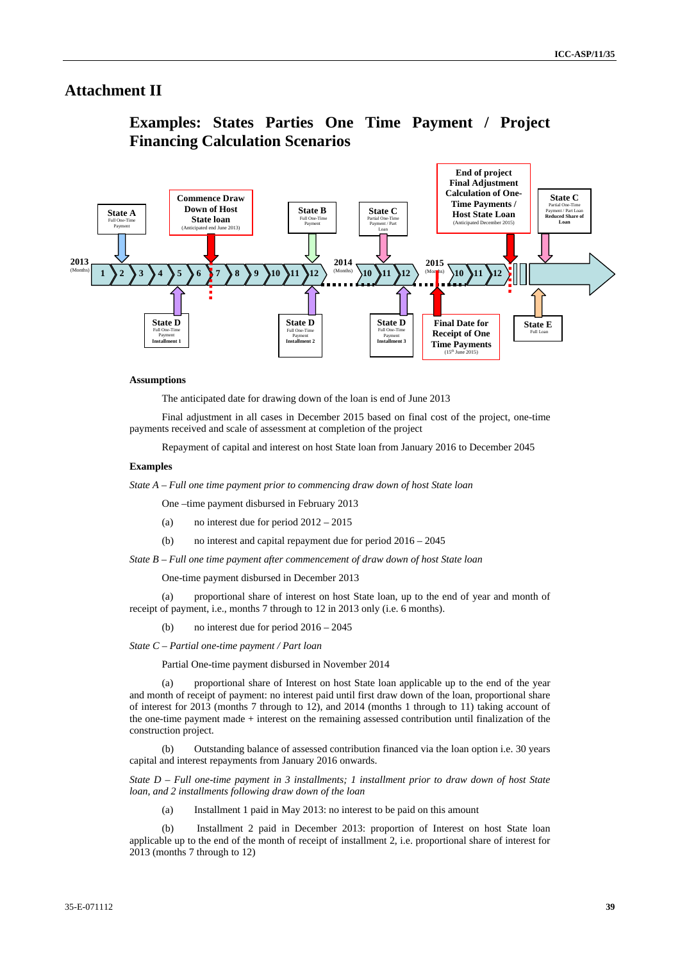### **Attachment II**

## **Examples: States Parties One Time Payment / Project Financing Calculation Scenarios**



#### **Assumptions**

The anticipated date for drawing down of the loan is end of June 2013

Final adjustment in all cases in December 2015 based on final cost of the project, one-time payments received and scale of assessment at completion of the project

Repayment of capital and interest on host State loan from January 2016 to December 2045

#### **Examples**

*State A – Full one time payment prior to commencing draw down of host State loan* 

One –time payment disbursed in February 2013

- (a) no interest due for period 2012 2015
- (b) no interest and capital repayment due for period 2016 2045

*State B – Full one time payment after commencement of draw down of host State loan* 

One-time payment disbursed in December 2013

(a) proportional share of interest on host State loan, up to the end of year and month of receipt of payment, i.e., months 7 through to 12 in 2013 only (i.e. 6 months).

(b) no interest due for period 2016 – 2045

*State C – Partial one-time payment / Part loan* 

Partial One-time payment disbursed in November 2014

(a) proportional share of Interest on host State loan applicable up to the end of the year and month of receipt of payment: no interest paid until first draw down of the loan, proportional share of interest for 2013 (months 7 through to 12), and 2014 (months 1 through to 11) taking account of the one-time payment made + interest on the remaining assessed contribution until finalization of the construction project.

(b) Outstanding balance of assessed contribution financed via the loan option i.e. 30 years capital and interest repayments from January 2016 onwards.

*State D – Full one-time payment in 3 installments; 1 installment prior to draw down of host State loan, and 2 installments following draw down of the loan* 

(a) Installment 1 paid in May 2013: no interest to be paid on this amount

(b) Installment 2 paid in December 2013: proportion of Interest on host State loan applicable up to the end of the month of receipt of installment 2, i.e. proportional share of interest for 2013 (months 7 through to 12)